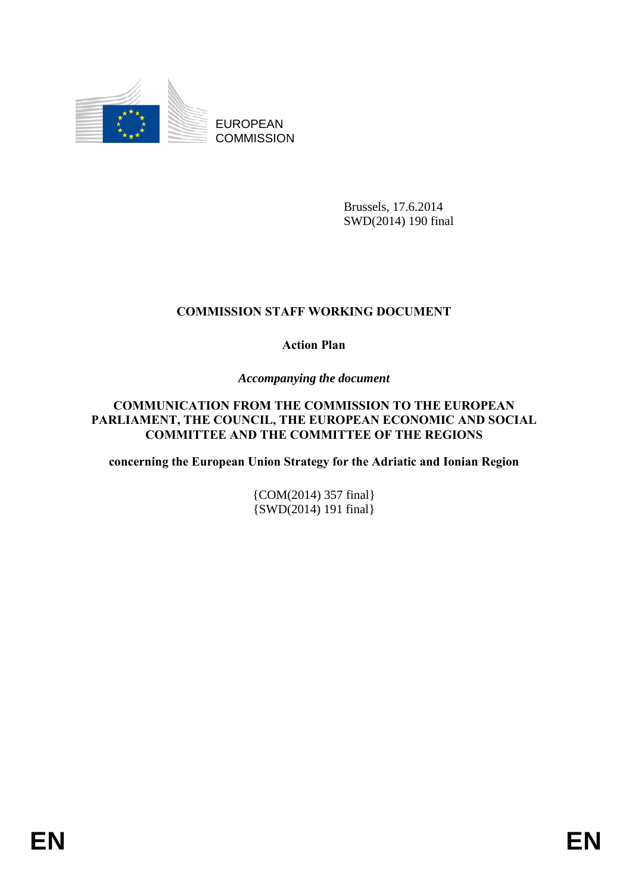

EUROPEAN **COMMISSION** 

> Brussels, 17.6.2014 SWD(2014) 190 final

## **COMMISSION STAFF WORKING DOCUMENT**

**Action Plan** 

*Accompanying the document* 

## **COMMUNICATION FROM THE COMMISSION TO THE EUROPEAN PARLIAMENT, THE COUNCIL, THE EUROPEAN ECONOMIC AND SOCIAL COMMITTEE AND THE COMMITTEE OF THE REGIONS**

**concerning the European Union Strategy for the Adriatic and Ionian Region** 

{COM(2014) 357 final} {SWD(2014) 191 final}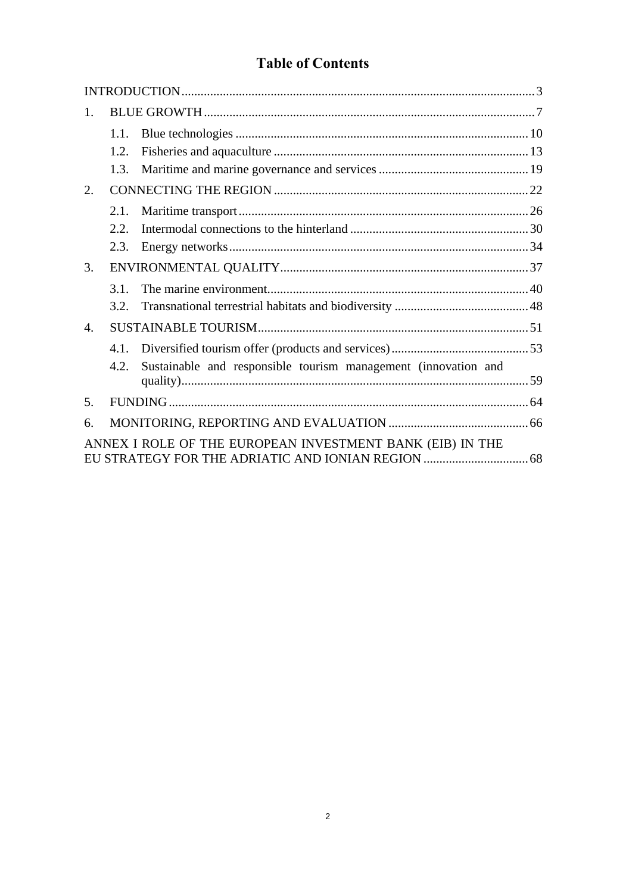# **Table of Contents**

| 1.             |      |                                                                |  |
|----------------|------|----------------------------------------------------------------|--|
|                | 1.1. |                                                                |  |
|                | 1.2. |                                                                |  |
|                | 1.3. |                                                                |  |
| 2.             |      |                                                                |  |
|                | 2.1. |                                                                |  |
|                | 2.2. |                                                                |  |
|                | 2.3. |                                                                |  |
| 3.             |      |                                                                |  |
|                | 3.1  |                                                                |  |
|                | 3.2. |                                                                |  |
| $\mathbf{4}$ . |      |                                                                |  |
|                | 4.1. |                                                                |  |
|                | 4.2. | Sustainable and responsible tourism management (innovation and |  |
| .5.            |      |                                                                |  |
| 6.             |      |                                                                |  |
|                |      | ANNEX I ROLE OF THE EUROPEAN INVESTMENT BANK (EIB) IN THE      |  |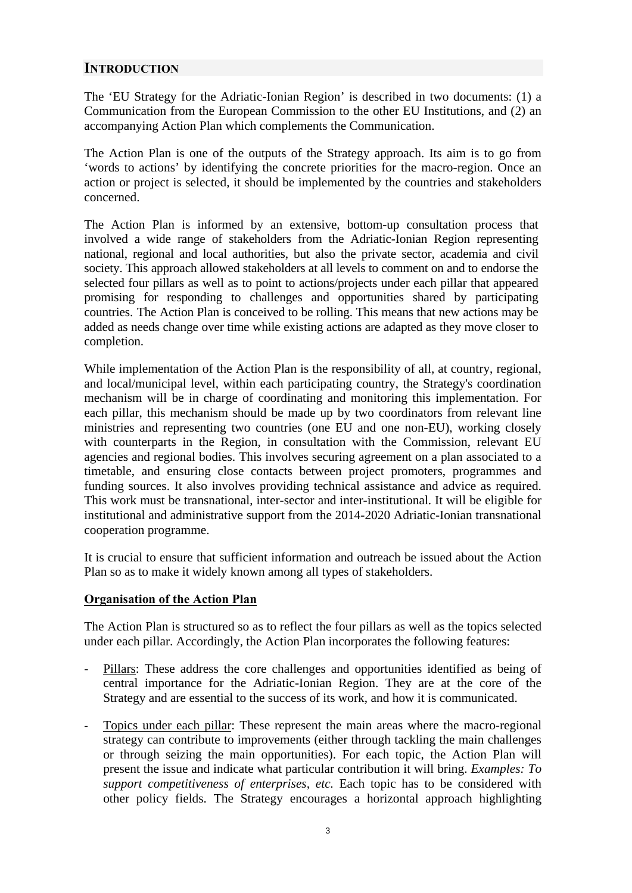## <span id="page-2-0"></span>**INTRODUCTION**

The 'EU Strategy for the Adriatic-Ionian Region' is described in two documents: (1) a Communication from the European Commission to the other EU Institutions, and (2) an accompanying Action Plan which complements the Communication.

The Action Plan is one of the outputs of the Strategy approach. Its aim is to go from 'words to actions' by identifying the concrete priorities for the macro-region. Once an action or project is selected, it should be implemented by the countries and stakeholders concerned.

The Action Plan is informed by an extensive, bottom-up consultation process that involved a wide range of stakeholders from the Adriatic-Ionian Region representing national, regional and local authorities, but also the private sector, academia and civil society. This approach allowed stakeholders at all levels to comment on and to endorse the selected four pillars as well as to point to actions/projects under each pillar that appeared promising for responding to challenges and opportunities shared by participating countries. The Action Plan is conceived to be rolling. This means that new actions may be added as needs change over time while existing actions are adapted as they move closer to completion.

While implementation of the Action Plan is the responsibility of all, at country, regional, and local/municipal level, within each participating country, the Strategy's coordination mechanism will be in charge of coordinating and monitoring this implementation. For each pillar, this mechanism should be made up by two coordinators from relevant line ministries and representing two countries (one EU and one non-EU), working closely with counterparts in the Region, in consultation with the Commission, relevant EU agencies and regional bodies. This involves securing agreement on a plan associated to a timetable, and ensuring close contacts between project promoters, programmes and funding sources. It also involves providing technical assistance and advice as required. This work must be transnational, inter-sector and inter-institutional. It will be eligible for institutional and administrative support from the 2014-2020 Adriatic-Ionian transnational cooperation programme.

It is crucial to ensure that sufficient information and outreach be issued about the Action Plan so as to make it widely known among all types of stakeholders.

## **Organisation of the Action Plan**

The Action Plan is structured so as to reflect the four pillars as well as the topics selected under each pillar. Accordingly, the Action Plan incorporates the following features:

- Pillars: These address the core challenges and opportunities identified as being of central importance for the Adriatic-Ionian Region. They are at the core of the Strategy and are essential to the success of its work, and how it is communicated.
- Topics under each pillar: These represent the main areas where the macro-regional strategy can contribute to improvements (either through tackling the main challenges or through seizing the main opportunities). For each topic, the Action Plan will present the issue and indicate what particular contribution it will bring. *Examples: To support competitiveness of enterprises, etc.* Each topic has to be considered with other policy fields. The Strategy encourages a horizontal approach highlighting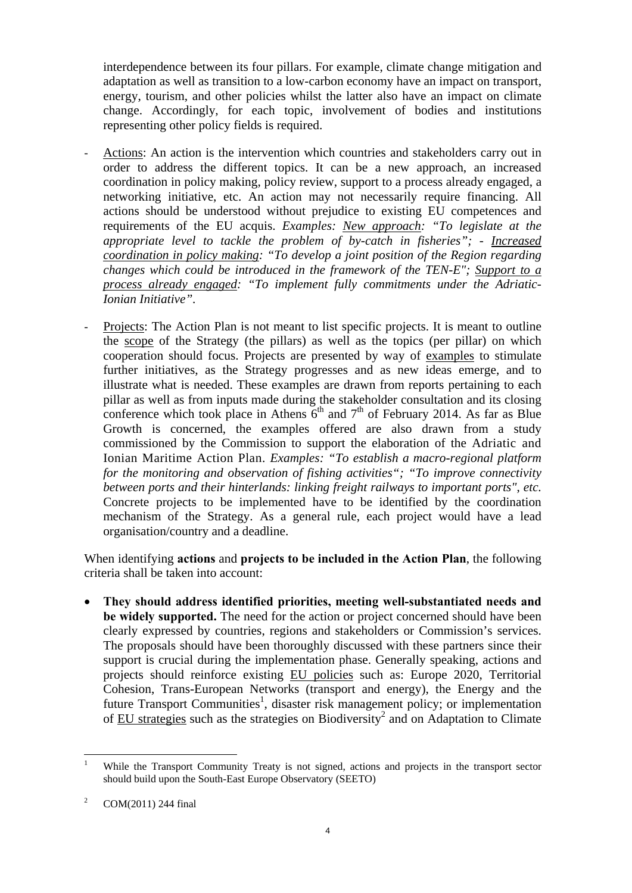interdependence between its four pillars. For example, climate change mitigation and adaptation as well as transition to a low-carbon economy have an impact on transport, energy, tourism, and other policies whilst the latter also have an impact on climate change. Accordingly, for each topic, involvement of bodies and institutions representing other policy fields is required.

- Actions: An action is the intervention which countries and stakeholders carry out in order to address the different topics. It can be a new approach, an increased coordination in policy making, policy review, support to a process already engaged, a networking initiative, etc. An action may not necessarily require financing. All actions should be understood without prejudice to existing EU competences and requirements of the EU acquis. *Examples: New approach: "To legislate at the appropriate level to tackle the problem of by-catch in fisheries"; - Increased coordination in policy making: "To develop a joint position of the Region regarding changes which could be introduced in the framework of the TEN-E"; Support to a process already engaged: "To implement fully commitments under the Adriatic-Ionian Initiative".*
- Projects: The Action Plan is not meant to list specific projects. It is meant to outline the scope of the Strategy (the pillars) as well as the topics (per pillar) on which cooperation should focus. Projects are presented by way of examples to stimulate further initiatives, as the Strategy progresses and as new ideas emerge, and to illustrate what is needed. These examples are drawn from reports pertaining to each pillar as well as from inputs made during the stakeholder consultation and its closing conference which took place in Athens  $6<sup>th</sup>$  and  $7<sup>th</sup>$  of February 2014. As far as Blue Growth is concerned, the examples offered are also drawn from a study commissioned by the Commission to support the elaboration of the Adriatic and Ionian Maritime Action Plan. *Examples: "To establish a macro-regional platform for the monitoring and observation of fishing activities"; "To improve connectivity between ports and their hinterlands: linking freight railways to important ports"*, *etc.*  Concrete projects to be implemented have to be identified by the coordination mechanism of the Strategy. As a general rule, each project would have a lead organisation/country and a deadline.

When identifying **actions** and **projects to be included in the Action Plan**, the following criteria shall be taken into account:

• **They should address identified priorities, meeting well-substantiated needs and be widely supported.** The need for the action or project concerned should have been clearly expressed by countries, regions and stakeholders or Commission's services. The proposals should have been thoroughly discussed with these partners since their support is crucial during the implementation phase. Generally speaking, actions and projects should reinforce existing EU policies such as: Europe 2020, Territorial Cohesion, Trans-European Networks (transport and energy), the Energy and the future Transport Communities<sup>1</sup>, disaster risk management policy; or implementation of EU strategies such as the strategies on Biodiversity<sup>2</sup> and on Adaptation to Climate

 $\frac{1}{1}$  While the Transport Community Treaty is not signed, actions and projects in the transport sector should build upon the South-East Europe Observatory (SEETO)

<sup>2</sup> COM(2011) 244 final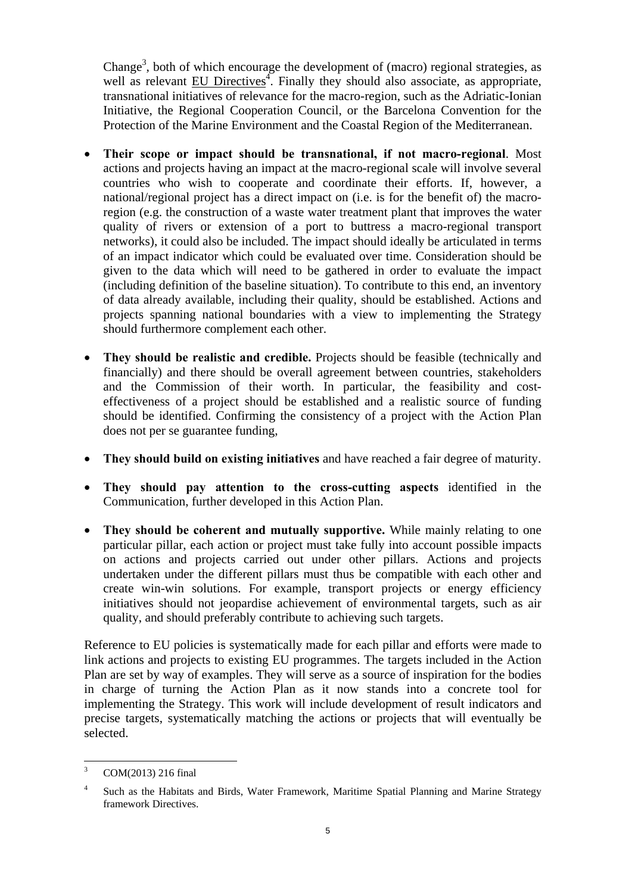Change<sup>3</sup>, both of which encourage the development of (macro) regional strategies, as well as relevant EU Directives<sup>4</sup>. Finally they should also associate, as appropriate, transnational initiatives of relevance for the macro-region, such as the Adriatic-Ionian Initiative, the Regional Cooperation Council, or the Barcelona Convention for the Protection of the Marine Environment and the Coastal Region of the Mediterranean.

- **Their scope or impact should be transnational, if not macro-regional**. Most actions and projects having an impact at the macro-regional scale will involve several countries who wish to cooperate and coordinate their efforts. If, however, a national/regional project has a direct impact on (i.e. is for the benefit of) the macroregion (e.g. the construction of a waste water treatment plant that improves the water quality of rivers or extension of a port to buttress a macro-regional transport networks), it could also be included. The impact should ideally be articulated in terms of an impact indicator which could be evaluated over time. Consideration should be given to the data which will need to be gathered in order to evaluate the impact (including definition of the baseline situation). To contribute to this end, an inventory of data already available, including their quality, should be established. Actions and projects spanning national boundaries with a view to implementing the Strategy should furthermore complement each other.
- **They should be realistic and credible.** Projects should be feasible (technically and financially) and there should be overall agreement between countries, stakeholders and the Commission of their worth. In particular, the feasibility and costeffectiveness of a project should be established and a realistic source of funding should be identified. Confirming the consistency of a project with the Action Plan does not per se guarantee funding,
- **They should build on existing initiatives** and have reached a fair degree of maturity.
- **They should pay attention to the cross-cutting aspects** identified in the Communication, further developed in this Action Plan.
- **They should be coherent and mutually supportive.** While mainly relating to one particular pillar, each action or project must take fully into account possible impacts on actions and projects carried out under other pillars. Actions and projects undertaken under the different pillars must thus be compatible with each other and create win-win solutions. For example, transport projects or energy efficiency initiatives should not jeopardise achievement of environmental targets, such as air quality, and should preferably contribute to achieving such targets.

Reference to EU policies is systematically made for each pillar and efforts were made to link actions and projects to existing EU programmes. The targets included in the Action Plan are set by way of examples. They will serve as a source of inspiration for the bodies in charge of turning the Action Plan as it now stands into a concrete tool for implementing the Strategy. This work will include development of result indicators and precise targets, systematically matching the actions or projects that will eventually be selected.

 3 COM(2013) 216 final

<sup>4</sup> Such as the Habitats and Birds, Water Framework, Maritime Spatial Planning and Marine Strategy framework Directives.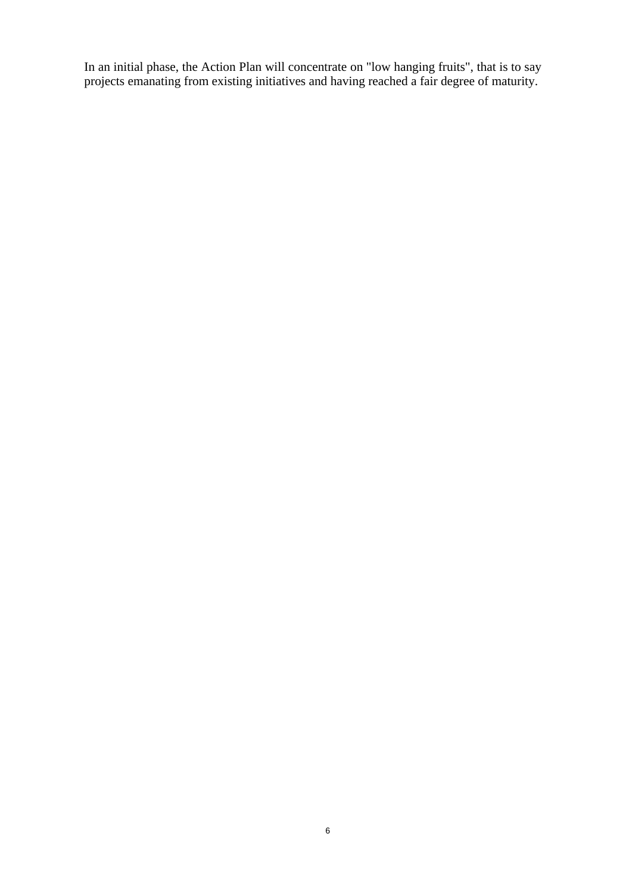In an initial phase, the Action Plan will concentrate on "low hanging fruits", that is to say projects emanating from existing initiatives and having reached a fair degree of maturity.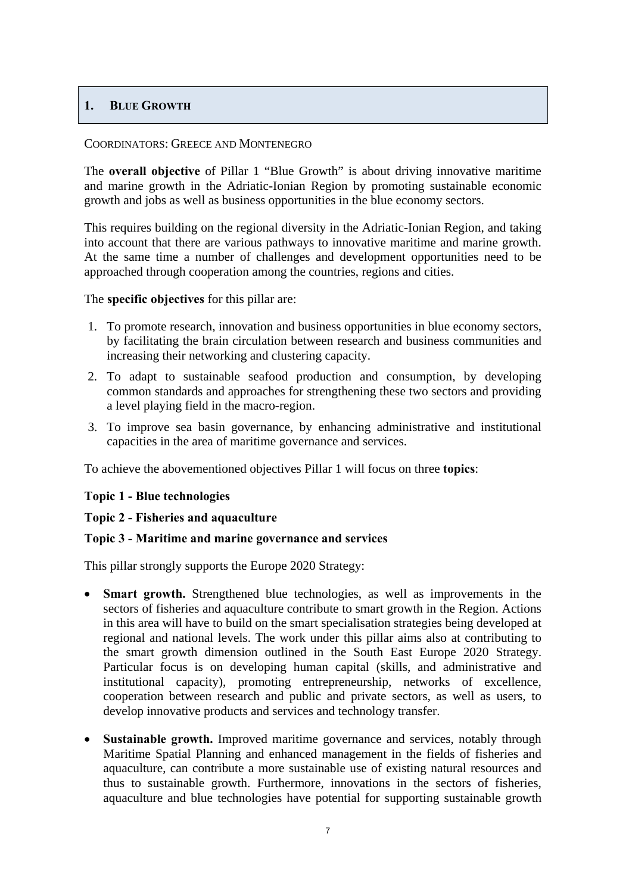## <span id="page-6-0"></span>**1. BLUE GROWTH**

#### COORDINATORS: GREECE AND MONTENEGRO

The **overall objective** of Pillar 1 "Blue Growth" is about driving innovative maritime and marine growth in the Adriatic-Ionian Region by promoting sustainable economic growth and jobs as well as business opportunities in the blue economy sectors.

This requires building on the regional diversity in the Adriatic-Ionian Region, and taking into account that there are various pathways to innovative maritime and marine growth. At the same time a number of challenges and development opportunities need to be approached through cooperation among the countries, regions and cities.

#### The **specific objectives** for this pillar are:

- 1. To promote research, innovation and business opportunities in blue economy sectors, by facilitating the brain circulation between research and business communities and increasing their networking and clustering capacity.
- 2. To adapt to sustainable seafood production and consumption, by developing common standards and approaches for strengthening these two sectors and providing a level playing field in the macro-region.
- 3. To improve sea basin governance, by enhancing administrative and institutional capacities in the area of maritime governance and services.

To achieve the abovementioned objectives Pillar 1 will focus on three **topics**:

## **Topic 1 - Blue technologies**

## **Topic 2 - Fisheries and aquaculture**

## **Topic 3 - Maritime and marine governance and services**

This pillar strongly supports the Europe 2020 Strategy:

- **Smart growth.** Strengthened blue technologies, as well as improvements in the sectors of fisheries and aquaculture contribute to smart growth in the Region. Actions in this area will have to build on the smart specialisation strategies being developed at regional and national levels. The work under this pillar aims also at contributing to the smart growth dimension outlined in the South East Europe 2020 Strategy. Particular focus is on developing human capital (skills, and administrative and institutional capacity), promoting entrepreneurship, networks of excellence, cooperation between research and public and private sectors, as well as users, to develop innovative products and services and technology transfer.
- **Sustainable growth.** Improved maritime governance and services, notably through Maritime Spatial Planning and enhanced management in the fields of fisheries and aquaculture, can contribute a more sustainable use of existing natural resources and thus to sustainable growth. Furthermore, innovations in the sectors of fisheries, aquaculture and blue technologies have potential for supporting sustainable growth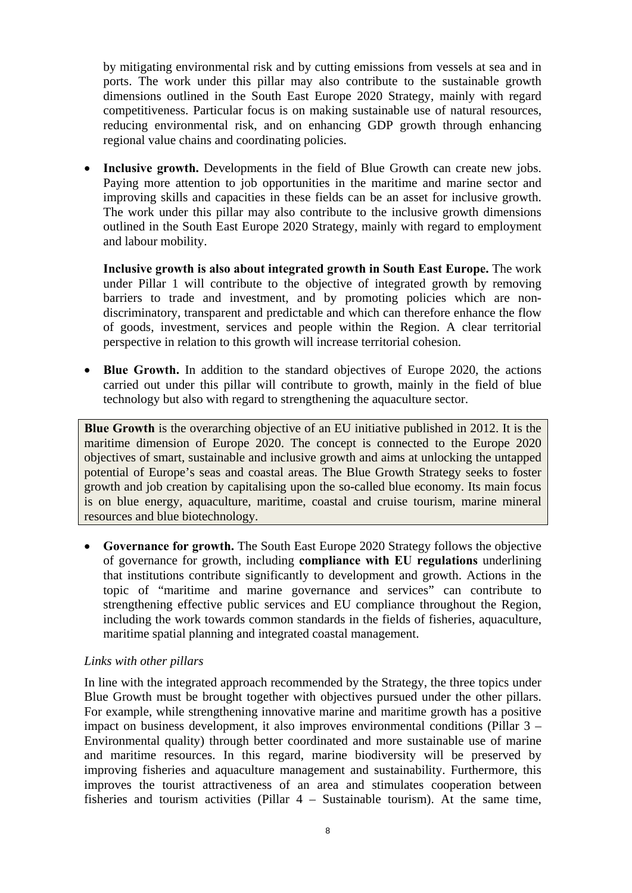by mitigating environmental risk and by cutting emissions from vessels at sea and in ports. The work under this pillar may also contribute to the sustainable growth dimensions outlined in the South East Europe 2020 Strategy, mainly with regard competitiveness. Particular focus is on making sustainable use of natural resources, reducing environmental risk, and on enhancing GDP growth through enhancing regional value chains and coordinating policies.

• **Inclusive growth.** Developments in the field of Blue Growth can create new jobs. Paying more attention to job opportunities in the maritime and marine sector and improving skills and capacities in these fields can be an asset for inclusive growth. The work under this pillar may also contribute to the inclusive growth dimensions outlined in the South East Europe 2020 Strategy, mainly with regard to employment and labour mobility.

**Inclusive growth is also about integrated growth in South East Europe.** The work under Pillar 1 will contribute to the objective of integrated growth by removing barriers to trade and investment, and by promoting policies which are nondiscriminatory, transparent and predictable and which can therefore enhance the flow of goods, investment, services and people within the Region. A clear territorial perspective in relation to this growth will increase territorial cohesion.

• **Blue Growth.** In addition to the standard objectives of Europe 2020, the actions carried out under this pillar will contribute to growth, mainly in the field of blue technology but also with regard to strengthening the aquaculture sector.

**Blue Growth** is the overarching objective of an EU initiative published in 2012. It is the maritime dimension of Europe 2020. The concept is connected to the Europe 2020 objectives of smart, sustainable and inclusive growth and aims at unlocking the untapped potential of Europe's seas and coastal areas. The Blue Growth Strategy seeks to foster growth and job creation by capitalising upon the so-called blue economy. Its main focus is on blue energy, aquaculture, maritime, coastal and cruise tourism, marine mineral resources and blue biotechnology.

• **Governance for growth.** The South East Europe 2020 Strategy follows the objective of governance for growth, including **compliance with EU regulations** underlining that institutions contribute significantly to development and growth. Actions in the topic of "maritime and marine governance and services" can contribute to strengthening effective public services and EU compliance throughout the Region, including the work towards common standards in the fields of fisheries, aquaculture, maritime spatial planning and integrated coastal management.

## *Links with other pillars*

In line with the integrated approach recommended by the Strategy, the three topics under Blue Growth must be brought together with objectives pursued under the other pillars. For example, while strengthening innovative marine and maritime growth has a positive impact on business development, it also improves environmental conditions (Pillar 3 – Environmental quality) through better coordinated and more sustainable use of marine and maritime resources. In this regard, marine biodiversity will be preserved by improving fisheries and aquaculture management and sustainability. Furthermore, this improves the tourist attractiveness of an area and stimulates cooperation between fisheries and tourism activities (Pillar 4 – Sustainable tourism). At the same time,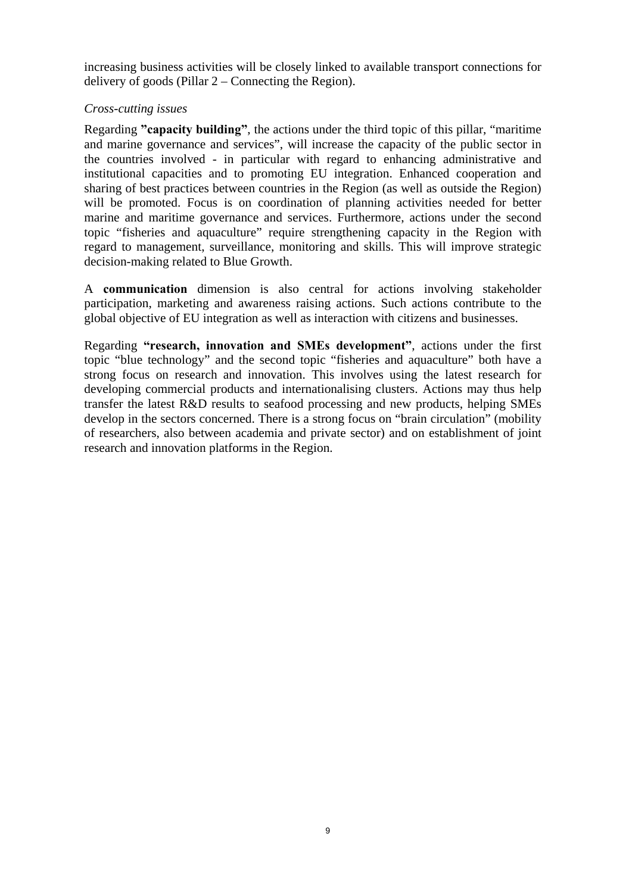increasing business activities will be closely linked to available transport connections for delivery of goods (Pillar 2 – Connecting the Region).

## *Cross-cutting issues*

Regarding **"capacity building"**, the actions under the third topic of this pillar, "maritime and marine governance and services", will increase the capacity of the public sector in the countries involved - in particular with regard to enhancing administrative and institutional capacities and to promoting EU integration. Enhanced cooperation and sharing of best practices between countries in the Region (as well as outside the Region) will be promoted. Focus is on coordination of planning activities needed for better marine and maritime governance and services. Furthermore, actions under the second topic "fisheries and aquaculture" require strengthening capacity in the Region with regard to management, surveillance, monitoring and skills. This will improve strategic decision-making related to Blue Growth.

A **communication** dimension is also central for actions involving stakeholder participation, marketing and awareness raising actions. Such actions contribute to the global objective of EU integration as well as interaction with citizens and businesses.

Regarding **"research, innovation and SMEs development"**, actions under the first topic "blue technology" and the second topic "fisheries and aquaculture" both have a strong focus on research and innovation. This involves using the latest research for developing commercial products and internationalising clusters. Actions may thus help transfer the latest R&D results to seafood processing and new products, helping SMEs develop in the sectors concerned. There is a strong focus on "brain circulation" (mobility of researchers, also between academia and private sector) and on establishment of joint research and innovation platforms in the Region.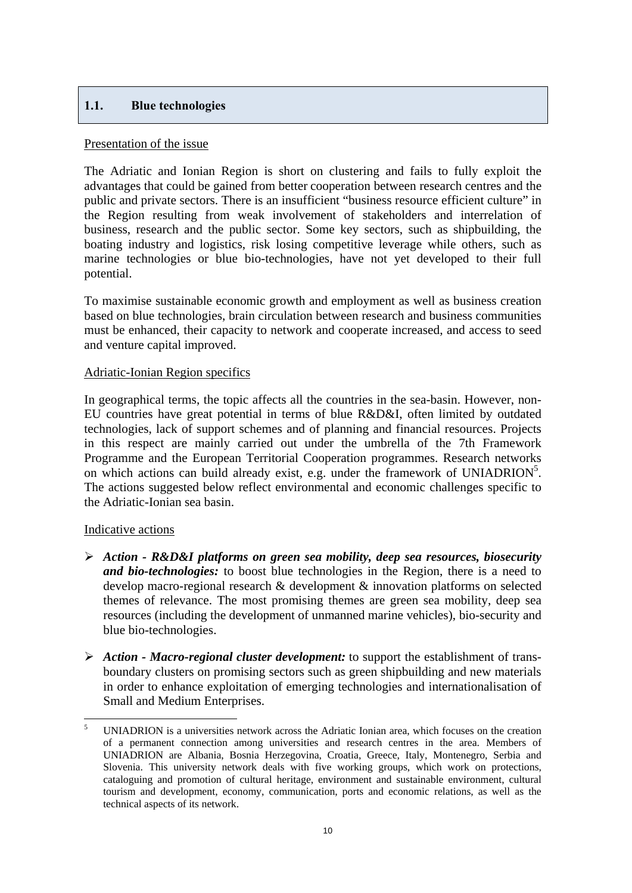## <span id="page-9-0"></span>**1.1. Blue technologies**

#### Presentation of the issue

The Adriatic and Ionian Region is short on clustering and fails to fully exploit the advantages that could be gained from better cooperation between research centres and the public and private sectors. There is an insufficient "business resource efficient culture" in the Region resulting from weak involvement of stakeholders and interrelation of business, research and the public sector. Some key sectors, such as shipbuilding, the boating industry and logistics, risk losing competitive leverage while others, such as marine technologies or blue bio-technologies, have not yet developed to their full potential.

To maximise sustainable economic growth and employment as well as business creation based on blue technologies, brain circulation between research and business communities must be enhanced, their capacity to network and cooperate increased, and access to seed and venture capital improved.

## Adriatic-Ionian Region specifics

In geographical terms, the topic affects all the countries in the sea-basin. However, non-EU countries have great potential in terms of blue R&D&I, often limited by outdated technologies, lack of support schemes and of planning and financial resources. Projects in this respect are mainly carried out under the umbrella of the 7th Framework Programme and the European Territorial Cooperation programmes. Research networks on which actions can build already exist, e.g. under the framework of UNIADRION<sup>5</sup>. The actions suggested below reflect environmental and economic challenges specific to the Adriatic-Ionian sea basin.

## Indicative actions

- ¾ *Action R&D&I platforms on green sea mobility, deep sea resources, biosecurity and bio-technologies:* to boost blue technologies in the Region, there is a need to develop macro-regional research & development & innovation platforms on selected themes of relevance. The most promising themes are green sea mobility, deep sea resources (including the development of unmanned marine vehicles), bio-security and blue bio-technologies.
- ¾ *Action Macro-regional cluster development:* to support the establishment of transboundary clusters on promising sectors such as green shipbuilding and new materials in order to enhance exploitation of emerging technologies and internationalisation of Small and Medium Enterprises.

 $\overline{a}$ 5 UNIADRION is a universities network across the Adriatic Ionian area, which focuses on the creation of a permanent connection among universities and research centres in the area. Members of UNIADRION are Albania, Bosnia Herzegovina, Croatia, Greece, Italy, Montenegro, Serbia and Slovenia. This university network deals with five working groups, which work on protections, cataloguing and promotion of cultural heritage, environment and sustainable environment, cultural tourism and development, economy, communication, ports and economic relations, as well as the technical aspects of its network.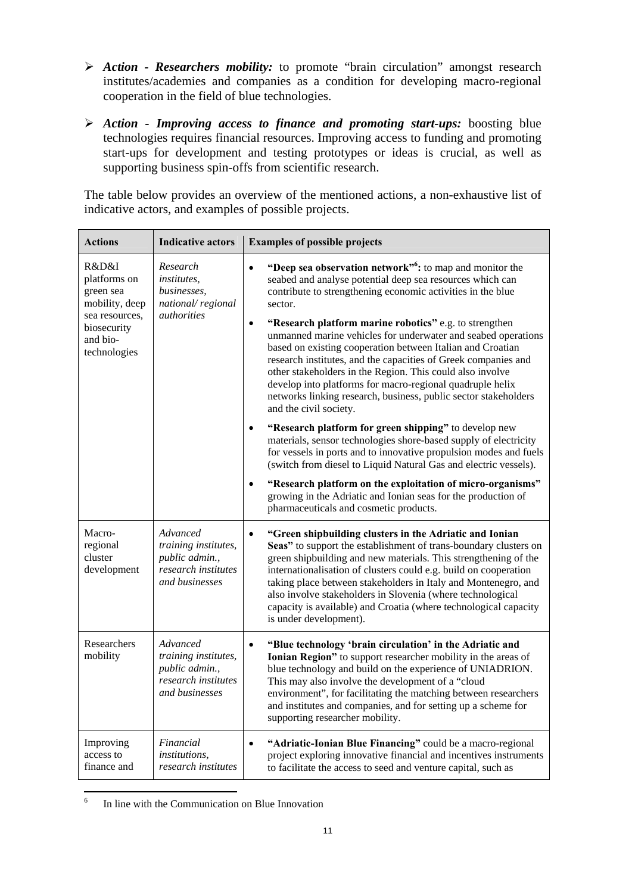- ¾ *Action Researchers mobility:* to promote "brain circulation" amongst research institutes/academies and companies as a condition for developing macro-regional cooperation in the field of blue technologies.
- ¾ *Action Improving access to finance and promoting start-ups:* boosting blue technologies requires financial resources. Improving access to funding and promoting start-ups for development and testing prototypes or ideas is crucial, as well as supporting business spin-offs from scientific research.

The table below provides an overview of the mentioned actions, a non-exhaustive list of indicative actors, and examples of possible projects.

| <b>Actions</b>                                                                                                    | <b>Indicative actors</b>                                                                    | <b>Examples of possible projects</b>                                                                                                                                                                                                                                                                                                                                                                                                                                                                                                                                                                                                                                                                                                                                                                                                                                                                                                                                                                                                                                                                                                                                                |
|-------------------------------------------------------------------------------------------------------------------|---------------------------------------------------------------------------------------------|-------------------------------------------------------------------------------------------------------------------------------------------------------------------------------------------------------------------------------------------------------------------------------------------------------------------------------------------------------------------------------------------------------------------------------------------------------------------------------------------------------------------------------------------------------------------------------------------------------------------------------------------------------------------------------------------------------------------------------------------------------------------------------------------------------------------------------------------------------------------------------------------------------------------------------------------------------------------------------------------------------------------------------------------------------------------------------------------------------------------------------------------------------------------------------------|
| R&D&I<br>platforms on<br>green sea<br>mobility, deep<br>sea resources.<br>biosecurity<br>and bio-<br>technologies | Research<br><i>institutes,</i><br>businesses,<br>national/regional<br><i>authorities</i>    | "Deep sea observation network" <sup>6</sup> : to map and monitor the<br>$\bullet$<br>seabed and analyse potential deep sea resources which can<br>contribute to strengthening economic activities in the blue<br>sector.<br>"Research platform marine robotics" e.g. to strengthen<br>$\bullet$<br>unmanned marine vehicles for underwater and seabed operations<br>based on existing cooperation between Italian and Croatian<br>research institutes, and the capacities of Greek companies and<br>other stakeholders in the Region. This could also involve<br>develop into platforms for macro-regional quadruple helix<br>networks linking research, business, public sector stakeholders<br>and the civil society.<br>"Research platform for green shipping" to develop new<br>materials, sensor technologies shore-based supply of electricity<br>for vessels in ports and to innovative propulsion modes and fuels<br>(switch from diesel to Liquid Natural Gas and electric vessels).<br>"Research platform on the exploitation of micro-organisms"<br>$\bullet$<br>growing in the Adriatic and Ionian seas for the production of<br>pharmaceuticals and cosmetic products. |
| Macro-<br>regional<br>cluster<br>development                                                                      | Advanced<br>training institutes,<br>public admin.,<br>research institutes<br>and businesses | "Green shipbuilding clusters in the Adriatic and Ionian<br>$\bullet$<br>Seas" to support the establishment of trans-boundary clusters on<br>green shipbuilding and new materials. This strengthening of the<br>internationalisation of clusters could e.g. build on cooperation<br>taking place between stakeholders in Italy and Montenegro, and<br>also involve stakeholders in Slovenia (where technological<br>capacity is available) and Croatia (where technological capacity<br>is under development).                                                                                                                                                                                                                                                                                                                                                                                                                                                                                                                                                                                                                                                                       |
| Researchers<br>mobility                                                                                           | Advanced<br>training institutes,<br>public admin.,<br>research institutes<br>and businesses | $\bullet$<br>"Blue technology 'brain circulation' in the Adriatic and<br>Ionian Region" to support researcher mobility in the areas of<br>blue technology and build on the experience of UNIADRION.<br>This may also involve the development of a "cloud<br>environment", for facilitating the matching between researchers<br>and institutes and companies, and for setting up a scheme for<br>supporting researcher mobility.                                                                                                                                                                                                                                                                                                                                                                                                                                                                                                                                                                                                                                                                                                                                                     |
| Improving<br>access to<br>finance and                                                                             | Financial<br><i>institutions,</i><br>research institutes                                    | "Adriatic-Ionian Blue Financing" could be a macro-regional<br>$\bullet$<br>project exploring innovative financial and incentives instruments<br>to facilitate the access to seed and venture capital, such as                                                                                                                                                                                                                                                                                                                                                                                                                                                                                                                                                                                                                                                                                                                                                                                                                                                                                                                                                                       |

 6 In line with the Communication on Blue Innovation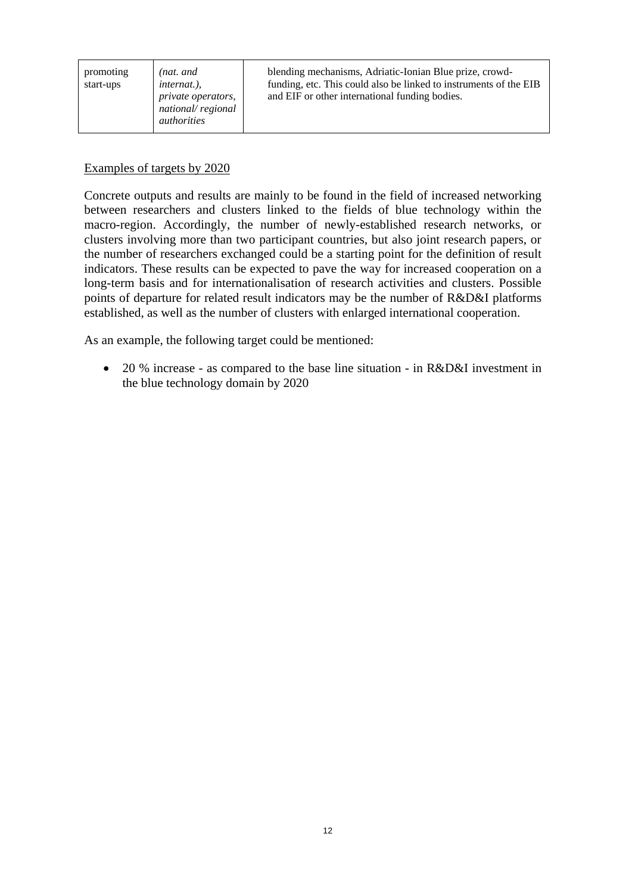| promoting<br>start-ups | (nat. and<br><i>internat.</i> ).<br>private operators,<br>national/regional<br><i>authorities</i> | blending mechanisms, Adriatic-Ionian Blue prize, crowd-<br>funding, etc. This could also be linked to instruments of the EIB<br>and EIF or other international funding bodies. |
|------------------------|---------------------------------------------------------------------------------------------------|--------------------------------------------------------------------------------------------------------------------------------------------------------------------------------|
|------------------------|---------------------------------------------------------------------------------------------------|--------------------------------------------------------------------------------------------------------------------------------------------------------------------------------|

#### Examples of targets by 2020

Concrete outputs and results are mainly to be found in the field of increased networking between researchers and clusters linked to the fields of blue technology within the macro-region. Accordingly, the number of newly-established research networks, or clusters involving more than two participant countries, but also joint research papers, or the number of researchers exchanged could be a starting point for the definition of result indicators. These results can be expected to pave the way for increased cooperation on a long-term basis and for internationalisation of research activities and clusters. Possible points of departure for related result indicators may be the number of R&D&I platforms established, as well as the number of clusters with enlarged international cooperation.

As an example, the following target could be mentioned:

• 20 % increase - as compared to the base line situation - in R&D&I investment in the blue technology domain by 2020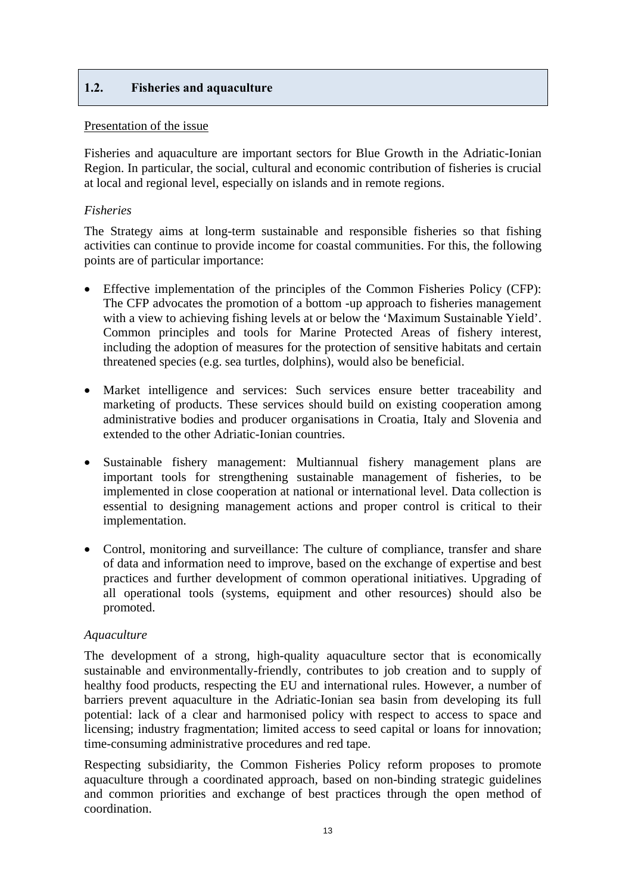## <span id="page-12-0"></span>**1.2. Fisheries and aquaculture**

## Presentation of the issue

Fisheries and aquaculture are important sectors for Blue Growth in the Adriatic-Ionian Region. In particular, the social, cultural and economic contribution of fisheries is crucial at local and regional level, especially on islands and in remote regions.

## *Fisheries*

The Strategy aims at long-term sustainable and responsible fisheries so that fishing activities can continue to provide income for coastal communities. For this, the following points are of particular importance:

- Effective implementation of the principles of the Common Fisheries Policy (CFP): The CFP advocates the promotion of a bottom -up approach to fisheries management with a view to achieving fishing levels at or below the 'Maximum Sustainable Yield'. Common principles and tools for Marine Protected Areas of fishery interest, including the adoption of measures for the protection of sensitive habitats and certain threatened species (e.g. sea turtles, dolphins), would also be beneficial.
- Market intelligence and services: Such services ensure better traceability and marketing of products. These services should build on existing cooperation among administrative bodies and producer organisations in Croatia, Italy and Slovenia and extended to the other Adriatic-Ionian countries.
- Sustainable fishery management: Multiannual fishery management plans are important tools for strengthening sustainable management of fisheries, to be implemented in close cooperation at national or international level. Data collection is essential to designing management actions and proper control is critical to their implementation.
- Control, monitoring and surveillance: The culture of compliance, transfer and share of data and information need to improve, based on the exchange of expertise and best practices and further development of common operational initiatives. Upgrading of all operational tools (systems, equipment and other resources) should also be promoted.

## *Aquaculture*

The development of a strong, high-quality aquaculture sector that is economically sustainable and environmentally-friendly, contributes to job creation and to supply of healthy food products, respecting the EU and international rules. However, a number of barriers prevent aquaculture in the Adriatic-Ionian sea basin from developing its full potential: lack of a clear and harmonised policy with respect to access to space and licensing; industry fragmentation; limited access to seed capital or loans for innovation; time-consuming administrative procedures and red tape.

Respecting subsidiarity, the Common Fisheries Policy reform proposes to promote aquaculture through a coordinated approach, based on non-binding strategic guidelines and common priorities and exchange of best practices through the open method of coordination.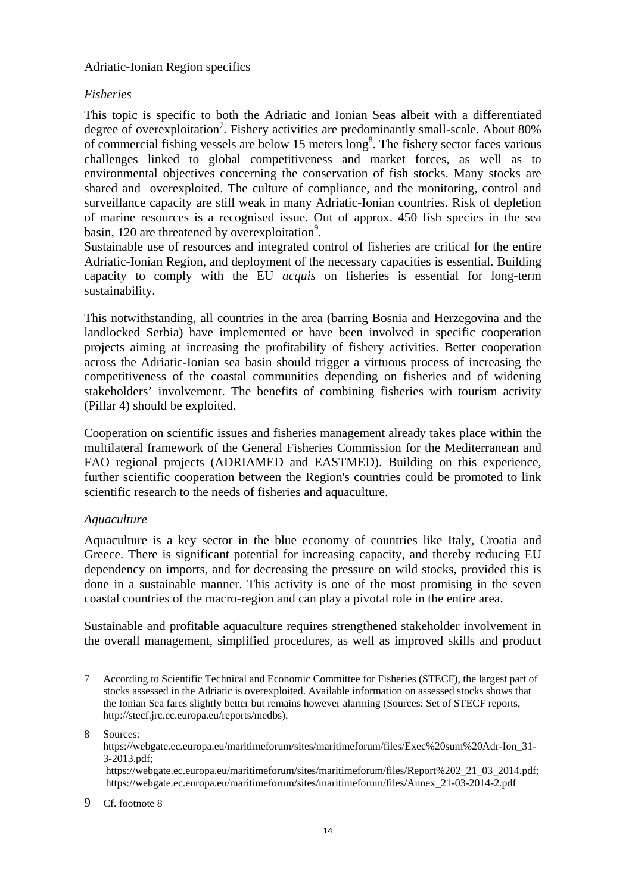## Adriatic-Ionian Region specifics

## *Fisheries*

This topic is specific to both the Adriatic and Ionian Seas albeit with a differentiated degree of overexploitation<sup>7</sup>. Fishery activities are predominantly small-scale. About 80% of commercial fishing vessels are below 15 meters long<sup>8</sup>. The fishery sector faces various challenges linked to global competitiveness and market forces, as well as to environmental objectives concerning the conservation of fish stocks. Many stocks are shared and overexploited. The culture of compliance, and the monitoring, control and surveillance capacity are still weak in many Adriatic-Ionian countries. Risk of depletion of marine resources is a recognised issue. Out of approx. 450 fish species in the sea basin, 120 are threatened by overexploitation<sup>9</sup>.

Sustainable use of resources and integrated control of fisheries are critical for the entire Adriatic-Ionian Region, and deployment of the necessary capacities is essential. Building capacity to comply with the EU *acquis* on fisheries is essential for long-term sustainability.

This notwithstanding, all countries in the area (barring Bosnia and Herzegovina and the landlocked Serbia) have implemented or have been involved in specific cooperation projects aiming at increasing the profitability of fishery activities. Better cooperation across the Adriatic-Ionian sea basin should trigger a virtuous process of increasing the competitiveness of the coastal communities depending on fisheries and of widening stakeholders' involvement. The benefits of combining fisheries with tourism activity (Pillar 4) should be exploited.

Cooperation on scientific issues and fisheries management already takes place within the multilateral framework of the General Fisheries Commission for the Mediterranean and FAO regional projects (ADRIAMED and EASTMED). Building on this experience, further scientific cooperation between the Region's countries could be promoted to link scientific research to the needs of fisheries and aquaculture.

## *Aquaculture*

 $\overline{a}$ 

Aquaculture is a key sector in the blue economy of countries like Italy, Croatia and Greece. There is significant potential for increasing capacity, and thereby reducing EU dependency on imports, and for decreasing the pressure on wild stocks, provided this is done in a sustainable manner. This activity is one of the most promising in the seven coastal countries of the macro-region and can play a pivotal role in the entire area.

Sustainable and profitable aquaculture requires strengthened stakeholder involvement in the overall management, simplified procedures, as well as improved skills and product

<sup>7</sup> According to Scientific Technical and Economic Committee for Fisheries (STECF), the largest part of stocks assessed in the Adriatic is overexploited. Available information on assessed stocks shows that the Ionian Sea fares slightly better but remains however alarming (Sources: Set of STECF reports, [http://stecf.jrc.ec.europa.eu/r](http://stecf.jrc.ec.europa.eu/reports/medbs)eports/medbs).

<sup>8</sup> Sources: [https://webgate.ec.europa.eu/maritimeforum/sites/maritimeforum/files/Exec%20sum%20Adr-Ion\\_31-](https://webgate.ec.europa.eu/maritimeforum/sites/maritimeforum/files/Exec%20sum%20Adr-Ion_31-3-2013.pdf) [3-2013.pdf;](https://webgate.ec.europa.eu/maritimeforum/sites/maritimeforum/files/Exec%20sum%20Adr-Ion_31-3-2013.pdf)   [https://webgate.ec.europa.eu/maritimeforum/sites/maritimeforum/files/Report%202\\_21\\_03\\_2014.pdf;](https://webgate.ec.europa.eu/maritimeforum/sites/maritimeforum/files/Report%202_21_03_2014.pdf)   [https://webgate.ec.europa.eu/maritimeforum/sites/maritimeforum/files/Annex\\_21-03-2014-2.pdf](https://webgate.ec.europa.eu/maritimeforum/sites/maritimeforum/files/Annex_21-03-2014-2.pdf)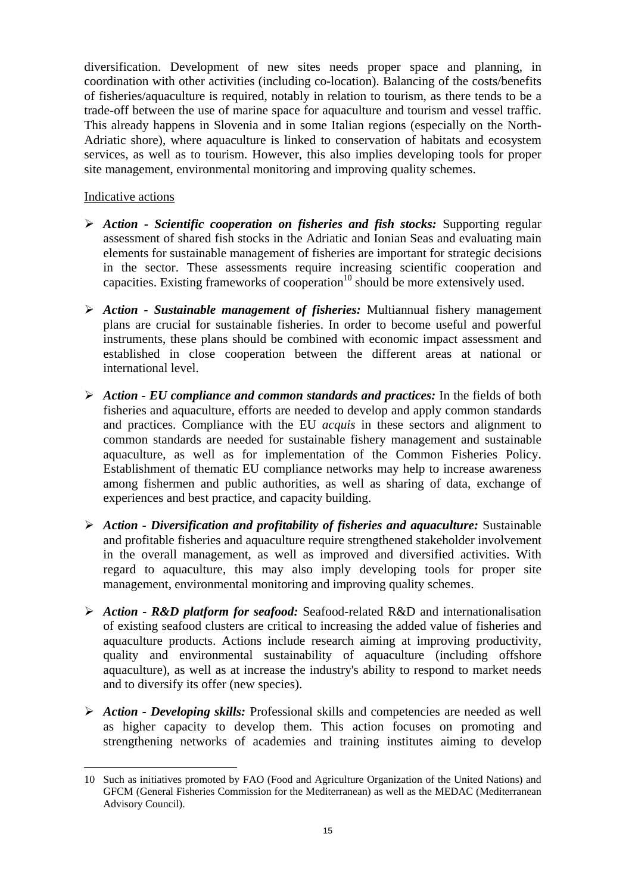diversification. Development of new sites needs proper space and planning, in coordination with other activities (including co-location). Balancing of the costs/benefits of fisheries/aquaculture is required, notably in relation to tourism, as there tends to be a trade-off between the use of marine space for aquaculture and tourism and vessel traffic. This already happens in Slovenia and in some Italian regions (especially on the North-Adriatic shore), where aquaculture is linked to conservation of habitats and ecosystem services, as well as to tourism. However, this also implies developing tools for proper site management, environmental monitoring and improving quality schemes.

## Indicative actions

- ¾ *Action Scientific cooperation on fisheries and fish stocks:* Supporting regular assessment of shared fish stocks in the Adriatic and Ionian Seas and evaluating main elements for sustainable management of fisheries are important for strategic decisions in the sector. These assessments require increasing scientific cooperation and capacities. Existing frameworks of cooperation<sup>10</sup> should be more extensively used.
- ¾ *Action Sustainable management of fisheries:* Multiannual fishery management plans are crucial for sustainable fisheries. In order to become useful and powerful instruments, these plans should be combined with economic impact assessment and established in close cooperation between the different areas at national or international level.
- $\triangleright$  *Action EU compliance and common standards and practices:* In the fields of both fisheries and aquaculture, efforts are needed to develop and apply common standards and practices. Compliance with the EU *acquis* in these sectors and alignment to common standards are needed for sustainable fishery management and sustainable aquaculture, as well as for implementation of the Common Fisheries Policy. Establishment of thematic EU compliance networks may help to increase awareness among fishermen and public authorities, as well as sharing of data, exchange of experiences and best practice, and capacity building.
- ¾ *Action Diversification and profitability of fisheries and aquaculture:* Sustainable and profitable fisheries and aquaculture require strengthened stakeholder involvement in the overall management, as well as improved and diversified activities. With regard to aquaculture, this may also imply developing tools for proper site management, environmental monitoring and improving quality schemes.
- ¾ *Action R&D platform for seafood:* Seafood-related R&D and internationalisation of existing seafood clusters are critical to increasing the added value of fisheries and aquaculture products. Actions include research aiming at improving productivity, quality and environmental sustainability of aquaculture (including offshore aquaculture), as well as at increase the industry's ability to respond to market needs and to diversify its offer (new species).
- ¾ *Action Developing skills:* Professional skills and competencies are needed as well as higher capacity to develop them. This action focuses on promoting and strengthening networks of academies and training institutes aiming to develop

 $\overline{a}$ 10 Such as initiatives promoted by FAO (Food and Agriculture Organization of the United Nations) and GFCM (General Fisheries Commission for the Mediterranean) as well as the MEDAC (Mediterranean Advisory Council).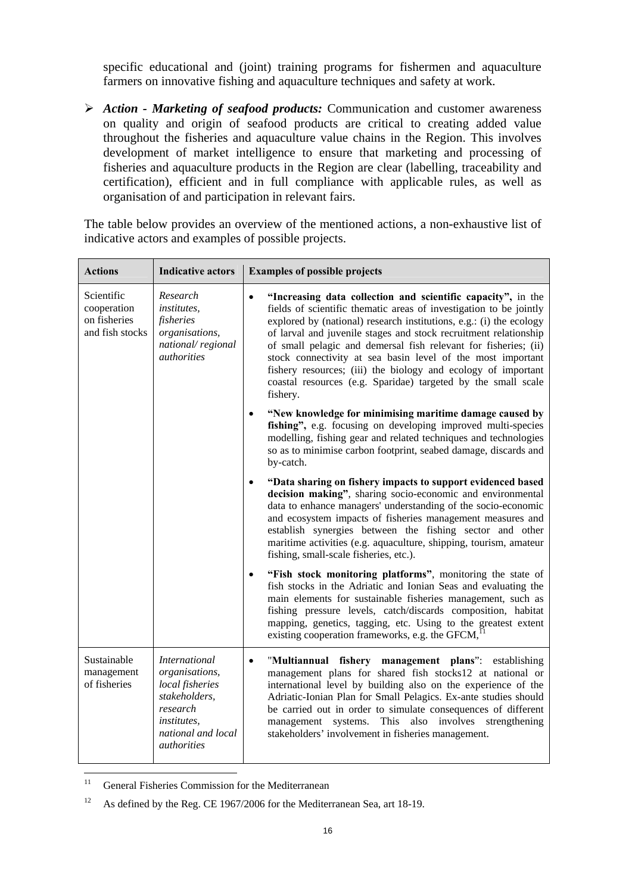specific educational and (joint) training programs for fishermen and aquaculture farmers on innovative fishing and aquaculture techniques and safety at work.

¾ *Action - Marketing of seafood products:* Communication and customer awareness on quality and origin of seafood products are critical to creating added value throughout the fisheries and aquaculture value chains in the Region. This involves development of market intelligence to ensure that marketing and processing of fisheries and aquaculture products in the Region are clear (labelling, traceability and certification), efficient and in full compliance with applicable rules, as well as organisation of and participation in relevant fairs.

The table below provides an overview of the mentioned actions, a non-exhaustive list of indicative actors and examples of possible projects.

| <b>Actions</b>                                               | <b>Indicative actors</b>                                                                                                                          | <b>Examples of possible projects</b>                                                                                                                                                                                                                                                                                                                                                                                                                                                                                                                                       |
|--------------------------------------------------------------|---------------------------------------------------------------------------------------------------------------------------------------------------|----------------------------------------------------------------------------------------------------------------------------------------------------------------------------------------------------------------------------------------------------------------------------------------------------------------------------------------------------------------------------------------------------------------------------------------------------------------------------------------------------------------------------------------------------------------------------|
| Scientific<br>cooperation<br>on fisheries<br>and fish stocks | Research<br><i>institutes,</i><br>fisheries<br>organisations,<br>national/regional<br><i>authorities</i>                                          | "Increasing data collection and scientific capacity", in the<br>$\bullet$<br>fields of scientific thematic areas of investigation to be jointly<br>explored by (national) research institutions, e.g.: (i) the ecology<br>of larval and juvenile stages and stock recruitment relationship<br>of small pelagic and demersal fish relevant for fisheries; (ii)<br>stock connectivity at sea basin level of the most important<br>fishery resources; (iii) the biology and ecology of important<br>coastal resources (e.g. Sparidae) targeted by the small scale<br>fishery. |
|                                                              |                                                                                                                                                   | "New knowledge for minimising maritime damage caused by<br>fishing", e.g. focusing on developing improved multi-species<br>modelling, fishing gear and related techniques and technologies<br>so as to minimise carbon footprint, seabed damage, discards and<br>by-catch.                                                                                                                                                                                                                                                                                                 |
|                                                              |                                                                                                                                                   | "Data sharing on fishery impacts to support evidenced based<br>decision making", sharing socio-economic and environmental<br>data to enhance managers' understanding of the socio-economic<br>and ecosystem impacts of fisheries management measures and<br>establish synergies between the fishing sector and other<br>maritime activities (e.g. aquaculture, shipping, tourism, amateur<br>fishing, small-scale fisheries, etc.).                                                                                                                                        |
|                                                              |                                                                                                                                                   | "Fish stock monitoring platforms", monitoring the state of<br>$\bullet$<br>fish stocks in the Adriatic and Ionian Seas and evaluating the<br>main elements for sustainable fisheries management, such as<br>fishing pressure levels, catch/discards composition, habitat<br>mapping, genetics, tagging, etc. Using to the greatest extent<br>existing cooperation frameworks, e.g. the GFCM,                                                                                                                                                                               |
| Sustainable<br>management<br>of fisheries                    | <b>International</b><br>organisations,<br>local fisheries<br>stakeholders,<br>research<br>institutes.<br>national and local<br><i>authorities</i> | "Multiannual fishery management plans": establishing<br>$\bullet$<br>management plans for shared fish stocks12 at national or<br>international level by building also on the experience of the<br>Adriatic-Ionian Plan for Small Pelagics. Ex-ante studies should<br>be carried out in order to simulate consequences of different<br>management systems. This also involves strengthening<br>stakeholders' involvement in fisheries management.                                                                                                                           |

 $11$ General Fisheries Commission for the Mediterranean

<sup>&</sup>lt;sup>12</sup> As defined by the Reg. CE 1967/2006 for the Mediterranean Sea, art 18-19.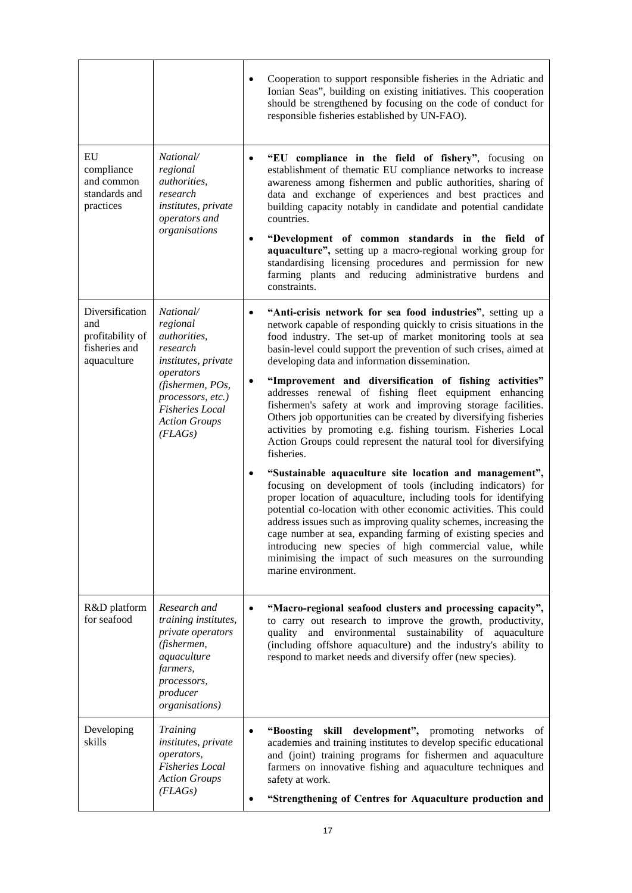|                                                                            |                                                                                                                                                  | Cooperation to support responsible fisheries in the Adriatic and<br>Ionian Seas", building on existing initiatives. This cooperation<br>should be strengthened by focusing on the code of conduct for<br>responsible fisheries established by UN-FAO).                                                                                                                                                                                                                                                                                                                                                 |
|----------------------------------------------------------------------------|--------------------------------------------------------------------------------------------------------------------------------------------------|--------------------------------------------------------------------------------------------------------------------------------------------------------------------------------------------------------------------------------------------------------------------------------------------------------------------------------------------------------------------------------------------------------------------------------------------------------------------------------------------------------------------------------------------------------------------------------------------------------|
| EU<br>compliance<br>and common<br>standards and<br>practices               | National/<br>regional<br>authorities,<br>research<br>institutes, private<br>operators and<br>organisations                                       | "EU compliance in the field of fishery", focusing on<br>$\bullet$<br>establishment of thematic EU compliance networks to increase<br>awareness among fishermen and public authorities, sharing of<br>data and exchange of experiences and best practices and<br>building capacity notably in candidate and potential candidate<br>countries.<br>"Development of common standards in the field of<br>aquaculture", setting up a macro-regional working group for<br>standardising licensing procedures and permission for new<br>farming plants and reducing administrative burdens and<br>constraints. |
| Diversification<br>and<br>profitability of<br>fisheries and<br>aquaculture | National/<br>regional<br>authorities,<br>research<br>institutes, private                                                                         | "Anti-crisis network for sea food industries", setting up a<br>$\bullet$<br>network capable of responding quickly to crisis situations in the<br>food industry. The set-up of market monitoring tools at sea<br>basin-level could support the prevention of such crises, aimed at<br>developing data and information dissemination.                                                                                                                                                                                                                                                                    |
|                                                                            | operators<br>(fishermen, POs,<br>processors, etc.)<br><b>Fisheries Local</b><br><b>Action Groups</b><br>(FLAGs)                                  | "Improvement and diversification of fishing activities"<br>$\bullet$<br>addresses renewal of fishing fleet equipment enhancing<br>fishermen's safety at work and improving storage facilities.<br>Others job opportunities can be created by diversifying fisheries<br>activities by promoting e.g. fishing tourism. Fisheries Local<br>Action Groups could represent the natural tool for diversifying<br>fisheries.                                                                                                                                                                                  |
|                                                                            |                                                                                                                                                  | "Sustainable aquaculture site location and management",<br>$\bullet$<br>focusing on development of tools (including indicators) for<br>proper location of aquaculture, including tools for identifying<br>potential co-location with other economic activities. This could<br>address issues such as improving quality schemes, increasing the<br>cage number at sea, expanding farming of existing species and<br>introducing new species of high commercial value, while<br>minimising the impact of such measures on the surrounding<br>marine environment.                                         |
| R&D platform<br>for seafood                                                | Research and<br>training institutes,<br>private operators<br>(fishermen,<br>aquaculture<br>farmers,<br>processors,<br>producer<br>organisations) | "Macro-regional seafood clusters and processing capacity",<br>$\bullet$<br>to carry out research to improve the growth, productivity,<br>and environmental sustainability of aquaculture<br>quality<br>(including offshore aquaculture) and the industry's ability to<br>respond to market needs and diversify offer (new species).                                                                                                                                                                                                                                                                    |
| Developing<br>skills                                                       | <i>Training</i><br>institutes, private<br>operators,<br><b>Fisheries</b> Local<br><b>Action Groups</b><br>(FLAGs)                                | "Boosting skill development", promoting networks of<br>$\bullet$<br>academies and training institutes to develop specific educational<br>and (joint) training programs for fishermen and aquaculture<br>farmers on innovative fishing and aquaculture techniques and<br>safety at work.<br>"Strengthening of Centres for Aquaculture production and                                                                                                                                                                                                                                                    |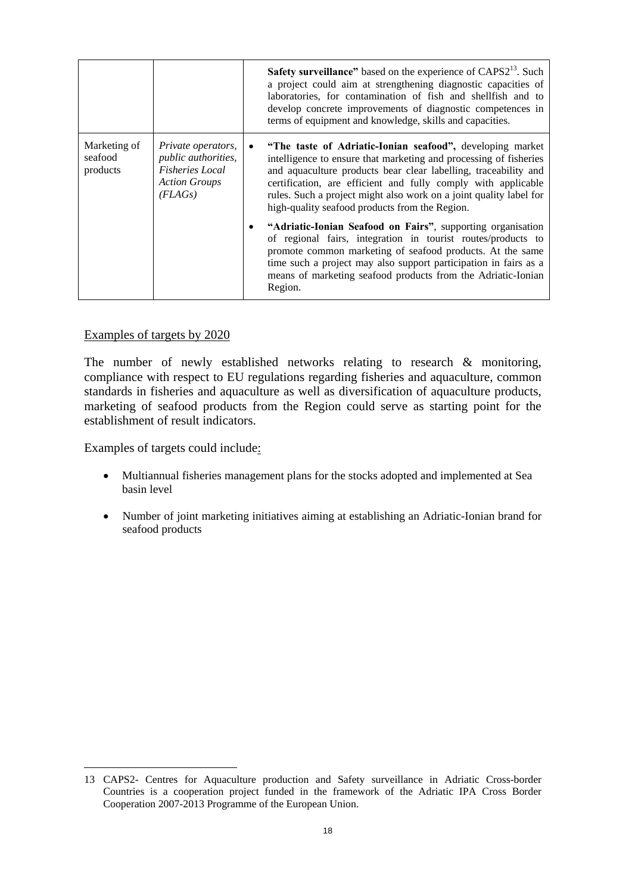|                                     |                                                                                                                      | <b>Safety surveillance</b> " based on the experience of CAPS2 <sup>13</sup> . Such<br>a project could aim at strengthening diagnostic capacities of<br>laboratories, for contamination of fish and shellfish and to<br>develop concrete improvements of diagnostic competences in<br>terms of equipment and knowledge, skills and capacities.                                                           |
|-------------------------------------|----------------------------------------------------------------------------------------------------------------------|---------------------------------------------------------------------------------------------------------------------------------------------------------------------------------------------------------------------------------------------------------------------------------------------------------------------------------------------------------------------------------------------------------|
| Marketing of<br>seafood<br>products | <i>Private operators,</i><br><i>public authorities,</i><br><b>Fisheries</b> Local<br><b>Action Groups</b><br>(FLAGs) | "The taste of Adriatic-Ionian seafood", developing market<br>$\bullet$<br>intelligence to ensure that marketing and processing of fisheries<br>and aquaculture products bear clear labelling, traceability and<br>certification, are efficient and fully comply with applicable<br>rules. Such a project might also work on a joint quality label for<br>high-quality seafood products from the Region. |
|                                     |                                                                                                                      | "Adriatic-Ionian Seafood on Fairs", supporting organisation<br>٠<br>of regional fairs, integration in tourist routes/products to<br>promote common marketing of seafood products. At the same<br>time such a project may also support participation in fairs as a<br>means of marketing seafood products from the Adriatic-Ionian<br>Region.                                                            |

## Examples of targets by 2020

The number of newly established networks relating to research & monitoring, compliance with respect to EU regulations regarding fisheries and aquaculture, common standards in fisheries and aquaculture as well as diversification of aquaculture products, marketing of seafood products from the Region could serve as starting point for the establishment of result indicators.

Examples of targets could include:

 $\overline{a}$ 

- Multiannual fisheries management plans for the stocks adopted and implemented at Sea basin level
- Number of joint marketing initiatives aiming at establishing an Adriatic-Ionian brand for seafood products

<sup>13</sup> CAPS2- Centres for Aquaculture production and Safety surveillance in Adriatic Cross-border Countries is a cooperation project funded in the framework of the Adriatic IPA Cross Border Cooperation 2007-2013 Programme of the European Union.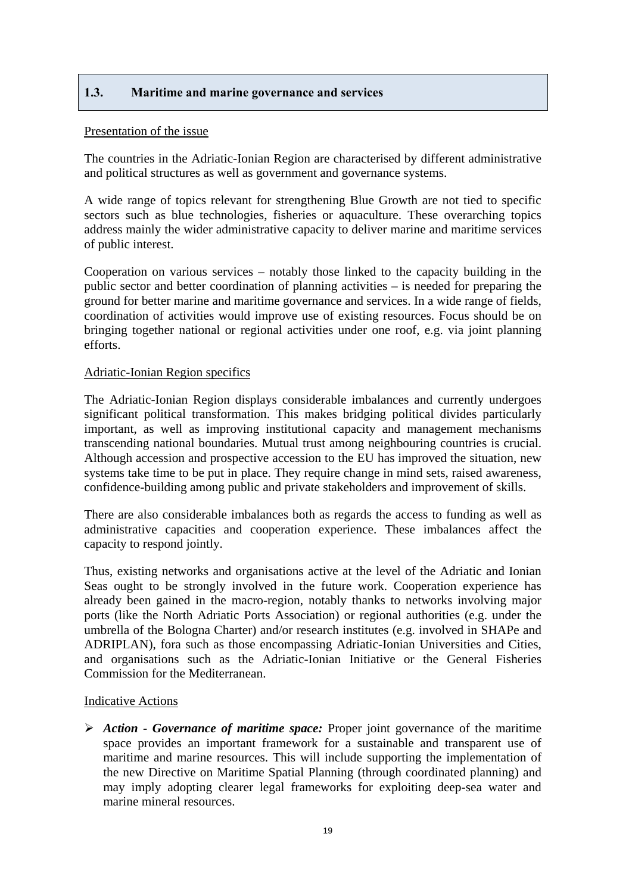## <span id="page-18-0"></span>**1.3. Maritime and marine governance and services**

#### Presentation of the issue

The countries in the Adriatic-Ionian Region are characterised by different administrative and political structures as well as government and governance systems.

A wide range of topics relevant for strengthening Blue Growth are not tied to specific sectors such as blue technologies, fisheries or aquaculture. These overarching topics address mainly the wider administrative capacity to deliver marine and maritime services of public interest.

Cooperation on various services – notably those linked to the capacity building in the public sector and better coordination of planning activities – is needed for preparing the ground for better marine and maritime governance and services. In a wide range of fields, coordination of activities would improve use of existing resources. Focus should be on bringing together national or regional activities under one roof, e.g. via joint planning efforts.

## Adriatic-Ionian Region specifics

The Adriatic-Ionian Region displays considerable imbalances and currently undergoes significant political transformation. This makes bridging political divides particularly important, as well as improving institutional capacity and management mechanisms transcending national boundaries. Mutual trust among neighbouring countries is crucial. Although accession and prospective accession to the EU has improved the situation, new systems take time to be put in place. They require change in mind sets, raised awareness, confidence-building among public and private stakeholders and improvement of skills.

There are also considerable imbalances both as regards the access to funding as well as administrative capacities and cooperation experience. These imbalances affect the capacity to respond jointly.

Thus, existing networks and organisations active at the level of the Adriatic and Ionian Seas ought to be strongly involved in the future work. Cooperation experience has already been gained in the macro-region, notably thanks to networks involving major ports (like the North Adriatic Ports Association) or regional authorities (e.g. under the umbrella of the Bologna Charter) and/or research institutes (e.g. involved in SHAPe and ADRIPLAN), fora such as those encompassing Adriatic-Ionian Universities and Cities, and organisations such as the Adriatic-Ionian Initiative or the General Fisheries Commission for the Mediterranean.

## Indicative Actions

¾ *Action - Governance of maritime space:* Proper joint governance of the maritime space provides an important framework for a sustainable and transparent use of maritime and marine resources. This will include supporting the implementation of the new Directive on Maritime Spatial Planning (through coordinated planning) and may imply adopting clearer legal frameworks for exploiting deep-sea water and marine mineral resources.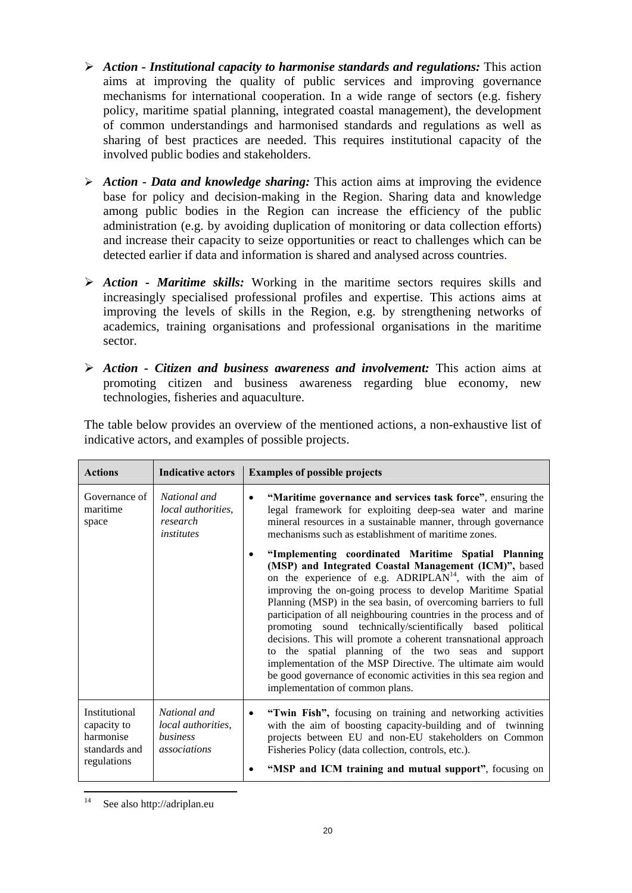- ¾ *Action Institutional capacity to harmonise standards and regulations:* This action aims at improving the quality of public services and improving governance mechanisms for international cooperation. In a wide range of sectors (e.g. fishery policy, maritime spatial planning, integrated coastal management), the development of common understandings and harmonised standards and regulations as well as sharing of best practices are needed. This requires institutional capacity of the involved public bodies and stakeholders.
- ¾ *Action Data and knowledge sharing:* This action aims at improving the evidence base for policy and decision-making in the Region. Sharing data and knowledge among public bodies in the Region can increase the efficiency of the public administration (e.g. by avoiding duplication of monitoring or data collection efforts) and increase their capacity to seize opportunities or react to challenges which can be detected earlier if data and information is shared and analysed across countries.
- ¾ *Action Maritime skills:* Working in the maritime sectors requires skills and increasingly specialised professional profiles and expertise. This actions aims at improving the levels of skills in the Region, e.g. by strengthening networks of academics, training organisations and professional organisations in the maritime sector.
- ¾ *Action Citizen and business awareness and involvement:* This action aims at promoting citizen and business awareness regarding blue economy, new technologies, fisheries and aquaculture.

| The table below provides an overview of the mentioned actions, a non-exhaustive list of |  |  |  |  |
|-----------------------------------------------------------------------------------------|--|--|--|--|
| indicative actors, and examples of possible projects.                                   |  |  |  |  |

| <b>Actions</b>                                                            | <b>Indicative actors</b>                                              | <b>Examples of possible projects</b>                                                                                                                                                                                                                                                                                                                                                                                                                                                                                                                                                                                                                                                                                                                  |
|---------------------------------------------------------------------------|-----------------------------------------------------------------------|-------------------------------------------------------------------------------------------------------------------------------------------------------------------------------------------------------------------------------------------------------------------------------------------------------------------------------------------------------------------------------------------------------------------------------------------------------------------------------------------------------------------------------------------------------------------------------------------------------------------------------------------------------------------------------------------------------------------------------------------------------|
| Governance of<br>maritime<br>space                                        | National and<br><i>local authorities.</i><br>research<br>institutes   | "Maritime governance and services task force", ensuring the<br>$\bullet$<br>legal framework for exploiting deep-sea water and marine<br>mineral resources in a sustainable manner, through governance<br>mechanisms such as establishment of maritime zones.                                                                                                                                                                                                                                                                                                                                                                                                                                                                                          |
|                                                                           |                                                                       | "Implementing coordinated Maritime Spatial Planning<br>(MSP) and Integrated Coastal Management (ICM)", based<br>on the experience of e.g. ADRIPLAN <sup>14</sup> , with the aim of<br>improving the on-going process to develop Maritime Spatial<br>Planning (MSP) in the sea basin, of overcoming barriers to full<br>participation of all neighbouring countries in the process and of<br>promoting sound technically/scientifically based political<br>decisions. This will promote a coherent transnational approach<br>to the spatial planning of the two seas and support<br>implementation of the MSP Directive. The ultimate aim would<br>be good governance of economic activities in this sea region and<br>implementation of common plans. |
| Institutional<br>capacity to<br>harmonise<br>standards and<br>regulations | National and<br><i>local authorities,</i><br>business<br>associations | "Twin Fish", focusing on training and networking activities<br>$\bullet$<br>with the aim of boosting capacity-building and of twinning<br>projects between EU and non-EU stakeholders on Common<br>Fisheries Policy (data collection, controls, etc.).<br>"MSP and ICM training and mutual support", focusing on                                                                                                                                                                                                                                                                                                                                                                                                                                      |

 $14$ See also http://adriplan.eu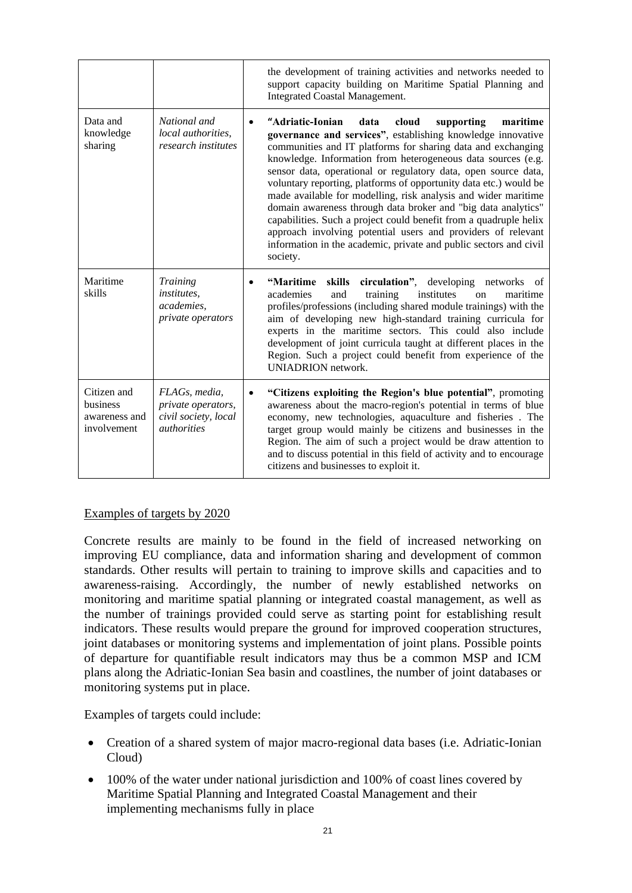|                                                         |                                                                                          | the development of training activities and networks needed to<br>support capacity building on Maritime Spatial Planning and<br><b>Integrated Coastal Management.</b>                                                                                                                                                                                                                                                                                                                                                                                                                                                                                                                                                                                                    |
|---------------------------------------------------------|------------------------------------------------------------------------------------------|-------------------------------------------------------------------------------------------------------------------------------------------------------------------------------------------------------------------------------------------------------------------------------------------------------------------------------------------------------------------------------------------------------------------------------------------------------------------------------------------------------------------------------------------------------------------------------------------------------------------------------------------------------------------------------------------------------------------------------------------------------------------------|
| Data and<br>knowledge<br>sharing                        | National and<br>local authorities,<br>research institutes                                | "Adriatic-Ionian<br>cloud<br>data<br>supporting<br>maritime<br>$\bullet$<br>governance and services", establishing knowledge innovative<br>communities and IT platforms for sharing data and exchanging<br>knowledge. Information from heterogeneous data sources (e.g.<br>sensor data, operational or regulatory data, open source data,<br>voluntary reporting, platforms of opportunity data etc.) would be<br>made available for modelling, risk analysis and wider maritime<br>domain awareness through data broker and "big data analytics"<br>capabilities. Such a project could benefit from a quadruple helix<br>approach involving potential users and providers of relevant<br>information in the academic, private and public sectors and civil<br>society. |
| Maritime<br>skills                                      | <b>Training</b><br><i>institutes.</i><br>academies,<br>private operators                 | skills circulation", developing networks of<br>"Maritime<br>academies<br>training<br>institutes<br>maritime<br>and<br><sub>on</sub><br>profiles/professions (including shared module trainings) with the<br>aim of developing new high-standard training curricula for<br>experts in the maritime sectors. This could also include<br>development of joint curricula taught at different places in the<br>Region. Such a project could benefit from experience of the<br><b>UNIADRION</b> network.                                                                                                                                                                                                                                                                      |
| Citizen and<br>business<br>awareness and<br>involvement | FLAGs, media,<br>private operators,<br>civil society, local<br><i><u>authorities</u></i> | "Citizens exploiting the Region's blue potential", promoting<br>$\bullet$<br>awareness about the macro-region's potential in terms of blue<br>economy, new technologies, aquaculture and fisheries. The<br>target group would mainly be citizens and businesses in the<br>Region. The aim of such a project would be draw attention to<br>and to discuss potential in this field of activity and to encourage<br>citizens and businesses to exploit it.                                                                                                                                                                                                                                                                                                                 |

## Examples of targets by 2020

Concrete results are mainly to be found in the field of increased networking on improving EU compliance, data and information sharing and development of common standards. Other results will pertain to training to improve skills and capacities and to awareness-raising. Accordingly, the number of newly established networks on monitoring and maritime spatial planning or integrated coastal management, as well as the number of trainings provided could serve as starting point for establishing result indicators. These results would prepare the ground for improved cooperation structures, joint databases or monitoring systems and implementation of joint plans. Possible points of departure for quantifiable result indicators may thus be a common MSP and ICM plans along the Adriatic-Ionian Sea basin and coastlines, the number of joint databases or monitoring systems put in place.

Examples of targets could include:

- Creation of a shared system of major macro-regional data bases (i.e. Adriatic-Ionian Cloud)
- 100% of the water under national jurisdiction and 100% of coast lines covered by Maritime Spatial Planning and Integrated Coastal Management and their implementing mechanisms fully in place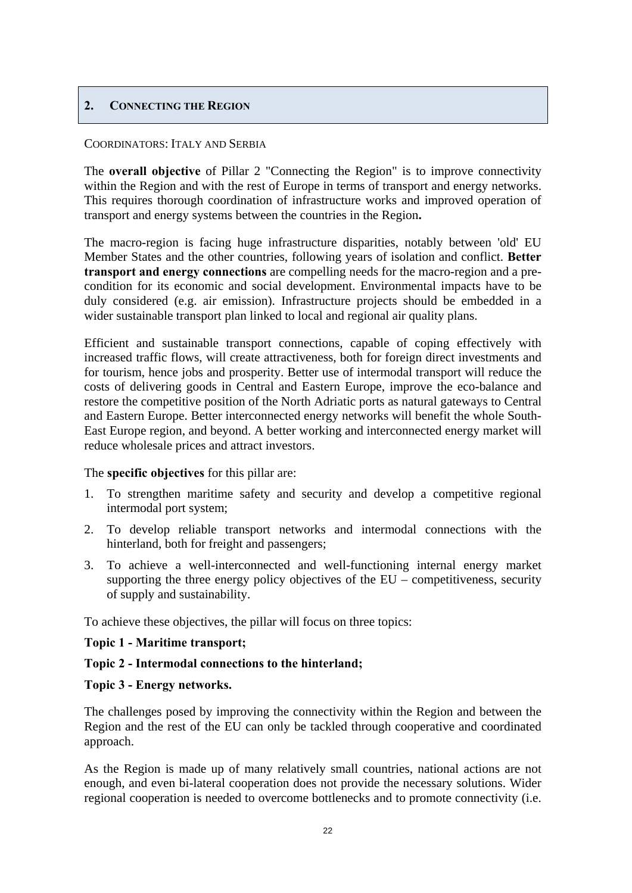## <span id="page-21-0"></span>**2. CONNECTING THE REGION**

#### COORDINATORS: ITALY AND SERBIA

The **overall objective** of Pillar 2 "Connecting the Region" is to improve connectivity within the Region and with the rest of Europe in terms of transport and energy networks. This requires thorough coordination of infrastructure works and improved operation of transport and energy systems between the countries in the Region**.** 

The macro-region is facing huge infrastructure disparities, notably between 'old' EU Member States and the other countries, following years of isolation and conflict. **Better transport and energy connections** are compelling needs for the macro-region and a precondition for its economic and social development. Environmental impacts have to be duly considered (e.g. air emission). Infrastructure projects should be embedded in a wider sustainable transport plan linked to local and regional air quality plans.

Efficient and sustainable transport connections, capable of coping effectively with increased traffic flows, will create attractiveness, both for foreign direct investments and for tourism, hence jobs and prosperity. Better use of intermodal transport will reduce the costs of delivering goods in Central and Eastern Europe, improve the eco-balance and restore the competitive position of the North Adriatic ports as natural gateways to Central and Eastern Europe. Better interconnected energy networks will benefit the whole South-East Europe region, and beyond. A better working and interconnected energy market will reduce wholesale prices and attract investors.

The **specific objectives** for this pillar are:

- 1. To strengthen maritime safety and security and develop a competitive regional intermodal port system;
- 2. To develop reliable transport networks and intermodal connections with the hinterland, both for freight and passengers;
- 3. To achieve a well-interconnected and well-functioning internal energy market supporting the three energy policy objectives of the  $EU$  – competitiveness, security of supply and sustainability.

To achieve these objectives, the pillar will focus on three topics:

## **Topic 1 - Maritime transport;**

#### **Topic 2 - Intermodal connections to the hinterland;**

#### **Topic 3 - Energy networks.**

The challenges posed by improving the connectivity within the Region and between the Region and the rest of the EU can only be tackled through cooperative and coordinated approach.

As the Region is made up of many relatively small countries, national actions are not enough, and even bi-lateral cooperation does not provide the necessary solutions. Wider regional cooperation is needed to overcome bottlenecks and to promote connectivity (i.e.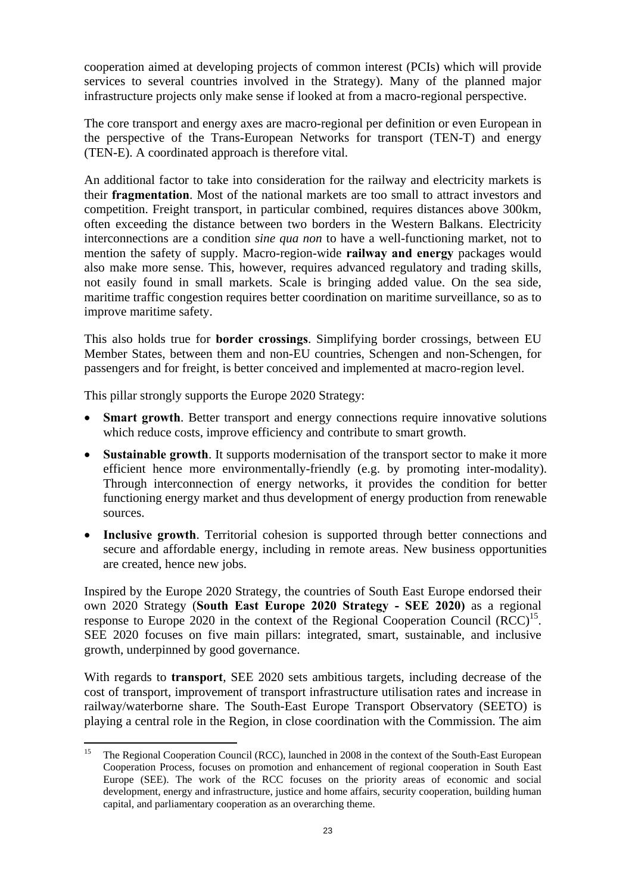cooperation aimed at developing projects of common interest (PCIs) which will provide services to several countries involved in the Strategy). Many of the planned major infrastructure projects only make sense if looked at from a macro-regional perspective.

The core transport and energy axes are macro-regional per definition or even European in the perspective of the Trans-European Networks for transport (TEN-T) and energy (TEN-E). A coordinated approach is therefore vital.

An additional factor to take into consideration for the railway and electricity markets is their **fragmentation**. Most of the national markets are too small to attract investors and competition. Freight transport, in particular combined, requires distances above 300km, often exceeding the distance between two borders in the Western Balkans. Electricity interconnections are a condition *sine qua non* to have a well-functioning market, not to mention the safety of supply. Macro-region-wide **railway and energy** packages would also make more sense. This, however, requires advanced regulatory and trading skills, not easily found in small markets. Scale is bringing added value. On the sea side, maritime traffic congestion requires better coordination on maritime surveillance, so as to improve maritime safety.

This also holds true for **border crossings**. Simplifying border crossings, between EU Member States, between them and non-EU countries, Schengen and non-Schengen, for passengers and for freight, is better conceived and implemented at macro-region level.

This pillar strongly supports the Europe 2020 Strategy:

- **Smart growth**. Better transport and energy connections require innovative solutions which reduce costs, improve efficiency and contribute to smart growth.
- **Sustainable growth**. It supports modernisation of the transport sector to make it more efficient hence more environmentally-friendly (e.g. by promoting inter-modality). Through interconnection of energy networks, it provides the condition for better functioning energy market and thus development of energy production from renewable sources.
- **Inclusive growth**. Territorial cohesion is supported through better connections and secure and affordable energy, including in remote areas. New business opportunities are created, hence new jobs.

Inspired by the Europe 2020 Strategy, the countries of South East Europe endorsed their own 2020 Strategy (**South East Europe 2020 Strategy - SEE 2020)** as a regional response to Europe 2020 in the context of the Regional Cooperation Council  $(RCC)^{15}$ . SEE 2020 focuses on five main pillars: integrated, smart, sustainable, and inclusive growth, underpinned by good governance.

With regards to **transport**, SEE 2020 sets ambitious targets, including decrease of the cost of transport, improvement of transport infrastructure utilisation rates and increase in railway/waterborne share. The South-East Europe Transport Observatory (SEETO) is playing a central role in the Region, in close coordination with the Commission. The aim

 $15$ 15 The Regional Cooperation Council (RCC), launched in 2008 in the context of the South-East European Cooperation Process, focuses on promotion and enhancement of regional cooperation in South East Europe (SEE). The work of the RCC focuses on the priority areas of economic and social development, energy and infrastructure, justice and home affairs, security cooperation, building human capital, and parliamentary cooperation as an overarching theme.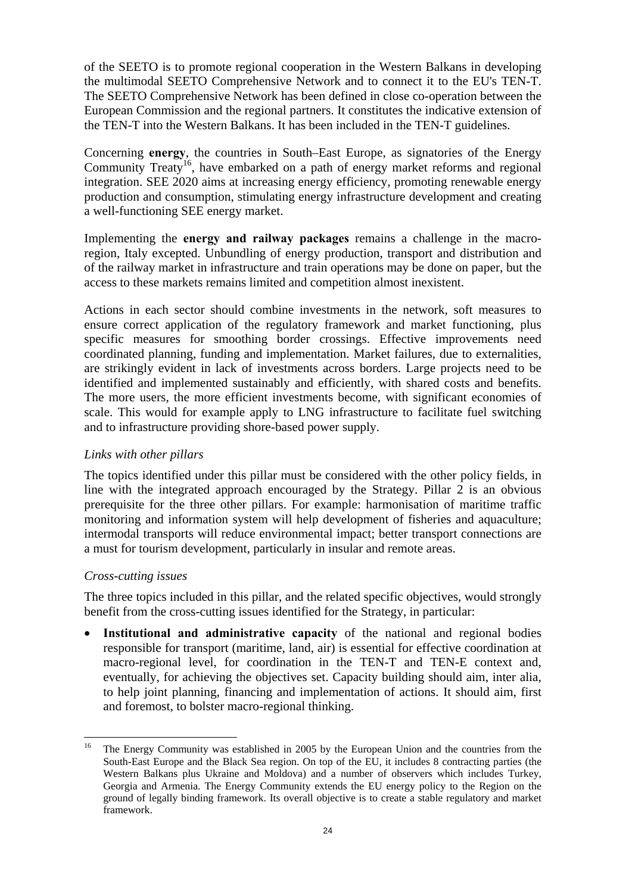of the SEETO is to promote regional cooperation in the Western Balkans in developing the multimodal SEETO Comprehensive Network and to connect it to the EU's TEN-T. The SEETO Comprehensive Network has been defined in close co-operation between the European Commission and the regional partners. It constitutes the indicative extension of the TEN-T into the Western Balkans. It has been included in the TEN-T guidelines.

Concerning **energy**, the countries in South–East Europe, as signatories of the Energy Community Treaty<sup>16</sup>, have embarked on a path of energy market reforms and regional integration. SEE 2020 aims at increasing energy efficiency, promoting renewable energy production and consumption, stimulating energy infrastructure development and creating a well-functioning SEE energy market.

Implementing the **energy and railway packages** remains a challenge in the macroregion, Italy excepted. Unbundling of energy production, transport and distribution and of the railway market in infrastructure and train operations may be done on paper, but the access to these markets remains limited and competition almost inexistent.

Actions in each sector should combine investments in the network, soft measures to ensure correct application of the regulatory framework and market functioning, plus specific measures for smoothing border crossings. Effective improvements need coordinated planning, funding and implementation. Market failures, due to externalities, are strikingly evident in lack of investments across borders. Large projects need to be identified and implemented sustainably and efficiently, with shared costs and benefits. The more users, the more efficient investments become, with significant economies of scale. This would for example apply to LNG infrastructure to facilitate fuel switching and to infrastructure providing shore-based power supply.

## *Links with other pillars*

The topics identified under this pillar must be considered with the other policy fields, in line with the integrated approach encouraged by the Strategy. Pillar 2 is an obvious prerequisite for the three other pillars. For example: harmonisation of maritime traffic monitoring and information system will help development of fisheries and aquaculture; intermodal transports will reduce environmental impact; better transport connections are a must for tourism development, particularly in insular and remote areas.

## *Cross-cutting issues*

The three topics included in this pillar, and the related specific objectives, would strongly benefit from the cross-cutting issues identified for the Strategy, in particular:

• **Institutional and administrative capacity** of the national and regional bodies responsible for transport (maritime, land, air) is essential for effective coordination at macro-regional level, for coordination in the TEN-T and TEN-E context and, eventually, for achieving the objectives set. Capacity building should aim, inter alia, to help joint planning, financing and implementation of actions. It should aim, first and foremost, to bolster macro-regional thinking.

 $16$ 16 The Energy Community was established in 2005 by the European Union and the countries from the South-East Europe and the Black Sea region. On top of the EU, it includes 8 contracting parties (the Western Balkans plus Ukraine and Moldova) and a number of observers which includes Turkey, Georgia and Armenia. The Energy Community extends the EU energy policy to the Region on the ground of legally binding framework. Its overall objective is to create a stable regulatory and market framework.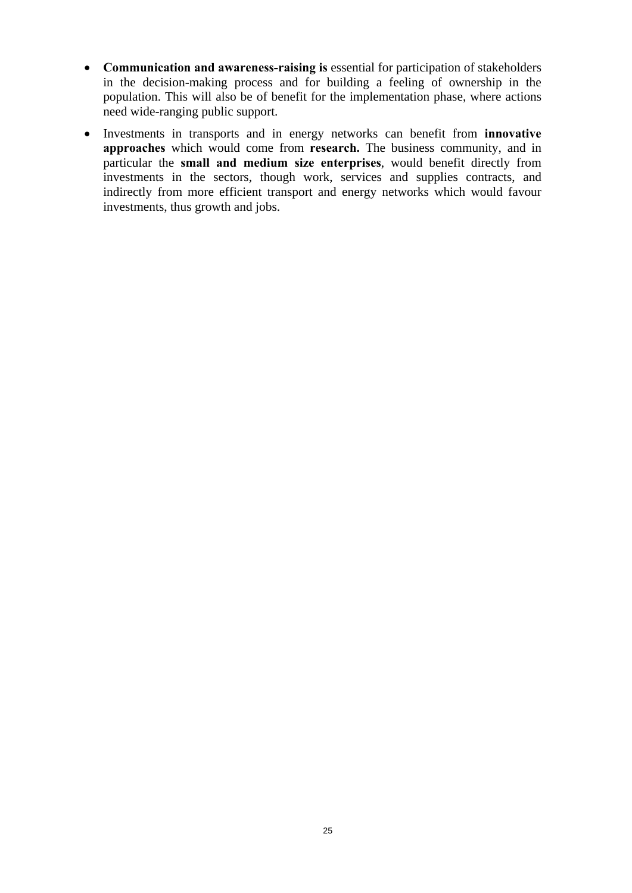- **Communication and awareness-raising is** essential for participation of stakeholders in the decision-making process and for building a feeling of ownership in the population. This will also be of benefit for the implementation phase, where actions need wide-ranging public support.
- Investments in transports and in energy networks can benefit from **innovative approaches** which would come from **research.** The business community, and in particular the **small and medium size enterprises**, would benefit directly from investments in the sectors, though work, services and supplies contracts, and indirectly from more efficient transport and energy networks which would favour investments, thus growth and jobs.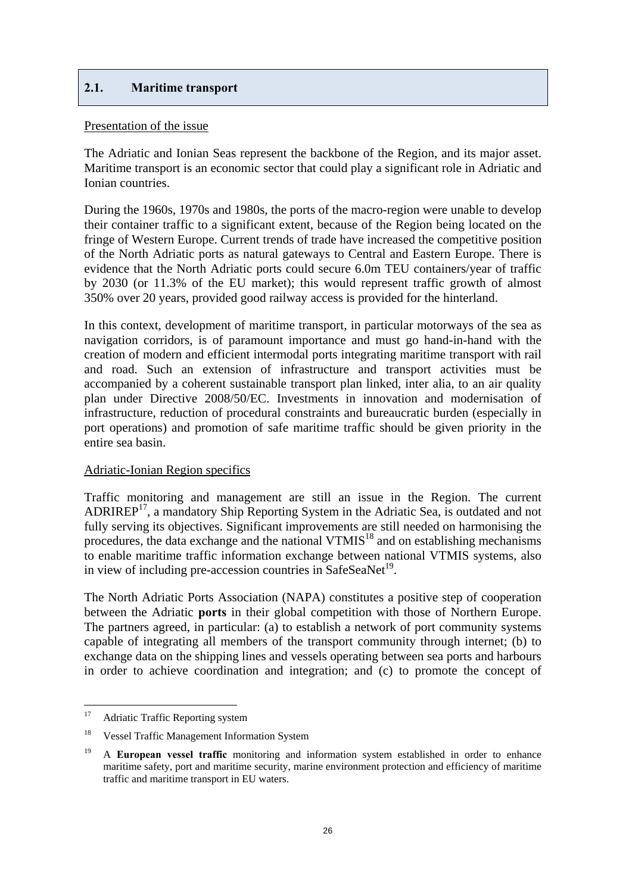## <span id="page-25-0"></span>**2.1. Maritime transport**

#### Presentation of the issue

The Adriatic and Ionian Seas represent the backbone of the Region, and its major asset. Maritime transport is an economic sector that could play a significant role in Adriatic and Ionian countries.

During the 1960s, 1970s and 1980s, the ports of the macro-region were unable to develop their container traffic to a significant extent, because of the Region being located on the fringe of Western Europe. Current trends of trade have increased the competitive position of the North Adriatic ports as natural gateways to Central and Eastern Europe. There is evidence that the North Adriatic ports could secure 6.0m TEU containers/year of traffic by 2030 (or 11.3% of the EU market); this would represent traffic growth of almost 350% over 20 years, provided good railway access is provided for the hinterland.

In this context, development of maritime transport, in particular motorways of the sea as navigation corridors, is of paramount importance and must go hand-in-hand with the creation of modern and efficient intermodal ports integrating maritime transport with rail and road. Such an extension of infrastructure and transport activities must be accompanied by a coherent sustainable transport plan linked, inter alia, to an air quality plan under Directive 2008/50/EC. Investments in innovation and modernisation of infrastructure, reduction of procedural constraints and bureaucratic burden (especially in port operations) and promotion of safe maritime traffic should be given priority in the entire sea basin.

## Adriatic-Ionian Region specifics

Traffic monitoring and management are still an issue in the Region. The current ADRIREP17, a mandatory Ship Reporting System in the Adriatic Sea, is outdated and not fully serving its objectives. Significant improvements are still needed on harmonising the procedures, the data exchange and the national  $VTMIS<sup>18</sup>$  and on establishing mechanisms to enable maritime traffic information exchange between national VTMIS systems, also in view of including pre-accession countries in SafeSeaNet<sup>19</sup>.

The North Adriatic Ports Association (NAPA) constitutes a positive step of cooperation between the Adriatic **ports** in their global competition with those of Northern Europe. The partners agreed, in particular: (a) to establish a network of port community systems capable of integrating all members of the transport community through internet; (b) to exchange data on the shipping lines and vessels operating between sea ports and harbours in order to achieve coordination and integration; and (c) to promote the concept of

 $17\,$ Adriatic Traffic Reporting system

<sup>&</sup>lt;sup>18</sup> Vessel Traffic Management Information System

<sup>&</sup>lt;sup>19</sup> A **European vessel traffic** monitoring and information system established in order to enhance maritime safety, port and maritime security, marine environment protection and efficiency of maritime traffic and maritime transport in EU waters.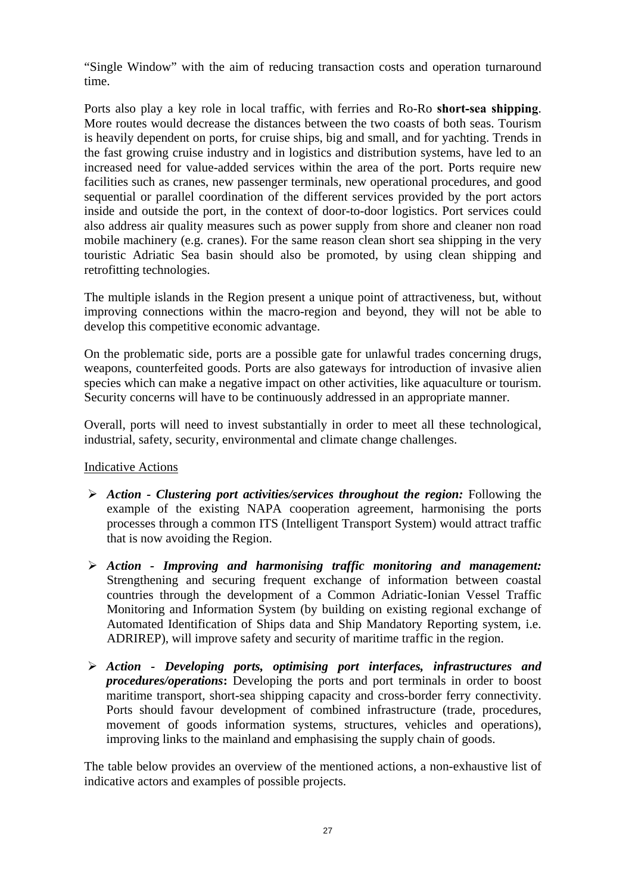"Single Window" with the aim of reducing transaction costs and operation turnaround time.

Ports also play a key role in local traffic, with ferries and Ro-Ro **short-sea shipping**. More routes would decrease the distances between the two coasts of both seas. Tourism is heavily dependent on ports, for cruise ships, big and small, and for yachting. Trends in the fast growing cruise industry and in logistics and distribution systems, have led to an increased need for value-added services within the area of the port. Ports require new facilities such as cranes, new passenger terminals, new operational procedures, and good sequential or parallel coordination of the different services provided by the port actors inside and outside the port, in the context of door-to-door logistics. Port services could also address air quality measures such as power supply from shore and cleaner non road mobile machinery (e.g. cranes). For the same reason clean short sea shipping in the very touristic Adriatic Sea basin should also be promoted, by using clean shipping and retrofitting technologies.

The multiple islands in the Region present a unique point of attractiveness, but, without improving connections within the macro-region and beyond, they will not be able to develop this competitive economic advantage.

On the problematic side, ports are a possible gate for unlawful trades concerning drugs, weapons, counterfeited goods. Ports are also gateways for introduction of invasive alien species which can make a negative impact on other activities, like aquaculture or tourism. Security concerns will have to be continuously addressed in an appropriate manner.

Overall, ports will need to invest substantially in order to meet all these technological, industrial, safety, security, environmental and climate change challenges.

## Indicative Actions

- ¾ *Action Clustering port activities/services throughout the region:* Following the example of the existing NAPA cooperation agreement, harmonising the ports processes through a common ITS (Intelligent Transport System) would attract traffic that is now avoiding the Region.
- ¾ *Action Improving and harmonising traffic monitoring and management:* Strengthening and securing frequent exchange of information between coastal countries through the development of a Common Adriatic-Ionian Vessel Traffic Monitoring and Information System (by building on existing regional exchange of Automated Identification of Ships data and Ship Mandatory Reporting system, i.e. ADRIREP), will improve safety and security of maritime traffic in the region.
- ¾ *Action Developing ports, optimising port interfaces, infrastructures and procedures/operations***:** Developing the ports and port terminals in order to boost maritime transport, short-sea shipping capacity and cross-border ferry connectivity. Ports should favour development of combined infrastructure (trade, procedures, movement of goods information systems, structures, vehicles and operations), improving links to the mainland and emphasising the supply chain of goods.

The table below provides an overview of the mentioned actions, a non-exhaustive list of indicative actors and examples of possible projects.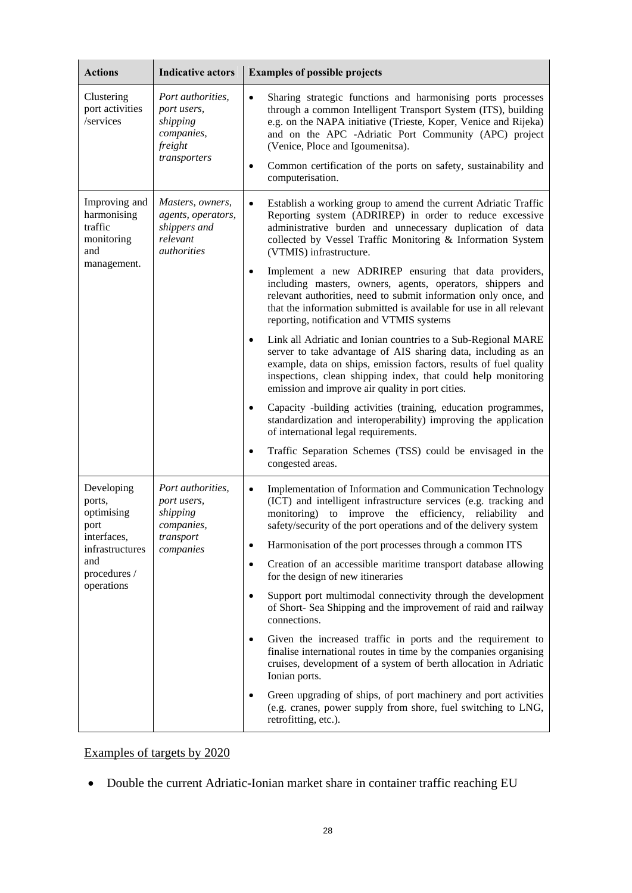| <b>Actions</b>                                                                                                    | <b>Indicative actors</b>                                                                        | <b>Examples of possible projects</b>                                                                                                                                                                                                                                                                                                                                                                                                                                                                                                                                                                                                                                                                                                                                                                                                                                                                                                                                                                                                                                                                                                                                                                                                           |
|-------------------------------------------------------------------------------------------------------------------|-------------------------------------------------------------------------------------------------|------------------------------------------------------------------------------------------------------------------------------------------------------------------------------------------------------------------------------------------------------------------------------------------------------------------------------------------------------------------------------------------------------------------------------------------------------------------------------------------------------------------------------------------------------------------------------------------------------------------------------------------------------------------------------------------------------------------------------------------------------------------------------------------------------------------------------------------------------------------------------------------------------------------------------------------------------------------------------------------------------------------------------------------------------------------------------------------------------------------------------------------------------------------------------------------------------------------------------------------------|
| Clustering<br>port activities<br>/services                                                                        | Port authorities,<br>port users,<br>shipping<br>companies,<br>freight<br>transporters           | Sharing strategic functions and harmonising ports processes<br>$\bullet$<br>through a common Intelligent Transport System (ITS), building<br>e.g. on the NAPA initiative (Trieste, Koper, Venice and Rijeka)<br>and on the APC -Adriatic Port Community (APC) project<br>(Venice, Ploce and Igoumenitsa).<br>Common certification of the ports on safety, sustainability and<br>٠<br>computerisation.                                                                                                                                                                                                                                                                                                                                                                                                                                                                                                                                                                                                                                                                                                                                                                                                                                          |
| Improving and<br>harmonising<br>traffic<br>monitoring<br>and<br>management.                                       | Masters, owners,<br>agents, operators,<br>shippers and<br>relevant<br><i><u>authorities</u></i> | Establish a working group to amend the current Adriatic Traffic<br>$\bullet$<br>Reporting system (ADRIREP) in order to reduce excessive<br>administrative burden and unnecessary duplication of data<br>collected by Vessel Traffic Monitoring & Information System<br>(VTMIS) infrastructure.<br>Implement a new ADRIREP ensuring that data providers,<br>$\bullet$<br>including masters, owners, agents, operators, shippers and<br>relevant authorities, need to submit information only once, and<br>that the information submitted is available for use in all relevant<br>reporting, notification and VTMIS systems<br>Link all Adriatic and Ionian countries to a Sub-Regional MARE<br>$\bullet$<br>server to take advantage of AIS sharing data, including as an<br>example, data on ships, emission factors, results of fuel quality<br>inspections, clean shipping index, that could help monitoring<br>emission and improve air quality in port cities.<br>Capacity -building activities (training, education programmes,<br>$\bullet$<br>standardization and interoperability) improving the application<br>of international legal requirements.<br>Traffic Separation Schemes (TSS) could be envisaged in the<br>congested areas. |
| Developing<br>ports,<br>optimising<br>port<br>interfaces,<br>infrastructures<br>and<br>procedures /<br>operations | Port authorities,<br>port users,<br>shipping<br>companies,<br>transport<br>companies            | Implementation of Information and Communication Technology<br>$\bullet$<br>(ICT) and intelligent infrastructure services (e.g. tracking and<br>monitoring) to improve the efficiency, reliability<br>and<br>safety/security of the port operations and of the delivery system<br>Harmonisation of the port processes through a common ITS<br>$\bullet$<br>Creation of an accessible maritime transport database allowing<br>$\bullet$<br>for the design of new itineraries<br>Support port multimodal connectivity through the development<br>$\bullet$<br>of Short- Sea Shipping and the improvement of raid and railway<br>connections.<br>Given the increased traffic in ports and the requirement to<br>$\bullet$<br>finalise international routes in time by the companies organising<br>cruises, development of a system of berth allocation in Adriatic<br>Ionian ports.<br>Green upgrading of ships, of port machinery and port activities<br>$\bullet$<br>(e.g. cranes, power supply from shore, fuel switching to LNG,<br>retrofitting, etc.).                                                                                                                                                                                       |

## Examples of targets by 2020

• Double the current Adriatic-Ionian market share in container traffic reaching EU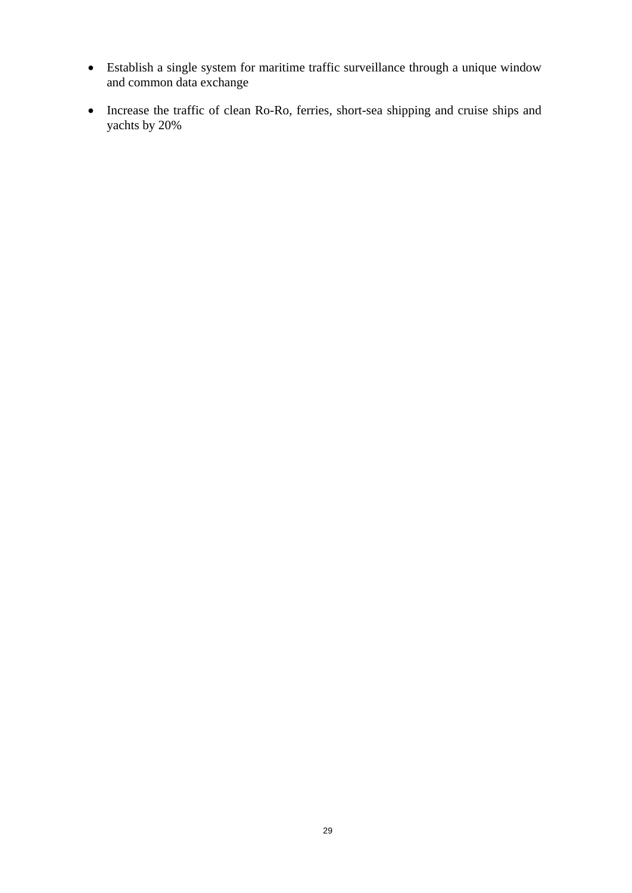- Establish a single system for maritime traffic surveillance through a unique window and common data exchange
- Increase the traffic of clean Ro-Ro, ferries, short-sea shipping and cruise ships and yachts by 20%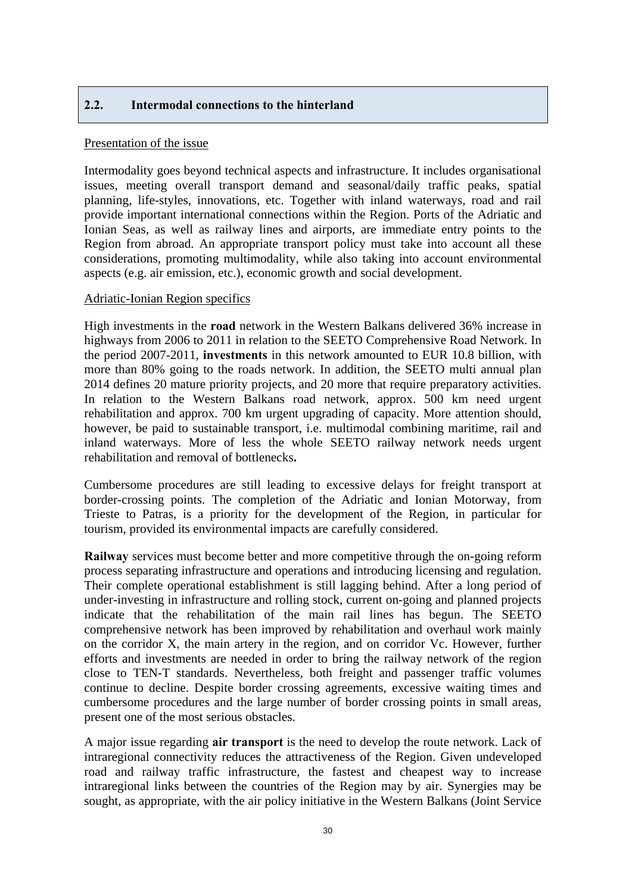## <span id="page-29-0"></span>**2.2. Intermodal connections to the hinterland**

#### Presentation of the issue

Intermodality goes beyond technical aspects and infrastructure. It includes organisational issues, meeting overall transport demand and seasonal/daily traffic peaks, spatial planning, life-styles, innovations, etc. Together with inland waterways, road and rail provide important international connections within the Region. Ports of the Adriatic and Ionian Seas, as well as railway lines and airports, are immediate entry points to the Region from abroad. An appropriate transport policy must take into account all these considerations, promoting multimodality, while also taking into account environmental aspects (e.g. air emission, etc.), economic growth and social development.

#### Adriatic-Ionian Region specifics

High investments in the **road** network in the Western Balkans delivered 36% increase in highways from 2006 to 2011 in relation to the SEETO Comprehensive Road Network. In the period 2007-2011, **investments** in this network amounted to EUR 10.8 billion, with more than 80% going to the roads network. In addition, the SEETO multi annual plan 2014 defines 20 mature priority projects, and 20 more that require preparatory activities. In relation to the Western Balkans road network, approx. 500 km need urgent rehabilitation and approx. 700 km urgent upgrading of capacity. More attention should, however, be paid to sustainable transport, i.e. multimodal combining maritime, rail and inland waterways. More of less the whole SEETO railway network needs urgent rehabilitation and removal of bottlenecks**.**

Cumbersome procedures are still leading to excessive delays for freight transport at border-crossing points. The completion of the Adriatic and Ionian Motorway, from Trieste to Patras, is a priority for the development of the Region, in particular for tourism, provided its environmental impacts are carefully considered.

**Railway** services must become better and more competitive through the on-going reform process separating infrastructure and operations and introducing licensing and regulation. Their complete operational establishment is still lagging behind. After a long period of under-investing in infrastructure and rolling stock, current on-going and planned projects indicate that the rehabilitation of the main rail lines has begun. The SEETO comprehensive network has been improved by rehabilitation and overhaul work mainly on the corridor X, the main artery in the region, and on corridor Vc. However, further efforts and investments are needed in order to bring the railway network of the region close to TEN-T standards. Nevertheless, both freight and passenger traffic volumes continue to decline. Despite border crossing agreements, excessive waiting times and cumbersome procedures and the large number of border crossing points in small areas, present one of the most serious obstacles.

A major issue regarding **air transport** is the need to develop the route network. Lack of intraregional connectivity reduces the attractiveness of the Region. Given undeveloped road and railway traffic infrastructure, the fastest and cheapest way to increase intraregional links between the countries of the Region may by air. Synergies may be sought, as appropriate, with the air policy initiative in the Western Balkans (Joint Service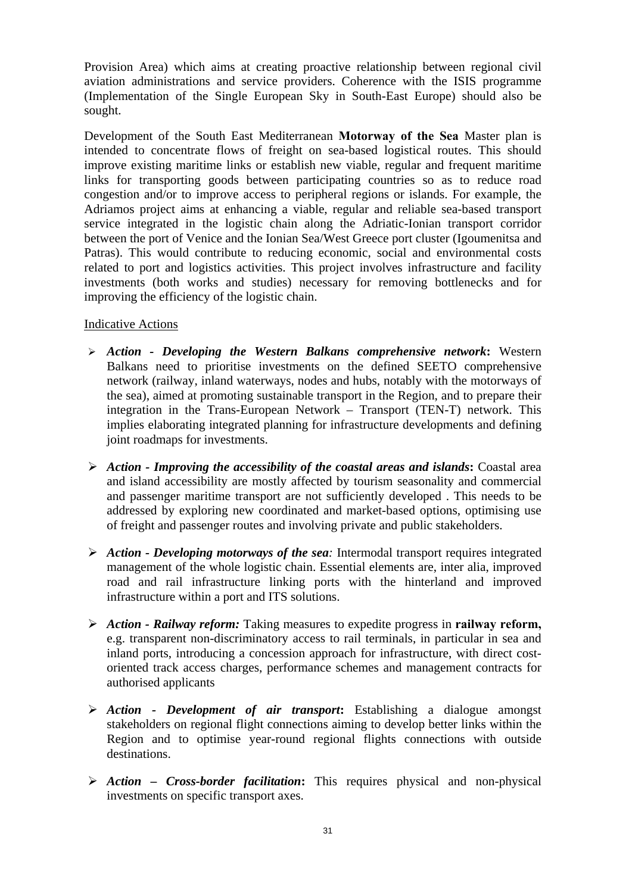Provision Area) which aims at creating proactive relationship between regional civil aviation administrations and service providers. Coherence with the ISIS programme (Implementation of the Single European Sky in South-East Europe) should also be sought.

Development of the South East Mediterranean **Motorway of the Sea** Master plan is intended to concentrate flows of freight on sea-based logistical routes. This should improve existing maritime links or establish new viable, regular and frequent maritime links for transporting goods between participating countries so as to reduce road congestion and/or to improve access to peripheral regions or islands. For example, the Adriamos project aims at enhancing a viable, regular and reliable sea-based transport service integrated in the logistic chain along the Adriatic-Ionian transport corridor between the port of Venice and the Ionian Sea/West Greece port cluster (Igoumenitsa and Patras). This would contribute to reducing economic, social and environmental costs related to port and logistics activities. This project involves infrastructure and facility investments (both works and studies) necessary for removing bottlenecks and for improving the efficiency of the logistic chain.

## Indicative Actions

- ¾ *Action Developing the Western Balkans comprehensive network***:** Western Balkans need to prioritise investments on the defined SEETO comprehensive network (railway, inland waterways, nodes and hubs, notably with the motorways of the sea), aimed at promoting sustainable transport in the Region, and to prepare their integration in the Trans-European Network – Transport (TEN-T) network. This implies elaborating integrated planning for infrastructure developments and defining joint roadmaps for investments.
- ¾ *Action Improving the accessibility of the coastal areas and islands***:** Coastal area and island accessibility are mostly affected by tourism seasonality and commercial and passenger maritime transport are not sufficiently developed . This needs to be addressed by exploring new coordinated and market-based options, optimising use of freight and passenger routes and involving private and public stakeholders.
- ¾ *Action Developing motorways of the sea:* Intermodal transport requires integrated management of the whole logistic chain. Essential elements are, inter alia, improved road and rail infrastructure linking ports with the hinterland and improved infrastructure within a port and ITS solutions.
- ¾ *Action Railway reform:* Taking measures to expedite progress in **railway reform,** e.g. transparent non-discriminatory access to rail terminals, in particular in sea and inland ports, introducing a concession approach for infrastructure, with direct costoriented track access charges, performance schemes and management contracts for authorised applicants
- ¾ *Action Development of air transport***:** Establishing a dialogue amongst stakeholders on regional flight connections aiming to develop better links within the Region and to optimise year-round regional flights connections with outside destinations.
- ¾ *Action Cross-border facilitation***:** This requires physical and non-physical investments on specific transport axes.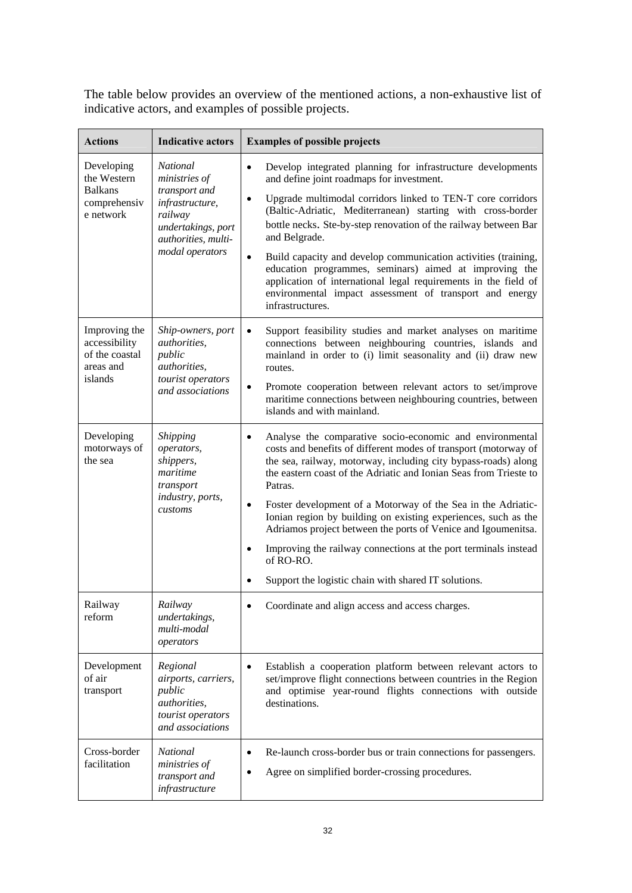The table below provides an overview of the mentioned actions, a non-exhaustive list of indicative actors, and examples of possible projects.

| <b>Actions</b>                                                           | <b>Indicative actors</b>                                                                                                                        | <b>Examples of possible projects</b>                                                                                                                                                                                                                                                                                                                                                                                                                                                                                                                                                                                                                            |
|--------------------------------------------------------------------------|-------------------------------------------------------------------------------------------------------------------------------------------------|-----------------------------------------------------------------------------------------------------------------------------------------------------------------------------------------------------------------------------------------------------------------------------------------------------------------------------------------------------------------------------------------------------------------------------------------------------------------------------------------------------------------------------------------------------------------------------------------------------------------------------------------------------------------|
| Developing<br>the Western<br><b>Balkans</b><br>comprehensiv<br>e network | <b>National</b><br>ministries of<br>transport and<br>infrastructure,<br>railway<br>undertakings, port<br>authorities, multi-<br>modal operators | Develop integrated planning for infrastructure developments<br>$\bullet$<br>and define joint roadmaps for investment.<br>Upgrade multimodal corridors linked to TEN-T core corridors<br>$\bullet$<br>(Baltic-Adriatic, Mediterranean) starting with cross-border<br>bottle necks. Ste-by-step renovation of the railway between Bar<br>and Belgrade.<br>Build capacity and develop communication activities (training,<br>$\bullet$<br>education programmes, seminars) aimed at improving the<br>application of international legal requirements in the field of<br>environmental impact assessment of transport and energy<br>infrastructures.                 |
| Improving the<br>accessibility<br>of the coastal<br>areas and<br>islands | Ship-owners, port<br>authorities.<br>public<br><i>authorities,</i><br>tourist operators<br>and associations                                     | Support feasibility studies and market analyses on maritime<br>$\bullet$<br>connections between neighbouring countries, islands and<br>mainland in order to (i) limit seasonality and (ii) draw new<br>routes.<br>Promote cooperation between relevant actors to set/improve<br>$\bullet$<br>maritime connections between neighbouring countries, between<br>islands and with mainland.                                                                                                                                                                                                                                                                         |
| Developing<br>motorways of<br>the sea                                    | Shipping<br>operators,<br>shippers,<br>maritime<br>transport<br>industry, ports,<br>customs                                                     | Analyse the comparative socio-economic and environmental<br>$\bullet$<br>costs and benefits of different modes of transport (motorway of<br>the sea, railway, motorway, including city bypass-roads) along<br>the eastern coast of the Adriatic and Ionian Seas from Trieste to<br>Patras.<br>Foster development of a Motorway of the Sea in the Adriatic-<br>$\bullet$<br>Ionian region by building on existing experiences, such as the<br>Adriamos project between the ports of Venice and Igoumenitsa.<br>Improving the railway connections at the port terminals instead<br>$\bullet$<br>of RO-RO.<br>Support the logistic chain with shared IT solutions. |
| Railway<br>reform                                                        | Railway<br>undertakings,<br>multi-modal<br>operators                                                                                            | Coordinate and align access and access charges.                                                                                                                                                                                                                                                                                                                                                                                                                                                                                                                                                                                                                 |
| Development<br>of air<br>transport                                       | Regional<br>airports, carriers,<br>public<br><i>authorities</i> ,<br>tourist operators<br>and associations                                      | Establish a cooperation platform between relevant actors to<br>$\bullet$<br>set/improve flight connections between countries in the Region<br>and optimise year-round flights connections with outside<br>destinations.                                                                                                                                                                                                                                                                                                                                                                                                                                         |
| Cross-border<br>facilitation                                             | <b>National</b><br>ministries of<br>transport and<br>infrastructure                                                                             | Re-launch cross-border bus or train connections for passengers.<br>$\bullet$<br>Agree on simplified border-crossing procedures.<br>٠                                                                                                                                                                                                                                                                                                                                                                                                                                                                                                                            |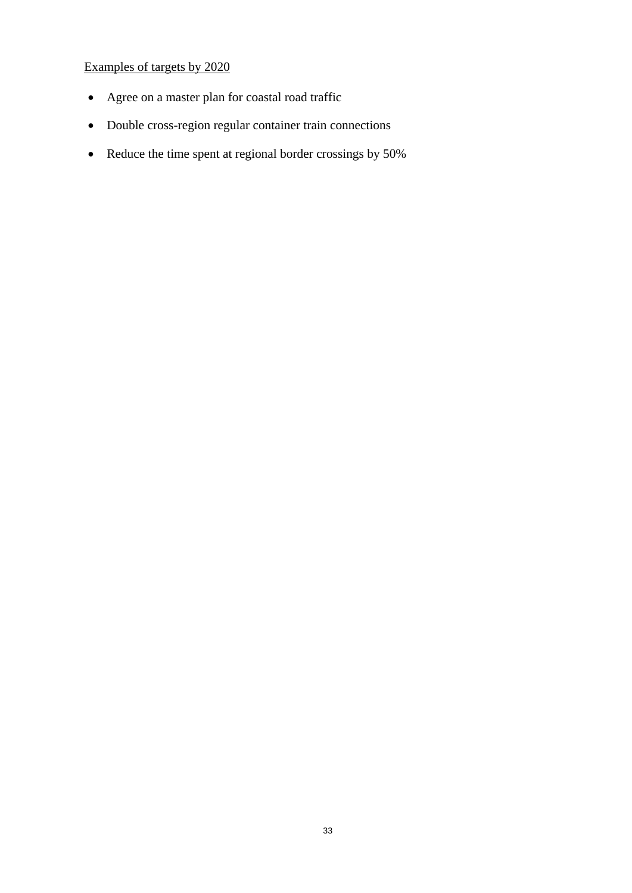## Examples of targets by 2020

- Agree on a master plan for coastal road traffic
- Double cross-region regular container train connections
- Reduce the time spent at regional border crossings by 50%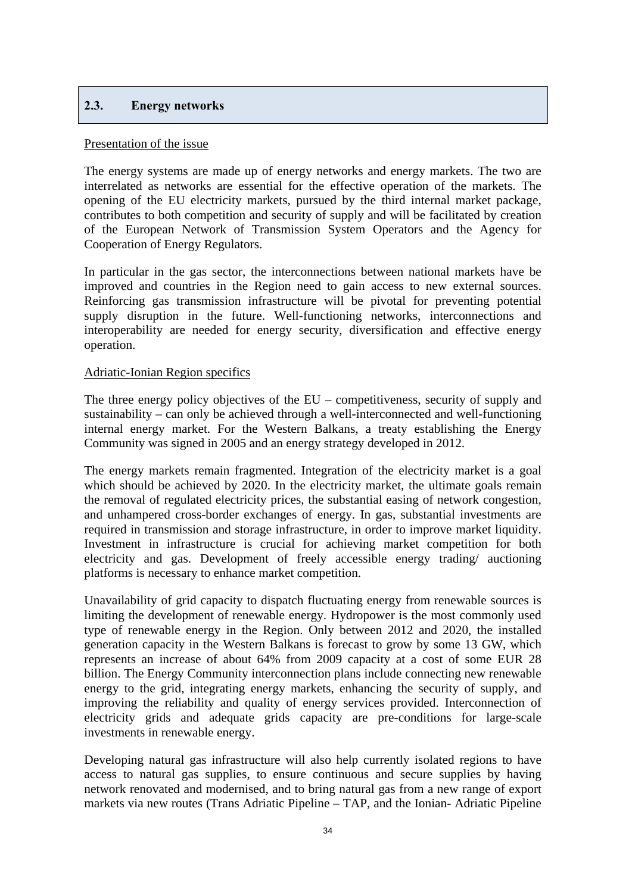## <span id="page-33-0"></span>**2.3. Energy networks**

#### Presentation of the issue

The energy systems are made up of energy networks and energy markets. The two are interrelated as networks are essential for the effective operation of the markets. The opening of the EU electricity markets, pursued by the third internal market package, contributes to both competition and security of supply and will be facilitated by creation of the European Network of Transmission System Operators and the Agency for Cooperation of Energy Regulators.

In particular in the gas sector, the interconnections between national markets have be improved and countries in the Region need to gain access to new external sources. Reinforcing gas transmission infrastructure will be pivotal for preventing potential supply disruption in the future. Well-functioning networks, interconnections and interoperability are needed for energy security, diversification and effective energy operation.

## Adriatic-Ionian Region specifics

The three energy policy objectives of the  $EU$  – competitiveness, security of supply and sustainability – can only be achieved through a well-interconnected and well-functioning internal energy market. For the Western Balkans, a treaty establishing the Energy Community was signed in 2005 and an energy strategy developed in 2012.

The energy markets remain fragmented. Integration of the electricity market is a goal which should be achieved by 2020. In the electricity market, the ultimate goals remain the removal of regulated electricity prices, the substantial easing of network congestion, and unhampered cross-border exchanges of energy. In gas, substantial investments are required in transmission and storage infrastructure, in order to improve market liquidity. Investment in infrastructure is crucial for achieving market competition for both electricity and gas. Development of freely accessible energy trading/ auctioning platforms is necessary to enhance market competition.

Unavailability of grid capacity to dispatch fluctuating energy from renewable sources is limiting the development of renewable energy. Hydropower is the most commonly used type of renewable energy in the Region. Only between 2012 and 2020, the installed generation capacity in the Western Balkans is forecast to grow by some 13 GW, which represents an increase of about 64% from 2009 capacity at a cost of some EUR 28 billion. The Energy Community interconnection plans include connecting new renewable energy to the grid, integrating energy markets, enhancing the security of supply, and improving the reliability and quality of energy services provided. Interconnection of electricity grids and adequate grids capacity are pre-conditions for large-scale investments in renewable energy.

Developing natural gas infrastructure will also help currently isolated regions to have access to natural gas supplies, to ensure continuous and secure supplies by having network renovated and modernised, and to bring natural gas from a new range of export markets via new routes (Trans Adriatic Pipeline – TAP, and the Ionian- Adriatic Pipeline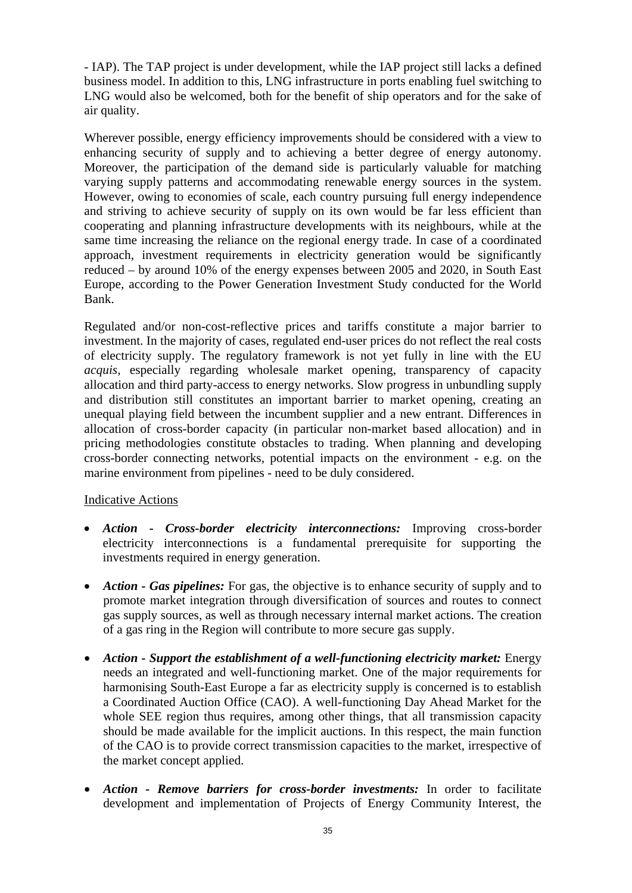- IAP). The TAP project is under development, while the IAP project still lacks a defined business model. In addition to this, LNG infrastructure in ports enabling fuel switching to LNG would also be welcomed, both for the benefit of ship operators and for the sake of air quality.

Wherever possible, energy efficiency improvements should be considered with a view to enhancing security of supply and to achieving a better degree of energy autonomy. Moreover, the participation of the demand side is particularly valuable for matching varying supply patterns and accommodating renewable energy sources in the system. However, owing to economies of scale, each country pursuing full energy independence and striving to achieve security of supply on its own would be far less efficient than cooperating and planning infrastructure developments with its neighbours, while at the same time increasing the reliance on the regional energy trade. In case of a coordinated approach, investment requirements in electricity generation would be significantly reduced – by around 10% of the energy expenses between 2005 and 2020, in South East Europe, according to the Power Generation Investment Study conducted for the World Bank.

Regulated and/or non-cost-reflective prices and tariffs constitute a major barrier to investment. In the majority of cases, regulated end-user prices do not reflect the real costs of electricity supply. The regulatory framework is not yet fully in line with the EU *acquis,* especially regarding wholesale market opening, transparency of capacity allocation and third party-access to energy networks. Slow progress in unbundling supply and distribution still constitutes an important barrier to market opening, creating an unequal playing field between the incumbent supplier and a new entrant. Differences in allocation of cross-border capacity (in particular non-market based allocation) and in pricing methodologies constitute obstacles to trading. When planning and developing cross-border connecting networks, potential impacts on the environment - e.g. on the marine environment from pipelines - need to be duly considered.

## Indicative Actions

- *Action Cross-border electricity interconnections:* Improving cross-border electricity interconnections is a fundamental prerequisite for supporting the investments required in energy generation.
- *Action Gas pipelines:* For gas, the objective is to enhance security of supply and to promote market integration through diversification of sources and routes to connect gas supply sources, as well as through necessary internal market actions. The creation of a gas ring in the Region will contribute to more secure gas supply.
- *Action Support the establishment of a well-functioning electricity market:* Energy needs an integrated and well-functioning market. One of the major requirements for harmonising South-East Europe a far as electricity supply is concerned is to establish a Coordinated Auction Office (CAO). A well-functioning Day Ahead Market for the whole SEE region thus requires, among other things, that all transmission capacity should be made available for the implicit auctions. In this respect, the main function of the CAO is to provide correct transmission capacities to the market, irrespective of the market concept applied.
- *Action Remove barriers for cross-border investments:* In order to facilitate development and implementation of Projects of Energy Community Interest, the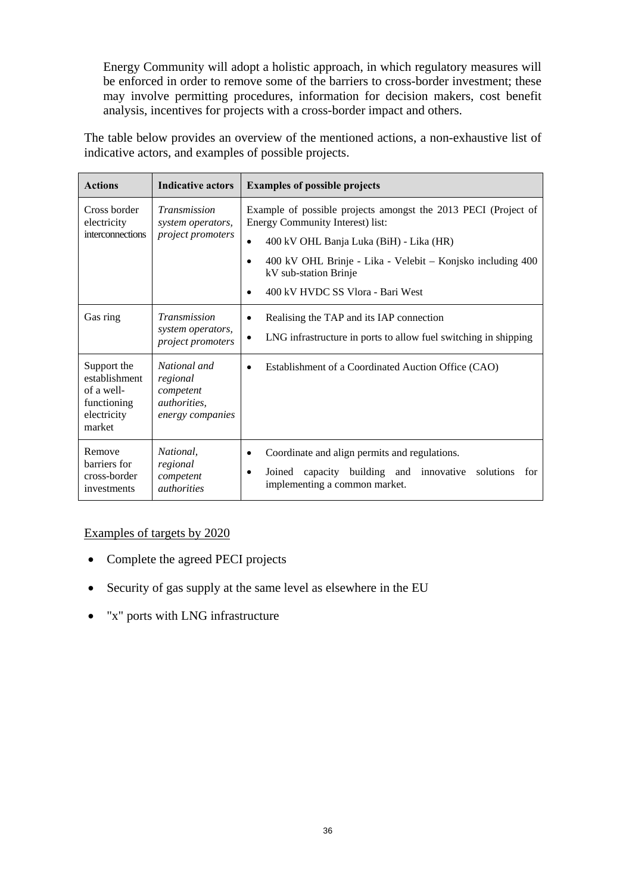Energy Community will adopt a holistic approach, in which regulatory measures will be enforced in order to remove some of the barriers to cross-border investment; these may involve permitting procedures, information for decision makers, cost benefit analysis, incentives for projects with a cross-border impact and others.

The table below provides an overview of the mentioned actions, a non-exhaustive list of indicative actors, and examples of possible projects.

| <b>Actions</b>                                                                                                                                                                                                                                                                                                                                                                                                         | <b>Indicative actors</b>                                                         | <b>Examples of possible projects</b>                                                                                                                                    |  |  |
|------------------------------------------------------------------------------------------------------------------------------------------------------------------------------------------------------------------------------------------------------------------------------------------------------------------------------------------------------------------------------------------------------------------------|----------------------------------------------------------------------------------|-------------------------------------------------------------------------------------------------------------------------------------------------------------------------|--|--|
| Transmission<br>Cross border<br>Example of possible projects amongst the 2013 PECI (Project of<br>Energy Community Interest) list:<br>electricity<br>system operators,<br>interconnections<br><i>project promoters</i><br>400 kV OHL Banja Luka (BiH) - Lika (HR)<br>$\bullet$<br>400 kV OHL Brinje - Lika - Velebit – Konjsko including 400<br>$\bullet$<br>kV sub-station Brinje<br>400 kV HVDC SS Vlora - Bari West |                                                                                  |                                                                                                                                                                         |  |  |
| Gas ring                                                                                                                                                                                                                                                                                                                                                                                                               | <b>Transmission</b><br>system operators,<br>project promoters                    | Realising the TAP and its IAP connection<br>$\bullet$<br>LNG infrastructure in ports to allow fuel switching in shipping<br>$\bullet$                                   |  |  |
| Support the<br>establishment<br>of a well-<br>functioning<br>electricity<br>market                                                                                                                                                                                                                                                                                                                                     | National and<br>regional<br>competent<br><i>authorities.</i><br>energy companies | Establishment of a Coordinated Auction Office (CAO)<br>$\bullet$                                                                                                        |  |  |
| Remove<br>barriers for<br>cross-border<br>investments                                                                                                                                                                                                                                                                                                                                                                  | National,<br>regional<br>competent<br><i><u>authorities</u></i>                  | Coordinate and align permits and regulations.<br>$\bullet$<br>capacity building and innovative solutions<br>Joined<br>for<br>$\bullet$<br>implementing a common market. |  |  |

## Examples of targets by 2020

- Complete the agreed PECI projects
- Security of gas supply at the same level as elsewhere in the EU
- "x" ports with LNG infrastructure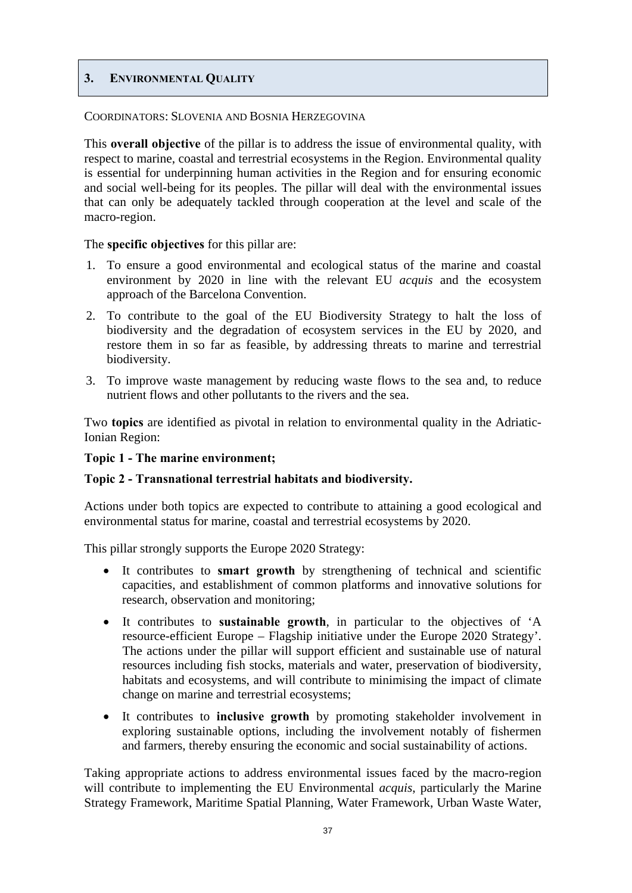## <span id="page-36-0"></span>**3. ENVIRONMENTAL QUALITY**

## COORDINATORS: SLOVENIA AND BOSNIA HERZEGOVINA

This **overall objective** of the pillar is to address the issue of environmental quality, with respect to marine, coastal and terrestrial ecosystems in the Region. Environmental quality is essential for underpinning human activities in the Region and for ensuring economic and social well-being for its peoples. The pillar will deal with the environmental issues that can only be adequately tackled through cooperation at the level and scale of the macro-region.

The **specific objectives** for this pillar are:

- 1. To ensure a good environmental and ecological status of the marine and coastal environment by 2020 in line with the relevant EU *acquis* and the ecosystem approach of the Barcelona Convention.
- 2. To contribute to the goal of the EU Biodiversity Strategy to halt the loss of biodiversity and the degradation of ecosystem services in the EU by 2020, and restore them in so far as feasible, by addressing threats to marine and terrestrial biodiversity.
- 3. To improve waste management by reducing waste flows to the sea and, to reduce nutrient flows and other pollutants to the rivers and the sea.

Two **topics** are identified as pivotal in relation to environmental quality in the Adriatic-Ionian Region:

## **Topic 1 - The marine environment;**

## **Topic 2 - Transnational terrestrial habitats and biodiversity.**

Actions under both topics are expected to contribute to attaining a good ecological and environmental status for marine, coastal and terrestrial ecosystems by 2020.

This pillar strongly supports the Europe 2020 Strategy:

- It contributes to **smart growth** by strengthening of technical and scientific capacities, and establishment of common platforms and innovative solutions for research, observation and monitoring;
- It contributes to **sustainable growth**, in particular to the objectives of 'A resource-efficient Europe – Flagship initiative under the Europe 2020 Strategy'. The actions under the pillar will support efficient and sustainable use of natural resources including fish stocks, materials and water, preservation of biodiversity, habitats and ecosystems, and will contribute to minimising the impact of climate change on marine and terrestrial ecosystems;
- It contributes to **inclusive growth** by promoting stakeholder involvement in exploring sustainable options, including the involvement notably of fishermen and farmers, thereby ensuring the economic and social sustainability of actions.

Taking appropriate actions to address environmental issues faced by the macro-region will contribute to implementing the EU Environmental *acquis*, particularly the Marine Strategy Framework, Maritime Spatial Planning, Water Framework, Urban Waste Water,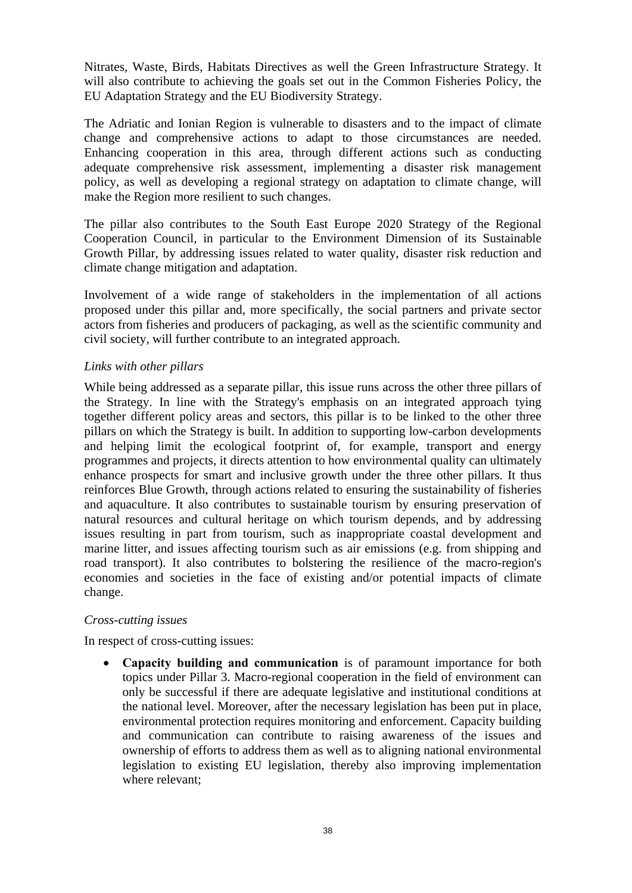Nitrates, Waste, Birds, Habitats Directives as well the Green Infrastructure Strategy. It will also contribute to achieving the goals set out in the Common Fisheries Policy, the EU Adaptation Strategy and the EU Biodiversity Strategy.

The Adriatic and Ionian Region is vulnerable to disasters and to the impact of climate change and comprehensive actions to adapt to those circumstances are needed. Enhancing cooperation in this area, through different actions such as conducting adequate comprehensive risk assessment, implementing a disaster risk management policy, as well as developing a regional strategy on adaptation to climate change, will make the Region more resilient to such changes.

The pillar also contributes to the South East Europe 2020 Strategy of the Regional Cooperation Council, in particular to the Environment Dimension of its Sustainable Growth Pillar, by addressing issues related to water quality, disaster risk reduction and climate change mitigation and adaptation.

Involvement of a wide range of stakeholders in the implementation of all actions proposed under this pillar and, more specifically, the social partners and private sector actors from fisheries and producers of packaging, as well as the scientific community and civil society, will further contribute to an integrated approach.

## *Links with other pillars*

While being addressed as a separate pillar, this issue runs across the other three pillars of the Strategy. In line with the Strategy's emphasis on an integrated approach tying together different policy areas and sectors, this pillar is to be linked to the other three pillars on which the Strategy is built. In addition to supporting low-carbon developments and helping limit the ecological footprint of, for example, transport and energy programmes and projects, it directs attention to how environmental quality can ultimately enhance prospects for smart and inclusive growth under the three other pillars. It thus reinforces Blue Growth, through actions related to ensuring the sustainability of fisheries and aquaculture. It also contributes to sustainable tourism by ensuring preservation of natural resources and cultural heritage on which tourism depends, and by addressing issues resulting in part from tourism, such as inappropriate coastal development and marine litter, and issues affecting tourism such as air emissions (e.g. from shipping and road transport). It also contributes to bolstering the resilience of the macro-region's economies and societies in the face of existing and/or potential impacts of climate change.

## *Cross-cutting issues*

In respect of cross-cutting issues:

• **Capacity building and communication** is of paramount importance for both topics under Pillar 3. Macro-regional cooperation in the field of environment can only be successful if there are adequate legislative and institutional conditions at the national level. Moreover, after the necessary legislation has been put in place, environmental protection requires monitoring and enforcement. Capacity building and communication can contribute to raising awareness of the issues and ownership of efforts to address them as well as to aligning national environmental legislation to existing EU legislation, thereby also improving implementation where relevant;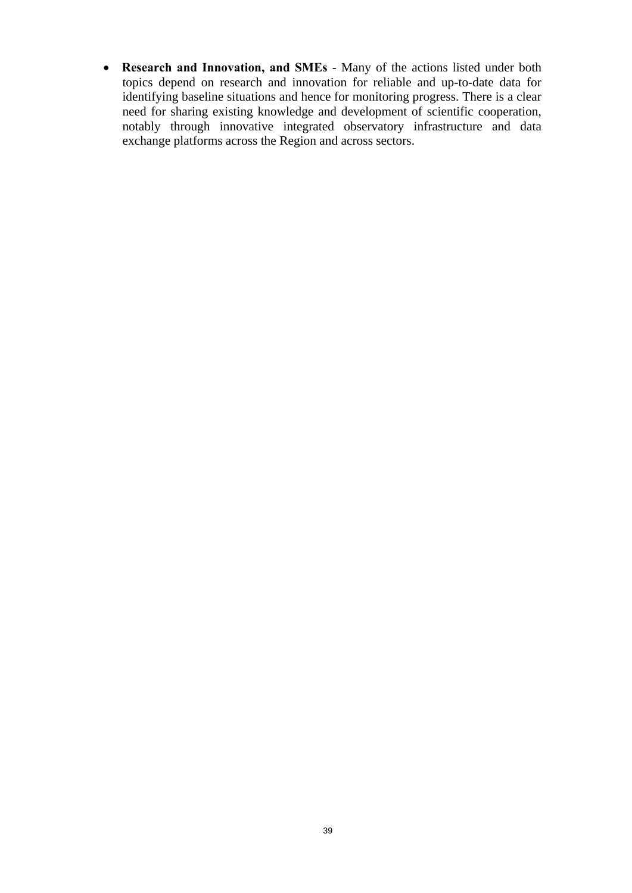• **Research and Innovation, and SMEs** - Many of the actions listed under both topics depend on research and innovation for reliable and up-to-date data for identifying baseline situations and hence for monitoring progress. There is a clear need for sharing existing knowledge and development of scientific cooperation, notably through innovative integrated observatory infrastructure and data exchange platforms across the Region and across sectors.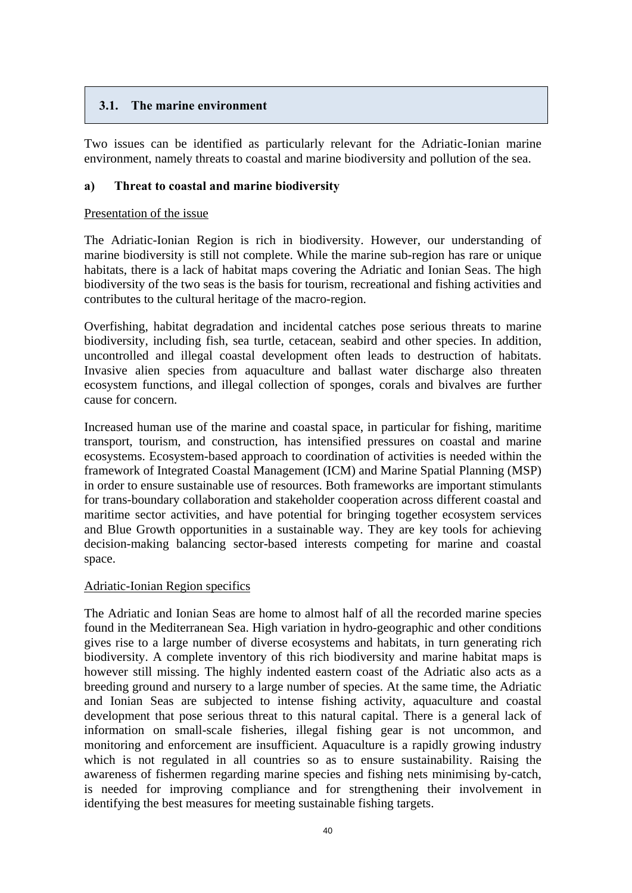## <span id="page-39-0"></span>**3.1. The marine environment**

Two issues can be identified as particularly relevant for the Adriatic-Ionian marine environment, namely threats to coastal and marine biodiversity and pollution of the sea.

## **a) Threat to coastal and marine biodiversity**

## Presentation of the issue

The Adriatic-Ionian Region is rich in biodiversity. However, our understanding of marine biodiversity is still not complete. While the marine sub-region has rare or unique habitats, there is a lack of habitat maps covering the Adriatic and Ionian Seas. The high biodiversity of the two seas is the basis for tourism, recreational and fishing activities and contributes to the cultural heritage of the macro-region.

Overfishing, habitat degradation and incidental catches pose serious threats to marine biodiversity, including fish, sea turtle, cetacean, seabird and other species. In addition, uncontrolled and illegal coastal development often leads to destruction of habitats. Invasive alien species from aquaculture and ballast water discharge also threaten ecosystem functions, and illegal collection of sponges, corals and bivalves are further cause for concern.

Increased human use of the marine and coastal space, in particular for fishing, maritime transport, tourism, and construction, has intensified pressures on coastal and marine ecosystems. Ecosystem-based approach to coordination of activities is needed within the framework of Integrated Coastal Management (ICM) and Marine Spatial Planning (MSP) in order to ensure sustainable use of resources. Both frameworks are important stimulants for trans-boundary collaboration and stakeholder cooperation across different coastal and maritime sector activities, and have potential for bringing together ecosystem services and Blue Growth opportunities in a sustainable way. They are key tools for achieving decision-making balancing sector-based interests competing for marine and coastal space.

## Adriatic-Ionian Region specifics

The Adriatic and Ionian Seas are home to almost half of all the recorded marine species found in the Mediterranean Sea. High variation in hydro-geographic and other conditions gives rise to a large number of diverse ecosystems and habitats, in turn generating rich biodiversity. A complete inventory of this rich biodiversity and marine habitat maps is however still missing. The highly indented eastern coast of the Adriatic also acts as a breeding ground and nursery to a large number of species. At the same time, the Adriatic and Ionian Seas are subjected to intense fishing activity, aquaculture and coastal development that pose serious threat to this natural capital. There is a general lack of information on small-scale fisheries, illegal fishing gear is not uncommon, and monitoring and enforcement are insufficient. Aquaculture is a rapidly growing industry which is not regulated in all countries so as to ensure sustainability. Raising the awareness of fishermen regarding marine species and fishing nets minimising by-catch, is needed for improving compliance and for strengthening their involvement in identifying the best measures for meeting sustainable fishing targets.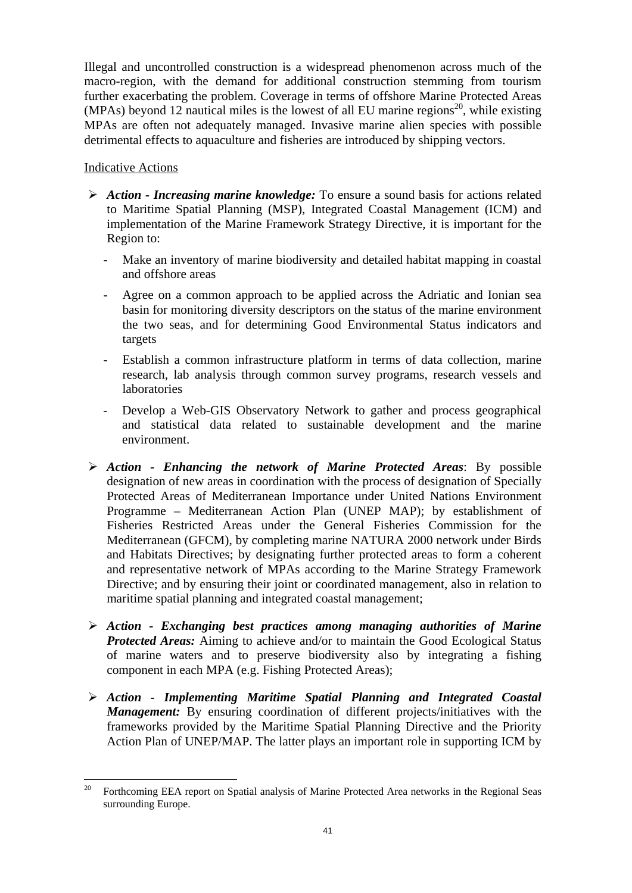Illegal and uncontrolled construction is a widespread phenomenon across much of the macro-region, with the demand for additional construction stemming from tourism further exacerbating the problem. Coverage in terms of offshore Marine Protected Areas (MPAs) beyond 12 nautical miles is the lowest of all EU marine regions<sup>20</sup>, while existing MPAs are often not adequately managed. Invasive marine alien species with possible detrimental effects to aquaculture and fisheries are introduced by shipping vectors.

## Indicative Actions

- ¾ *Action Increasing marine knowledge:* To ensure a sound basis for actions related to Maritime Spatial Planning (MSP), Integrated Coastal Management (ICM) and implementation of the Marine Framework Strategy Directive, it is important for the Region to:
	- Make an inventory of marine biodiversity and detailed habitat mapping in coastal and offshore areas
	- Agree on a common approach to be applied across the Adriatic and Ionian sea basin for monitoring diversity descriptors on the status of the marine environment the two seas, and for determining Good Environmental Status indicators and targets
	- Establish a common infrastructure platform in terms of data collection, marine research, lab analysis through common survey programs, research vessels and laboratories
	- Develop a Web-GIS Observatory Network to gather and process geographical and statistical data related to sustainable development and the marine environment.
- ¾ *Action Enhancing the network of Marine Protected Areas*: By possible designation of new areas in coordination with the process of designation of Specially Protected Areas of Mediterranean Importance under United Nations Environment Programme – Mediterranean Action Plan (UNEP MAP); by establishment of Fisheries Restricted Areas under the General Fisheries Commission for the Mediterranean (GFCM), by completing marine NATURA 2000 network under Birds and Habitats Directives; by designating further protected areas to form a coherent and representative network of MPAs according to the Marine Strategy Framework Directive; and by ensuring their joint or coordinated management, also in relation to maritime spatial planning and integrated coastal management;
- ¾ *Action Exchanging best practices among managing authorities of Marine Protected Areas:* Aiming to achieve and/or to maintain the Good Ecological Status of marine waters and to preserve biodiversity also by integrating a fishing component in each MPA (e.g. Fishing Protected Areas);
- ¾ *Action Implementing Maritime Spatial Planning and Integrated Coastal Management:* By ensuring coordination of different projects/initiatives with the frameworks provided by the Maritime Spatial Planning Directive and the Priority Action Plan of UNEP/MAP. The latter plays an important role in supporting ICM by

<sup>20</sup> 20 Forthcoming EEA report on Spatial analysis of Marine Protected Area networks in the Regional Seas surrounding Europe.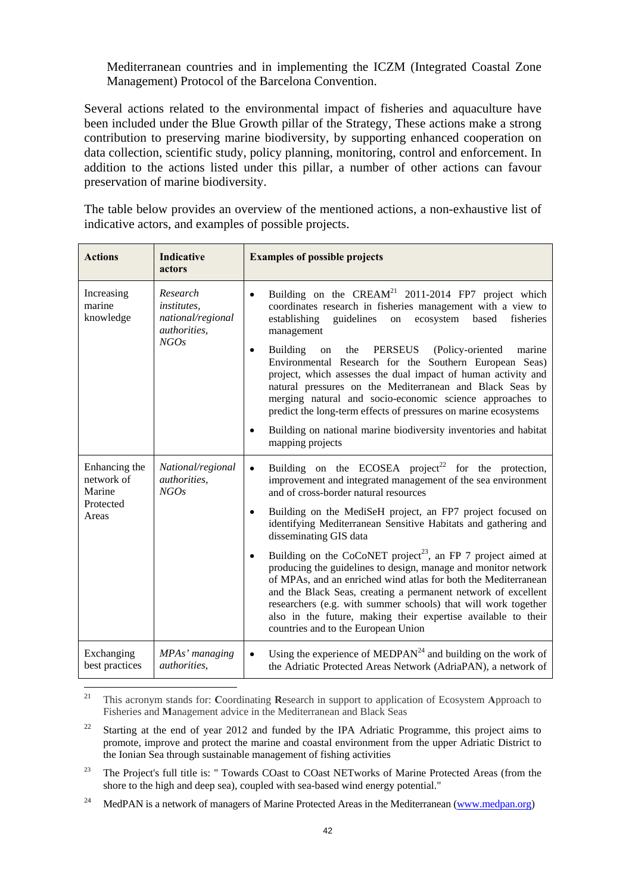Mediterranean countries and in implementing the ICZM (Integrated Coastal Zone Management) Protocol of the Barcelona Convention.

Several actions related to the environmental impact of fisheries and aquaculture have been included under the Blue Growth pillar of the Strategy, These actions make a strong contribution to preserving marine biodiversity, by supporting enhanced cooperation on data collection, scientific study, policy planning, monitoring, control and enforcement. In addition to the actions listed under this pillar, a number of other actions can favour preservation of marine biodiversity.

The table below provides an overview of the mentioned actions, a non-exhaustive list of indicative actors, and examples of possible projects.

| <b>Actions</b>                                              | <b>Indicative</b><br>actors                                          | <b>Examples of possible projects</b>                                                                                                                                                                                                                                                                                                                                                                                                                                                                                                                                                                                               |
|-------------------------------------------------------------|----------------------------------------------------------------------|------------------------------------------------------------------------------------------------------------------------------------------------------------------------------------------------------------------------------------------------------------------------------------------------------------------------------------------------------------------------------------------------------------------------------------------------------------------------------------------------------------------------------------------------------------------------------------------------------------------------------------|
| Increasing<br>marine<br>knowledge                           | Research<br>institutes.<br>national/regional<br>authorities,<br>NGOs | Building on the $CREAM21$ 2011-2014 FP7 project which<br>$\bullet$<br>coordinates research in fisheries management with a view to<br>establishing<br>guidelines<br>based<br>fisheries<br>on<br>ecosystem<br>management<br><b>Building</b><br>PERSEUS<br>(Policy-oriented<br>the<br>marine<br>on<br>$\bullet$<br>Environmental Research for the Southern European Seas)<br>project, which assesses the dual impact of human activity and<br>natural pressures on the Mediterranean and Black Seas by<br>merging natural and socio-economic science approaches to<br>predict the long-term effects of pressures on marine ecosystems |
|                                                             |                                                                      | Building on national marine biodiversity inventories and habitat<br>٠<br>mapping projects                                                                                                                                                                                                                                                                                                                                                                                                                                                                                                                                          |
| Enhancing the<br>network of<br>Marine<br>Protected<br>Areas | National/regional<br>authorities,<br>NGOs                            | Building on the ECOSEA project <sup>22</sup> for the protection,<br>$\bullet$<br>improvement and integrated management of the sea environment<br>and of cross-border natural resources<br>Building on the MediSeH project, an FP7 project focused on<br>$\bullet$<br>identifying Mediterranean Sensitive Habitats and gathering and<br>disseminating GIS data<br>Building on the CoCoNET project <sup>23</sup> , an FP 7 project aimed at<br>producing the guidelines to design, manage and monitor network                                                                                                                        |
|                                                             |                                                                      | of MPAs, and an enriched wind atlas for both the Mediterranean<br>and the Black Seas, creating a permanent network of excellent<br>researchers (e.g. with summer schools) that will work together<br>also in the future, making their expertise available to their<br>countries and to the European Union                                                                                                                                                                                                                                                                                                                          |
| Exchanging<br>best practices                                | MPAs' managing<br><i>authorities.</i>                                | Using the experience of MEDPAN <sup>24</sup> and building on the work of<br>the Adriatic Protected Areas Network (AdriaPAN), a network of                                                                                                                                                                                                                                                                                                                                                                                                                                                                                          |

 $21$ 21 This acronym stands for: **C**oordinating **R**esearch in support to application of Ecosystem **A**pproach to Fisheries and **M**anagement advice in the Mediterranean and Black Seas

- <sup>23</sup> The Project's full title is: " Towards COast to COast NETworks of Marine Protected Areas (from the shore to the high and deep sea), coupled with sea-based wind energy potential."
- <sup>24</sup> MedPAN is a network of managers of Marine Protected Areas in the Medite[rranean \(](http://www.medpan.org/)www.medpan.org)

<sup>&</sup>lt;sup>22</sup> Starting at the end of year 2012 and funded by the IPA Adriatic Programme, this project aims to promote, improve and protect the marine and coastal environment from the upper Adriatic District to the Ionian Sea through sustainable management of fishing activities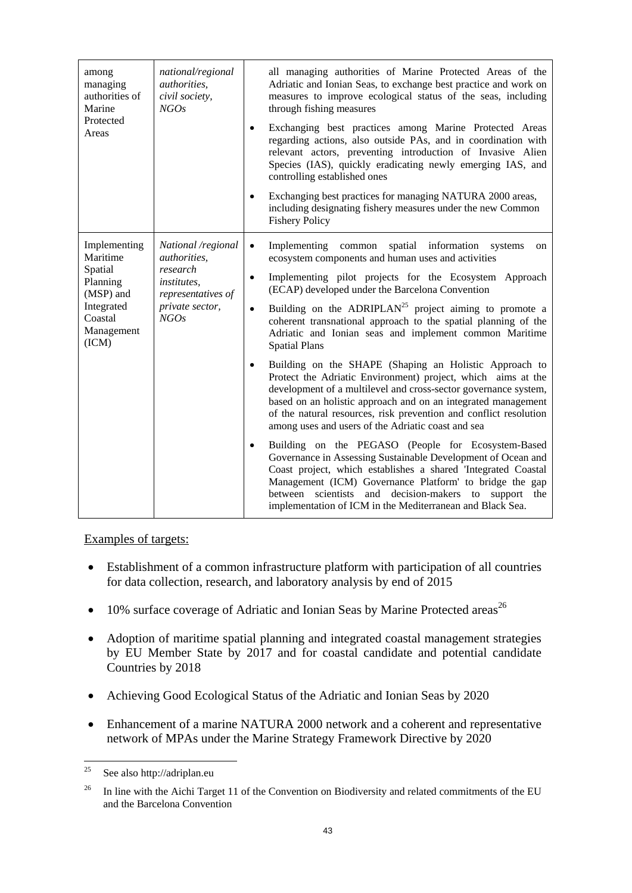| among<br>managing<br>authorities of<br>Marine<br>Protected<br>Areas                                          | national/regional<br><i>authorities.</i><br>civil society,<br>NGOs                                                    | all managing authorities of Marine Protected Areas of the<br>Adriatic and Ionian Seas, to exchange best practice and work on<br>measures to improve ecological status of the seas, including<br>through fishing measures<br>Exchanging best practices among Marine Protected Areas<br>$\bullet$<br>regarding actions, also outside PAs, and in coordination with<br>relevant actors, preventing introduction of Invasive Alien<br>Species (IAS), quickly eradicating newly emerging IAS, and<br>controlling established ones<br>Exchanging best practices for managing NATURA 2000 areas,<br>including designating fishery measures under the new Common<br><b>Fishery Policy</b>                                                                                                                                                         |
|--------------------------------------------------------------------------------------------------------------|-----------------------------------------------------------------------------------------------------------------------|-------------------------------------------------------------------------------------------------------------------------------------------------------------------------------------------------------------------------------------------------------------------------------------------------------------------------------------------------------------------------------------------------------------------------------------------------------------------------------------------------------------------------------------------------------------------------------------------------------------------------------------------------------------------------------------------------------------------------------------------------------------------------------------------------------------------------------------------|
| Implementing<br>Maritime<br>Spatial<br>Planning<br>(MSP) and<br>Integrated<br>Coastal<br>Management<br>(ICM) | National /regional<br>authorities,<br>research<br><i>institutes.</i><br>representatives of<br>private sector,<br>NGOs | Implementing common spatial information systems<br>$\bullet$<br>on<br>ecosystem components and human uses and activities<br>Implementing pilot projects for the Ecosystem Approach<br>$\bullet$<br>(ECAP) developed under the Barcelona Convention<br>Building on the ADRIPLAN <sup>25</sup> project aiming to promote a<br>$\bullet$<br>coherent transnational approach to the spatial planning of the<br>Adriatic and Ionian seas and implement common Maritime<br><b>Spatial Plans</b><br>Building on the SHAPE (Shaping an Holistic Approach to<br>$\bullet$<br>Protect the Adriatic Environment) project, which aims at the<br>development of a multilevel and cross-sector governance system,<br>based on an holistic approach and on an integrated management<br>of the natural resources, risk prevention and conflict resolution |
|                                                                                                              |                                                                                                                       | among uses and users of the Adriatic coast and sea<br>Building on the PEGASO (People for Ecosystem-Based<br>$\bullet$<br>Governance in Assessing Sustainable Development of Ocean and<br>Coast project, which establishes a shared 'Integrated Coastal<br>Management (ICM) Governance Platform' to bridge the gap<br>scientists and decision-makers to<br>support<br>the<br>between<br>implementation of ICM in the Mediterranean and Black Sea.                                                                                                                                                                                                                                                                                                                                                                                          |

## Examples of targets:

- Establishment of a common infrastructure platform with participation of all countries for data collection, research, and laboratory analysis by end of 2015
- 10% surface coverage of Adriatic and Ionian Seas by Marine Protected areas<sup>26</sup>
- Adoption of maritime spatial planning and integrated coastal management strategies by EU Member State by 2017 and for coastal candidate and potential candidate Countries by 2018
- Achieving Good Ecological Status of the Adriatic and Ionian Seas by 2020
- Enhancement of a marine NATURA 2000 network and a coherent and representative network of MPAs under the Marine Strategy Framework Directive by 2020

 $25\,$ See also http://adriplan.eu

<sup>&</sup>lt;sup>26</sup> In line with the Aichi Target 11 of the Convention on Biodiversity and related commitments of the EU and the Barcelona Convention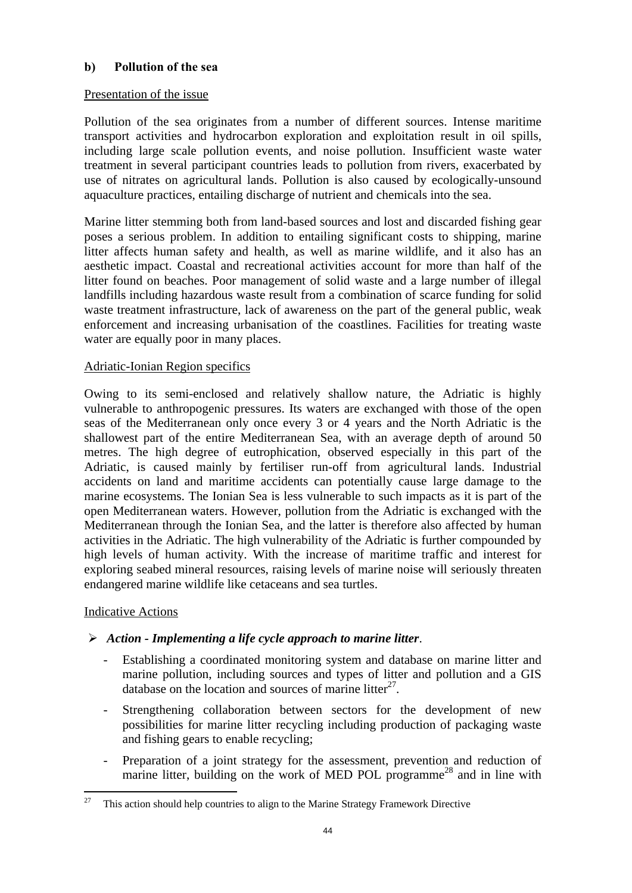## **b) Pollution of the sea**

## Presentation of the issue

Pollution of the sea originates from a number of different sources. Intense maritime transport activities and hydrocarbon exploration and exploitation result in oil spills, including large scale pollution events, and noise pollution. Insufficient waste water treatment in several participant countries leads to pollution from rivers, exacerbated by use of nitrates on agricultural lands. Pollution is also caused by ecologically-unsound aquaculture practices, entailing discharge of nutrient and chemicals into the sea.

Marine litter stemming both from land-based sources and lost and discarded fishing gear poses a serious problem. In addition to entailing significant costs to shipping, marine litter affects human safety and health, as well as marine wildlife, and it also has an aesthetic impact. Coastal and recreational activities account for more than half of the litter found on beaches. Poor management of solid waste and a large number of illegal landfills including hazardous waste result from a combination of scarce funding for solid waste treatment infrastructure, lack of awareness on the part of the general public, weak enforcement and increasing urbanisation of the coastlines. Facilities for treating waste water are equally poor in many places.

## Adriatic-Ionian Region specifics

Owing to its semi-enclosed and relatively shallow nature, the Adriatic is highly vulnerable to anthropogenic pressures. Its waters are exchanged with those of the open seas of the Mediterranean only once every 3 or 4 years and the North Adriatic is the shallowest part of the entire Mediterranean Sea, with an average depth of around 50 metres. The high degree of eutrophication, observed especially in this part of the Adriatic, is caused mainly by fertiliser run-off from agricultural lands. Industrial accidents on land and maritime accidents can potentially cause large damage to the marine ecosystems. The Ionian Sea is less vulnerable to such impacts as it is part of the open Mediterranean waters. However, pollution from the Adriatic is exchanged with the Mediterranean through the Ionian Sea, and the latter is therefore also affected by human activities in the Adriatic. The high vulnerability of the Adriatic is further compounded by high levels of human activity. With the increase of maritime traffic and interest for exploring seabed mineral resources, raising levels of marine noise will seriously threaten endangered marine wildlife like cetaceans and sea turtles.

## Indicative Actions

## ¾ *Action - Implementing a life cycle approach to marine litter*.

- Establishing a coordinated monitoring system and database on marine litter and marine pollution, including sources and types of litter and pollution and a GIS database on the location and sources of marine litter<sup>27</sup>.
- Strengthening collaboration between sectors for the development of new possibilities for marine litter recycling including production of packaging waste and fishing gears to enable recycling;
- Preparation of a joint strategy for the assessment, prevention and reduction of marine litter, building on the work of MED POL programme<sup>28</sup> and in line with

<sup>27</sup> 27 This action should help countries to align to the Marine Strategy Framework Directive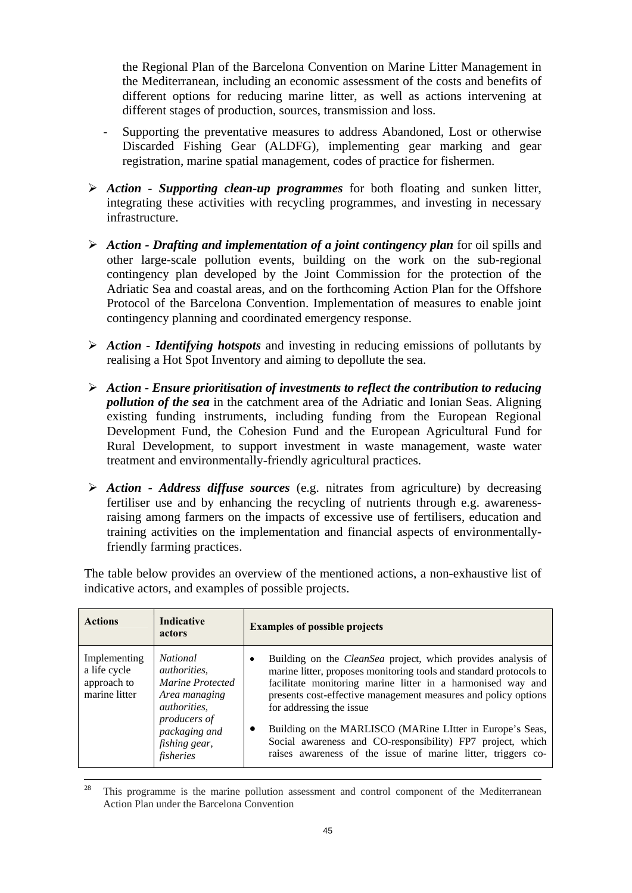the Regional Plan of the Barcelona Convention on Marine Litter Management in the Mediterranean, including an economic assessment of the costs and benefits of different options for reducing marine litter, as well as actions intervening at different stages of production, sources, transmission and loss.

- Supporting the preventative measures to address Abandoned, Lost or otherwise Discarded Fishing Gear (ALDFG), implementing gear marking and gear registration, marine spatial management, codes of practice for fishermen.
- ¾ *Action Supporting clean-up programmes* for both floating and sunken litter, integrating these activities with recycling programmes, and investing in necessary infrastructure.
- ¾ *Action Drafting and implementation of a joint contingency plan* for oil spills and other large-scale pollution events, building on the work on the sub-regional contingency plan developed by the Joint Commission for the protection of the Adriatic Sea and coastal areas, and on the forthcoming Action Plan for the Offshore Protocol of the Barcelona Convention. Implementation of measures to enable joint contingency planning and coordinated emergency response.
- ¾ *Action Identifying hotspots* and investing in reducing emissions of pollutants by realising a Hot Spot Inventory and aiming to depollute the sea.
- ¾ *Action Ensure prioritisation of investments to reflect the contribution to reducing pollution of the sea* in the catchment area of the Adriatic and Ionian Seas. Aligning existing funding instruments, including funding from the European Regional Development Fund, the Cohesion Fund and the European Agricultural Fund for Rural Development, to support investment in waste management, waste water treatment and environmentally-friendly agricultural practices.
- ¾ *Action Address diffuse sources* (e.g. nitrates from agriculture) by decreasing fertiliser use and by enhancing the recycling of nutrients through e.g. awarenessraising among farmers on the impacts of excessive use of fertilisers, education and training activities on the implementation and financial aspects of environmentallyfriendly farming practices.

The table below provides an overview of the mentioned actions, a non-exhaustive list of indicative actors, and examples of possible projects.

| <b>Actions</b>                                               | Indicative<br>actors                                                                               | <b>Examples of possible projects</b>                                                                                                                                                                                                                                                                 |
|--------------------------------------------------------------|----------------------------------------------------------------------------------------------------|------------------------------------------------------------------------------------------------------------------------------------------------------------------------------------------------------------------------------------------------------------------------------------------------------|
| Implementing<br>a life cycle<br>approach to<br>marine litter | <i>National</i><br><i>authorities,</i><br>Marine Protected<br>Area managing<br><i>authorities,</i> | Building on the CleanSea project, which provides analysis of<br>٠<br>marine litter, proposes monitoring tools and standard protocols to<br>facilitate monitoring marine litter in a harmonised way and<br>presents cost-effective management measures and policy options<br>for addressing the issue |
|                                                              | <i>producers of</i><br>packaging and<br>fishing gear,<br>fisheries                                 | Building on the MARLISCO (MARine LItter in Europe's Seas,<br>Social awareness and CO-responsibility) FP7 project, which<br>raises awareness of the issue of marine litter, triggers co-                                                                                                              |

 $28$  This programme is the marine pollution assessment and control component of the Mediterranean Action Plan under the Barcelona Convention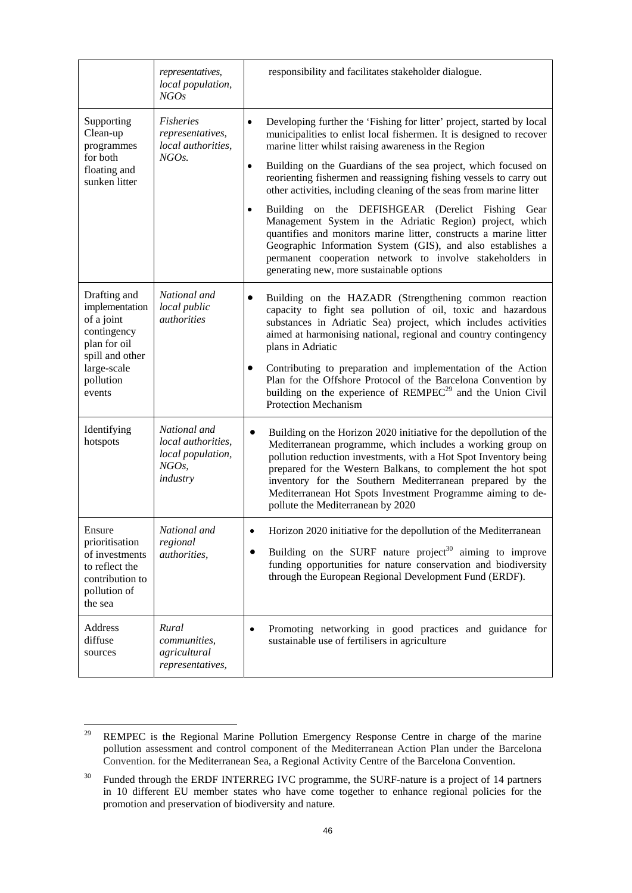|                                                                                                                                      | <i>representatives,</i><br>local population,<br>NGOs                            | responsibility and facilitates stakeholder dialogue.                                                                                                                                                                                                                                                                                                                                                                                                                                                                     |
|--------------------------------------------------------------------------------------------------------------------------------------|---------------------------------------------------------------------------------|--------------------------------------------------------------------------------------------------------------------------------------------------------------------------------------------------------------------------------------------------------------------------------------------------------------------------------------------------------------------------------------------------------------------------------------------------------------------------------------------------------------------------|
| Supporting<br>Clean-up<br>programmes                                                                                                 | <b>Fisheries</b><br>representatives,<br>local authorities,                      | Developing further the 'Fishing for litter' project, started by local<br>$\bullet$<br>municipalities to enlist local fishermen. It is designed to recover<br>marine litter whilst raising awareness in the Region                                                                                                                                                                                                                                                                                                        |
| for both<br>floating and<br>sunken litter                                                                                            | NGOs.                                                                           | Building on the Guardians of the sea project, which focused on<br>$\bullet$<br>reorienting fishermen and reassigning fishing vessels to carry out<br>other activities, including cleaning of the seas from marine litter                                                                                                                                                                                                                                                                                                 |
|                                                                                                                                      |                                                                                 | Building on the DEFISHGEAR (Derelict Fishing Gear<br>$\bullet$<br>Management System in the Adriatic Region) project, which<br>quantifies and monitors marine litter, constructs a marine litter<br>Geographic Information System (GIS), and also establishes a<br>permanent cooperation network to involve stakeholders in<br>generating new, more sustainable options                                                                                                                                                   |
| Drafting and<br>implementation<br>of a joint<br>contingency<br>plan for oil<br>spill and other<br>large-scale<br>pollution<br>events | National and<br>local public<br><i>authorities</i>                              | Building on the HAZADR (Strengthening common reaction<br>capacity to fight sea pollution of oil, toxic and hazardous<br>substances in Adriatic Sea) project, which includes activities<br>aimed at harmonising national, regional and country contingency<br>plans in Adriatic<br>Contributing to preparation and implementation of the Action<br>Plan for the Offshore Protocol of the Barcelona Convention by<br>building on the experience of REMPEC <sup>29</sup> and the Union Civil<br><b>Protection Mechanism</b> |
| Identifying<br>hotspots                                                                                                              | National and<br>local authorities,<br>local population,<br>$NGOs$ ,<br>industry | Building on the Horizon 2020 initiative for the depollution of the<br>$\bullet$<br>Mediterranean programme, which includes a working group on<br>pollution reduction investments, with a Hot Spot Inventory being<br>prepared for the Western Balkans, to complement the hot spot<br>inventory for the Southern Mediterranean prepared by the<br>Mediterranean Hot Spots Investment Programme aiming to de-<br>pollute the Mediterranean by 2020                                                                         |
| Ensure<br>prioritisation<br>of investments<br>to reflect the<br>contribution to<br>pollution of<br>the sea                           | National and<br>regional<br>authorities,                                        | Horizon 2020 initiative for the depollution of the Mediterranean<br>Building on the SURF nature project <sup>30</sup> aiming to improve<br>funding opportunities for nature conservation and biodiversity<br>through the European Regional Development Fund (ERDF).                                                                                                                                                                                                                                                      |
| Address<br>diffuse<br>sources                                                                                                        | Rural<br>communities,<br>agricultural<br>representatives,                       | Promoting networking in good practices and guidance for<br>$\bullet$<br>sustainable use of fertilisers in agriculture                                                                                                                                                                                                                                                                                                                                                                                                    |

<sup>29</sup> REMPEC is the Regional Marine Pollution Emergency Response Centre in charge of the marine pollution assessment and control component of the Mediterranean Action Plan under the Barcelona Convention. for the Mediterranean Sea, a Regional Activity Centre of the Barcelona Convention.

<sup>&</sup>lt;sup>30</sup> Funded through the ERDF INTERREG IVC programme, the SURF-nature is a project of 14 partners in 10 different EU member states who have come together to enhance regional policies for the promotion and preservation of biodiversity and nature.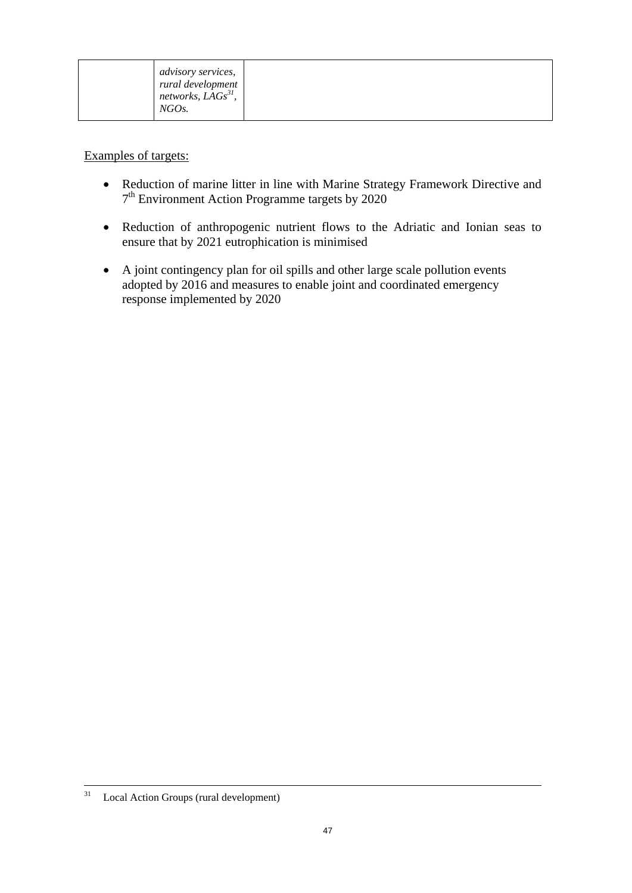|--|

Examples of targets:

- Reduction of marine litter in line with Marine Strategy Framework Directive and  $7<sup>th</sup>$  Environment Action Programme targets by 2020
- Reduction of anthropogenic nutrient flows to the Adriatic and Ionian seas to ensure that by 2021 eutrophication is minimised
- A joint contingency plan for oil spills and other large scale pollution events adopted by 2016 and measures to enable joint and coordinated emergency response implemented by 2020

 <sup>31</sup> Local Action Groups (rural development)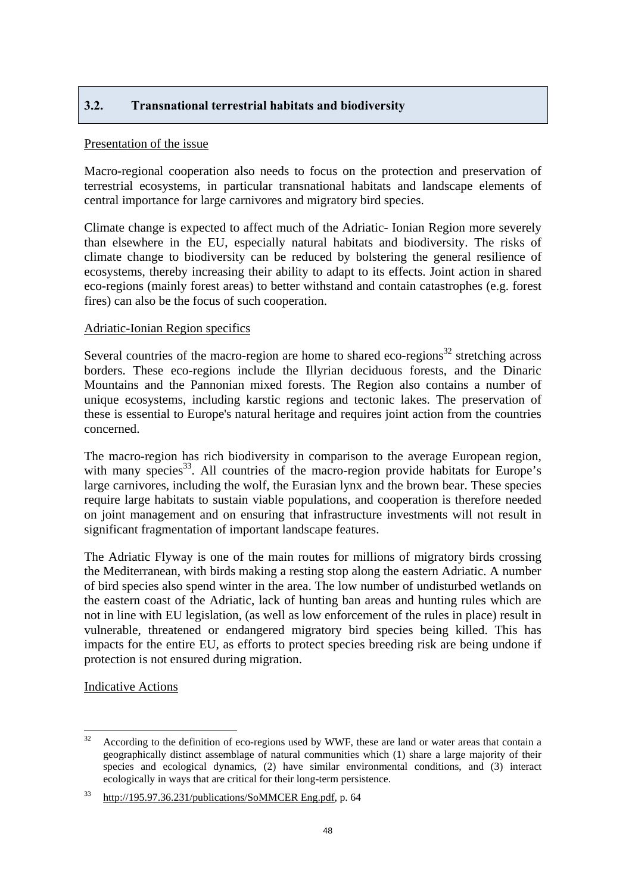## <span id="page-47-0"></span>**3.2. Transnational terrestrial habitats and biodiversity**

#### Presentation of the issue

Macro-regional cooperation also needs to focus on the protection and preservation of terrestrial ecosystems, in particular transnational habitats and landscape elements of central importance for large carnivores and migratory bird species.

Climate change is expected to affect much of the Adriatic- Ionian Region more severely than elsewhere in the EU, especially natural habitats and biodiversity. The risks of climate change to biodiversity can be reduced by bolstering the general resilience of ecosystems, thereby increasing their ability to adapt to its effects. Joint action in shared eco-regions (mainly forest areas) to better withstand and contain catastrophes (e.g. forest fires) can also be the focus of such cooperation.

## Adriatic-Ionian Region specifics

Several countries of the macro-region are home to shared eco-regions<sup>32</sup> stretching across borders. These eco-regions include the Illyrian deciduous forests, and the Dinaric Mountains and the Pannonian mixed forests. The Region also contains a number of unique ecosystems, including karstic regions and tectonic lakes. The preservation of these is essential to Europe's natural heritage and requires joint action from the countries concerned.

The macro-region has rich biodiversity in comparison to the average European region, with many species<sup>33</sup>. All countries of the macro-region provide habitats for Europe's large carnivores, including the wolf, the Eurasian lynx and the brown bear. These species require large habitats to sustain viable populations, and cooperation is therefore needed on joint management and on ensuring that infrastructure investments will not result in significant fragmentation of important landscape features.

The Adriatic Flyway is one of the main routes for millions of migratory birds crossing the Mediterranean, with birds making a resting stop along the eastern Adriatic. A number of bird species also spend winter in the area. The low number of undisturbed wetlands on the eastern coast of the Adriatic, lack of hunting ban areas and hunting rules which are not in line with EU legislation, (as well as low enforcement of the rules in place) result in vulnerable, threatened or endangered migratory bird species being killed. This has impacts for the entire EU, as efforts to protect species breeding risk are being undone if protection is not ensured during migration.

Indicative Actions

 $32$ According to the definition of eco-regions used by WWF, these are land or water areas that contain a geographically distinct assemblage of natural communities which (1) share a large majority of their species and ecological dynamics, (2) have similar environmental conditions, and (3) interact ecologically in ways that are critical for their long-term persistence.

<sup>33</sup> [http://195.97.36.231/publications/SoMMCER Eng.pdf,](http://195.97.36.231/publications/SoMMCER%20Eng.pdf) p. 64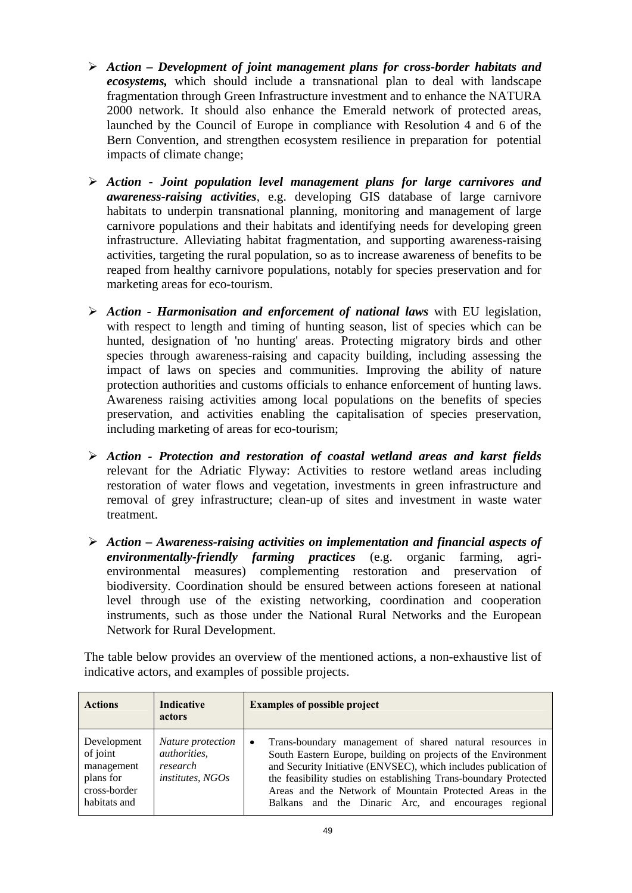- ¾ *Action Development of joint management plans for cross-border habitats and ecosystems,* which should include a transnational plan to deal with landscape fragmentation through Green Infrastructure investment and to enhance the NATURA 2000 network. It should also enhance the Emerald network of protected areas, launched by the Council of Europe in compliance with Resolution 4 and 6 of the [Bern Convention,](http://www.coe.int/t/dg4/cultureheritage/nature/bern/default_en.asp) and strengthen ecosystem resilience in preparation for potential impacts of climate change;
- ¾ *Action Joint population level management plans for large carnivores and awareness-raising activities*, e.g. developing GIS database of large carnivore habitats to underpin transnational planning, monitoring and management of large carnivore populations and their habitats and identifying needs for developing green infrastructure. Alleviating habitat fragmentation, and supporting awareness-raising activities, targeting the rural population, so as to increase awareness of benefits to be reaped from healthy carnivore populations, notably for species preservation and for marketing areas for eco-tourism.
- ¾ *Action Harmonisation and enforcement of national laws* with EU legislation, with respect to length and timing of hunting season, list of species which can be hunted, designation of 'no hunting' areas. Protecting migratory birds and other species through awareness-raising and capacity building, including assessing the impact of laws on species and communities. Improving the ability of nature protection authorities and customs officials to enhance enforcement of hunting laws. Awareness raising activities among local populations on the benefits of species preservation, and activities enabling the capitalisation of species preservation, including marketing of areas for eco-tourism;
- ¾ *Action Protection and restoration of coastal wetland areas and karst fields* relevant for the Adriatic Flyway: Activities to restore wetland areas including restoration of water flows and vegetation, investments in green infrastructure and removal of grey infrastructure; clean-up of sites and investment in waste water treatment.
- ¾ *Action Awareness-raising activities on implementation and financial aspects of environmentally-friendly farming practices* (e.g. organic farming, agrienvironmental measures) complementing restoration and preservation of biodiversity. Coordination should be ensured between actions foreseen at national level through use of the existing networking, coordination and cooperation instruments, such as those under the National Rural Networks and the European Network for Rural Development.

The table below provides an overview of the mentioned actions, a non-exhaustive list of indicative actors, and examples of possible projects.

| <b>Actions</b>                                                                     | <b>Indicative</b><br><b>actors</b>                                       | <b>Examples of possible project</b>                                                                                                                                                                                                                                                                                                                                                               |
|------------------------------------------------------------------------------------|--------------------------------------------------------------------------|---------------------------------------------------------------------------------------------------------------------------------------------------------------------------------------------------------------------------------------------------------------------------------------------------------------------------------------------------------------------------------------------------|
| Development<br>of joint<br>management<br>plans for<br>cross-border<br>habitats and | Nature protection<br><i>authorities,</i><br>research<br>institutes. NGOs | Trans-boundary management of shared natural resources in<br>$\bullet$<br>South Eastern Europe, building on projects of the Environment<br>and Security Initiative (ENVSEC), which includes publication of<br>the feasibility studies on establishing Trans-boundary Protected<br>Areas and the Network of Mountain Protected Areas in the<br>Balkans and the Dinaric Arc, and encourages regional |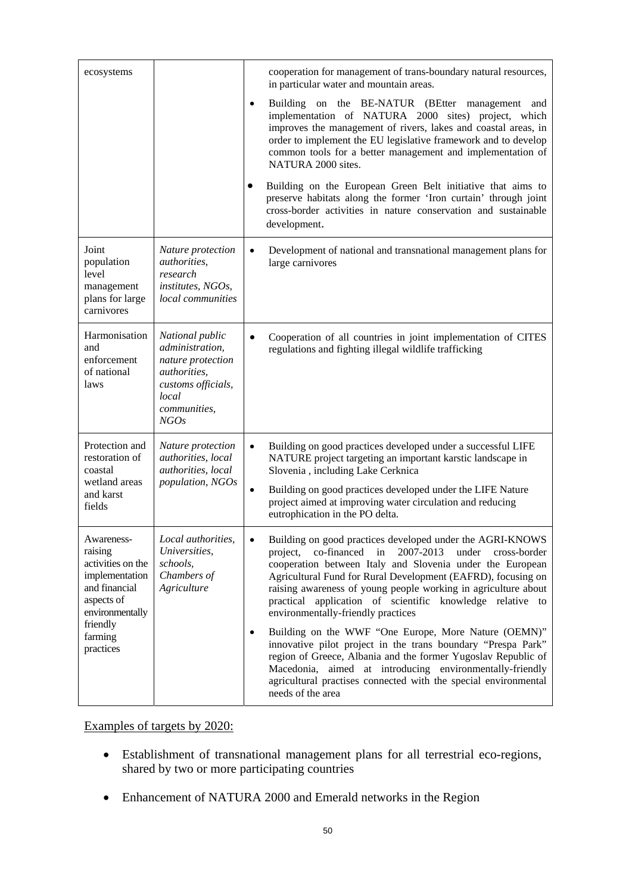| ecosystems                                                                                                     |                                                                                                                                              | cooperation for management of trans-boundary natural resources,<br>in particular water and mountain areas.                                                                                                                                                                                                                                                                                                                      |
|----------------------------------------------------------------------------------------------------------------|----------------------------------------------------------------------------------------------------------------------------------------------|---------------------------------------------------------------------------------------------------------------------------------------------------------------------------------------------------------------------------------------------------------------------------------------------------------------------------------------------------------------------------------------------------------------------------------|
|                                                                                                                |                                                                                                                                              | Building on the BE-NATUR (BEtter management<br>$\bullet$<br>and<br>implementation of NATURA 2000 sites) project, which<br>improves the management of rivers, lakes and coastal areas, in<br>order to implement the EU legislative framework and to develop<br>common tools for a better management and implementation of<br>NATURA 2000 sites.                                                                                  |
|                                                                                                                |                                                                                                                                              | Building on the European Green Belt initiative that aims to<br>preserve habitats along the former 'Iron curtain' through joint<br>cross-border activities in nature conservation and sustainable<br>development.                                                                                                                                                                                                                |
| Joint<br>population<br>level<br>management<br>plans for large<br>carnivores                                    | Nature protection<br><i>authorities,</i><br>research<br>institutes, NGOs,<br>local communities                                               | Development of national and transnational management plans for<br>$\bullet$<br>large carnivores                                                                                                                                                                                                                                                                                                                                 |
| Harmonisation<br>and<br>enforcement<br>of national<br>laws                                                     | National public<br>administration,<br>nature protection<br><i>authorities,</i><br>customs officials,<br>local<br><i>communities,</i><br>NGOs | Cooperation of all countries in joint implementation of CITES<br>regulations and fighting illegal wildlife trafficking                                                                                                                                                                                                                                                                                                          |
| Protection and<br>restoration of<br>coastal<br>wetland areas<br>and karst<br>fields                            | Nature protection<br>authorities, local<br><i>authorities, local</i><br>population, NGOs                                                     | Building on good practices developed under a successful LIFE<br>$\bullet$<br>NATURE project targeting an important karstic landscape in<br>Slovenia, including Lake Cerknica<br>Building on good practices developed under the LIFE Nature<br>$\bullet$<br>project aimed at improving water circulation and reducing<br>eutrophication in the PO delta.                                                                         |
| Awareness-<br>raising<br>activities on the<br>implementation<br>and financial<br>aspects of<br>environmentally | Local authorities,<br>Universities,<br>schools,<br>Chambers of<br>Agriculture                                                                | Building on good practices developed under the AGRI-KNOWS<br>co-financed in<br>2007-2013<br>under<br>project,<br>cross-border<br>cooperation between Italy and Slovenia under the European<br>Agricultural Fund for Rural Development (EAFRD), focusing on<br>raising awareness of young people working in agriculture about<br>practical application of scientific knowledge relative to<br>environmentally-friendly practices |
| friendly<br>farming<br>practices                                                                               |                                                                                                                                              | Building on the WWF "One Europe, More Nature (OEMN)"<br>$\bullet$<br>innovative pilot project in the trans boundary "Prespa Park"<br>region of Greece, Albania and the former Yugoslav Republic of<br>Macedonia, aimed at introducing environmentally-friendly<br>agricultural practises connected with the special environmental<br>needs of the area                                                                          |

## Examples of targets by 2020:

- Establishment of transnational management plans for all terrestrial eco-regions, shared by two or more participating countries
- Enhancement of NATURA 2000 and Emerald networks in the Region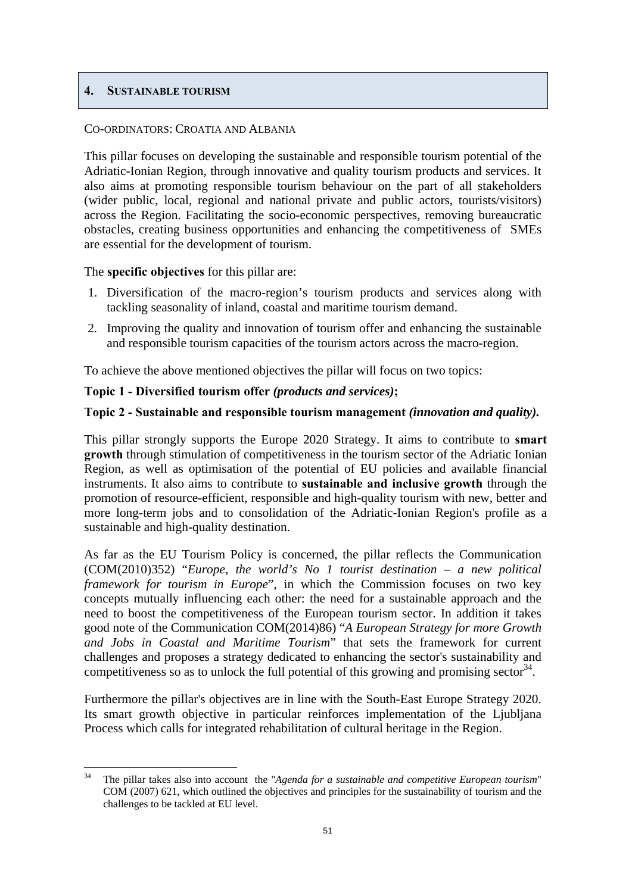## <span id="page-50-0"></span>**4. SUSTAINABLE TOURISM**

#### CO-ORDINATORS: CROATIA AND ALBANIA

This pillar focuses on developing the sustainable and responsible tourism potential of the Adriatic-Ionian Region, through innovative and quality tourism products and services. It also aims at promoting responsible tourism behaviour on the part of all stakeholders (wider public, local, regional and national private and public actors, tourists/visitors) across the Region. Facilitating the socio-economic perspectives, removing bureaucratic obstacles, creating business opportunities and enhancing the competitiveness of SMEs are essential for the development of tourism.

## The **specific objectives** for this pillar are:

- 1. Diversification of the macro-region's tourism products and services along with tackling seasonality of inland, coastal and maritime tourism demand.
- 2. Improving the quality and innovation of tourism offer and enhancing the sustainable and responsible tourism capacities of the tourism actors across the macro-region.

To achieve the above mentioned objectives the pillar will focus on two topics:

## **Topic 1 - Diversified tourism offer** *(products and services)***;**

## **Topic 2 - Sustainable and responsible tourism management** *(innovation and quality).*

This pillar strongly supports the Europe 2020 Strategy. It aims to contribute to **smart growth** through stimulation of competitiveness in the tourism sector of the Adriatic Ionian Region, as well as optimisation of the potential of EU policies and available financial instruments. It also aims to contribute to **sustainable and inclusive growth** through the promotion of resource-efficient, responsible and high-quality tourism with new, better and more long-term jobs and to consolidation of the Adriatic-Ionian Region's profile as a sustainable and high-quality destination.

As far as the EU Tourism Policy is concerned, the pillar reflects the Communication (COM(2010)352) "*Europe, the world's No 1 tourist destination – a new political framework for tourism in Europe*", in which the Commission focuses on two key concepts mutually influencing each other: the need for a sustainable approach and the need to boost the competitiveness of the European tourism sector. In addition it takes good note of the Communication COM(2014)86) "*A European Strategy for more Growth and Jobs in Coastal and Maritime Tourism*" that sets the framework for current challenges and proposes a strategy dedicated to enhancing the sector's sustainability and competitiveness so as to unlock the full potential of this growing and promising sector  $34$ .

Furthermore the pillar's objectives are in line with the South-East Europe Strategy 2020. Its smart growth objective in particular reinforces implementation of the Ljubljana Process which calls for integrated rehabilitation of cultural heritage in the Region.

<sup>34</sup> 34 The pillar takes also into account the "*Agenda for a sustainable and competitive European tourism*" COM (2007) 621, which outlined the objectives and principles for the sustainability of tourism and the challenges to be tackled at EU level.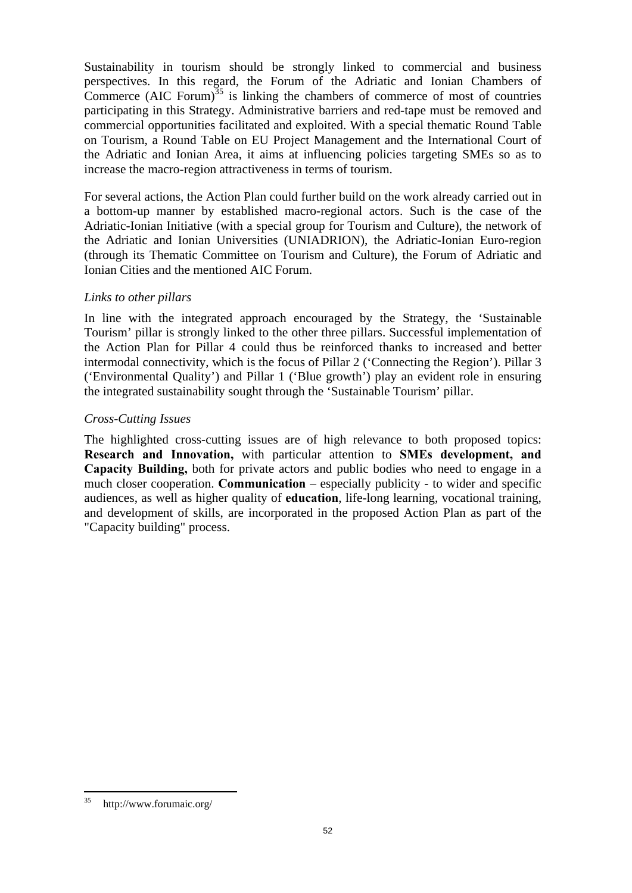Sustainability in tourism should be strongly linked to commercial and business perspectives. In this regard, the Forum of the Adriatic and Ionian Chambers of Commerce (AIC Forum) $35$  is linking the chambers of commerce of most of countries participating in this Strategy. Administrative barriers and red-tape must be removed and commercial opportunities facilitated and exploited. With a special thematic Round Table on Tourism, a Round Table on EU Project Management and the International Court of the Adriatic and Ionian Area, it aims at influencing policies targeting SMEs so as to increase the macro-region attractiveness in terms of tourism.

For several actions, the Action Plan could further build on the work already carried out in a bottom-up manner by established macro-regional actors. Such is the case of the Adriatic-Ionian Initiative (with a special group for Tourism and Culture), the network of the Adriatic and Ionian Universities (UNIADRION), the Adriatic-Ionian Euro-region (through its Thematic Committee on Tourism and Culture), the Forum of Adriatic and Ionian Cities and the mentioned AIC Forum.

## *Links to other pillars*

In line with the integrated approach encouraged by the Strategy, the 'Sustainable Tourism' pillar is strongly linked to the other three pillars. Successful implementation of the Action Plan for Pillar 4 could thus be reinforced thanks to increased and better intermodal connectivity, which is the focus of Pillar 2 ('Connecting the Region'). Pillar 3 ('Environmental Quality') and Pillar 1 ('Blue growth') play an evident role in ensuring the integrated sustainability sought through the 'Sustainable Tourism' pillar.

## *Cross-Cutting Issues*

The highlighted cross-cutting issues are of high relevance to both proposed topics: **Research and Innovation,** with particular attention to **SMEs development, and Capacity Building,** both for private actors and public bodies who need to engage in a much closer cooperation. **Communication** – especially publicity - to wider and specific audiences, as well as higher quality of **education**, life-long learning, vocational training, and development of skills, are incorporated in the proposed Action Plan as part of the "Capacity building" process.

<sup>35</sup> 35 http://www.forumaic.org/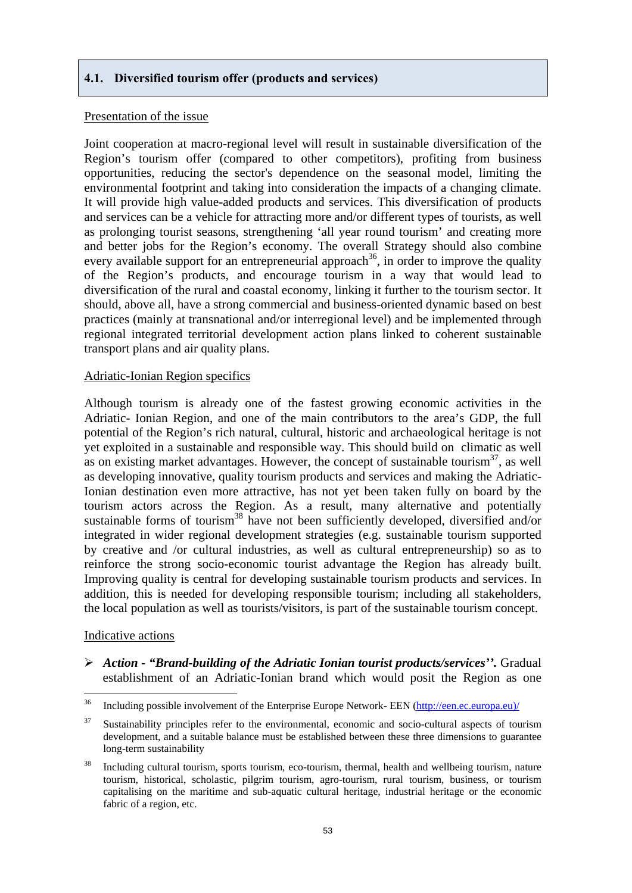## <span id="page-52-0"></span>**4.1. Diversified tourism offer (products and services)**

#### Presentation of the issue

Joint cooperation at macro-regional level will result in sustainable diversification of the Region's tourism offer (compared to other competitors), profiting from business opportunities, reducing the sector's dependence on the seasonal model, limiting the environmental footprint and taking into consideration the impacts of a changing climate. It will provide high value-added products and services. This diversification of products and services can be a vehicle for attracting more and/or different types of tourists, as well as prolonging tourist seasons, strengthening 'all year round tourism' and creating more and better jobs for the Region's economy. The overall Strategy should also combine every available support for an entrepreneurial approach<sup>36</sup>, in order to improve the quality of the Region's products, and encourage tourism in a way that would lead to diversification of the rural and coastal economy, linking it further to the tourism sector. It should, above all, have a strong commercial and business-oriented dynamic based on best practices (mainly at transnational and/or interregional level) and be implemented through regional integrated territorial development action plans linked to coherent sustainable transport plans and air quality plans.

#### Adriatic-Ionian Region specifics

Although tourism is already one of the fastest growing economic activities in the Adriatic- Ionian Region, and one of the main contributors to the area's GDP, the full potential of the Region's rich natural, cultural, historic and archaeological heritage is not yet exploited in a sustainable and responsible way. This should build on climatic as well as on existing market advantages. However, the concept of sustainable tourism<sup>37</sup>, as well as developing innovative, quality tourism products and services and making the Adriatic-Ionian destination even more attractive, has not yet been taken fully on board by the tourism actors across the Region. As a result, many alternative and potentially sustainable forms of tourism<sup>38</sup> have not been sufficiently developed, diversified and/or integrated in wider regional development strategies (e.g. sustainable tourism supported by creative and /or cultural industries, as well as cultural entrepreneurship) so as to reinforce the strong socio-economic tourist advantage the Region has already built. Improving quality is central for developing sustainable tourism products and services. In addition, this is needed for developing responsible tourism; including all stakeholders, the local population as well as tourists/visitors, is part of the sustainable tourism concept.

#### Indicative actions

¾ *Action - "Brand-building of the Adriatic Ionian tourist products/services''.* Gradual establishment of an Adriatic-Ionian brand which would posit the Region as one

<sup>36</sup> 36 Including possible involvement of the Enterprise Europe Network- EEN [\(http://een.ec.europa.eu\)/](http://een.ec.europa.eu)/)

<sup>&</sup>lt;sup>37</sup> Sustainability principles refer to the environmental, economic and socio-cultural aspects of tourism development, and a suitable balance must be established between these three dimensions to guarantee long-term sustainability

<sup>&</sup>lt;sup>38</sup> Including cultural tourism, sports tourism, eco-tourism, thermal, health and wellbeing tourism, nature tourism, historical, scholastic, pilgrim tourism, agro-tourism, rural tourism, business, or tourism capitalising on the maritime and sub-aquatic cultural heritage, industrial heritage or the economic fabric of a region, etc.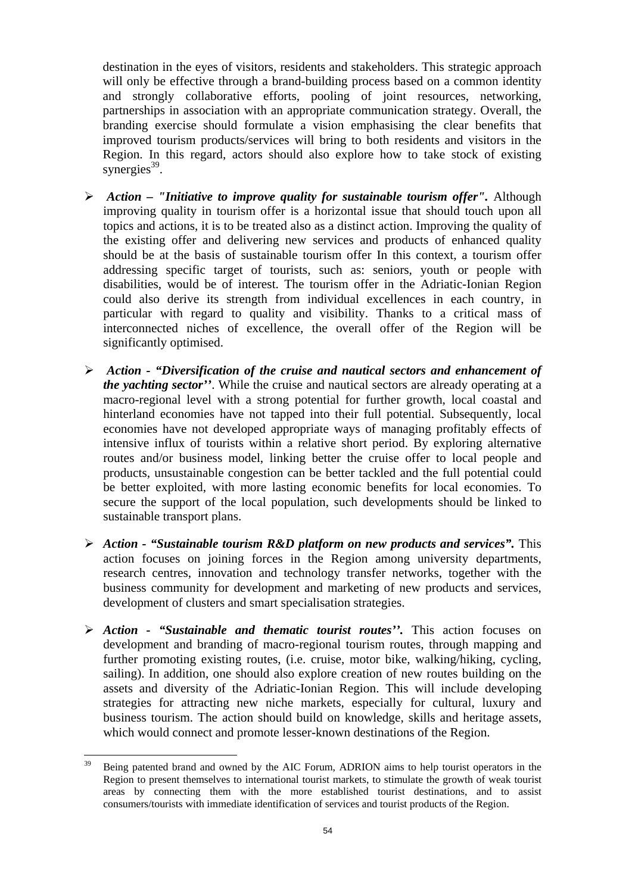destination in the eyes of visitors, residents and stakeholders. This strategic approach will only be effective through a brand-building process based on a common identity and strongly collaborative efforts, pooling of joint resources, networking, partnerships in association with an appropriate communication strategy. Overall, the branding exercise should formulate a vision emphasising the clear benefits that improved tourism products/services will bring to both residents and visitors in the Region. In this regard, actors should also explore how to take stock of existing synergies $^{39}$ .

- ¾ *Action "Initiative to improve quality for sustainable tourism offer".* Although improving quality in tourism offer is a horizontal issue that should touch upon all topics and actions, it is to be treated also as a distinct action. Improving the quality of the existing offer and delivering new services and products of enhanced quality should be at the basis of sustainable tourism offer In this context, a tourism offer addressing specific target of tourists, such as: seniors, youth or people with disabilities, would be of interest. The tourism offer in the Adriatic-Ionian Region could also derive its strength from individual excellences in each country, in particular with regard to quality and visibility. Thanks to a critical mass of interconnected niches of excellence, the overall offer of the Region will be significantly optimised.
- ¾ *Action "Diversification of the cruise and nautical sectors and enhancement of the yachting sector''*. While the cruise and nautical sectors are already operating at a macro-regional level with a strong potential for further growth, local coastal and hinterland economies have not tapped into their full potential. Subsequently, local economies have not developed appropriate ways of managing profitably effects of intensive influx of tourists within a relative short period. By exploring alternative routes and/or business model, linking better the cruise offer to local people and products, unsustainable congestion can be better tackled and the full potential could be better exploited, with more lasting economic benefits for local economies. To secure the support of the local population, such developments should be linked to sustainable transport plans.
- ¾ *Action "Sustainable tourism R&D platform on new products and services".* This action focuses on joining forces in the Region among university departments, research centres, innovation and technology transfer networks, together with the business community for development and marketing of new products and services, development of clusters and smart specialisation strategies.
- ¾ *Action "Sustainable and thematic tourist routes''.* This action focuses on development and branding of macro-regional tourism routes, through mapping and further promoting existing routes, (i.e. cruise, motor bike, walking/hiking, cycling, sailing). In addition, one should also explore creation of new routes building on the assets and diversity of the Adriatic-Ionian Region. This will include developing strategies for attracting new niche markets, especially for cultural, luxury and business tourism. The action should build on knowledge, skills and heritage assets, which would connect and promote lesser-known destinations of the Region.

 $30^{\circ}$ 39 Being patented brand and owned by the AIC Forum, ADRION aims to help tourist operators in the Region to present themselves to international tourist markets, to stimulate the growth of weak tourist areas by connecting them with the more established tourist destinations, and to assist consumers/tourists with immediate identification of services and tourist products of the Region.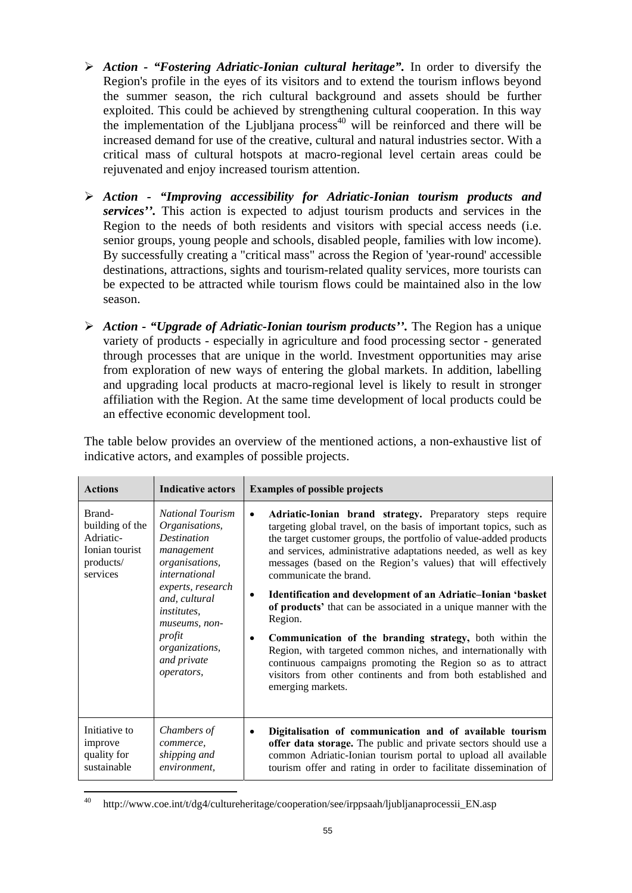- ¾ *Action "Fostering Adriatic-Ionian cultural heritage".* In order to diversify the Region's profile in the eyes of its visitors and to extend the tourism inflows beyond the summer season, the rich cultural background and assets should be further exploited. This could be achieved by strengthening cultural cooperation. In this way the implementation of the Ljubljana process<sup>40</sup> will be reinforced and there will be increased demand for use of the creative, cultural and natural industries sector. With a critical mass of cultural hotspots at macro-regional level certain areas could be rejuvenated and enjoy increased tourism attention.
- ¾ *Action "Improving accessibility for Adriatic-Ionian tourism products and services''.* This action is expected to adjust tourism products and services in the Region to the needs of both residents and visitors with special access needs (i.e. senior groups, young people and schools, disabled people, families with low income). By successfully creating a "critical mass" across the Region of 'year-round' accessible destinations, attractions, sights and tourism-related quality services, more tourists can be expected to be attracted while tourism flows could be maintained also in the low season.
- ¾ *Action "Upgrade of Adriatic-Ionian tourism products''.* The Region has a unique variety of products - especially in agriculture and food processing sector - generated through processes that are unique in the world. Investment opportunities may arise from exploration of new ways of entering the global markets. In addition, labelling and upgrading local products at macro-regional level is likely to result in stronger affiliation with the Region. At the same time development of local products could be an effective economic development tool.

| <b>Actions</b>                                                                    | <b>Indicative actors</b>                                                                                                                                                                                                                                      | <b>Examples of possible projects</b>                                                                                                                                                                                                                                                                                                                                                                                                                                                                                                                                                                                                                                                                                                                                                                                                   |
|-----------------------------------------------------------------------------------|---------------------------------------------------------------------------------------------------------------------------------------------------------------------------------------------------------------------------------------------------------------|----------------------------------------------------------------------------------------------------------------------------------------------------------------------------------------------------------------------------------------------------------------------------------------------------------------------------------------------------------------------------------------------------------------------------------------------------------------------------------------------------------------------------------------------------------------------------------------------------------------------------------------------------------------------------------------------------------------------------------------------------------------------------------------------------------------------------------------|
| Brand-<br>building of the<br>Adriatic-<br>Ionian tourist<br>products/<br>services | <b>National Tourism</b><br>Organisations,<br><b>Destination</b><br>management<br>organisations,<br><i>international</i><br>experts, research<br>and, cultural<br><i>institutes.</i><br>museums, non-<br>profit<br>organizations,<br>and private<br>operators, | Adriatic-Ionian brand strategy. Preparatory steps require<br>$\bullet$<br>targeting global travel, on the basis of important topics, such as<br>the target customer groups, the portfolio of value-added products<br>and services, administrative adaptations needed, as well as key<br>messages (based on the Region's values) that will effectively<br>communicate the brand.<br>Identification and development of an Adriatic-Ionian 'basket<br>$\bullet$<br>of products' that can be associated in a unique manner with the<br>Region.<br>Communication of the branding strategy, both within the<br>$\bullet$<br>Region, with targeted common niches, and internationally with<br>continuous campaigns promoting the Region so as to attract<br>visitors from other continents and from both established and<br>emerging markets. |
| Initiative to<br>improve<br>quality for<br>sustainable                            | Chambers of<br>commerce,<br>shipping and<br>environment,                                                                                                                                                                                                      | Digitalisation of communication and of available tourism<br>٠<br>offer data storage. The public and private sectors should use a<br>common Adriatic-Ionian tourism portal to upload all available<br>tourism offer and rating in order to facilitate dissemination of                                                                                                                                                                                                                                                                                                                                                                                                                                                                                                                                                                  |

The table below provides an overview of the mentioned actions, a non-exhaustive list of indicative actors, and examples of possible projects.

 $\overline{a}$ 40 http://www.coe.int/t/dg4/cultureheritage/cooperation/see/irppsaah/ljubljanaprocessii\_EN.asp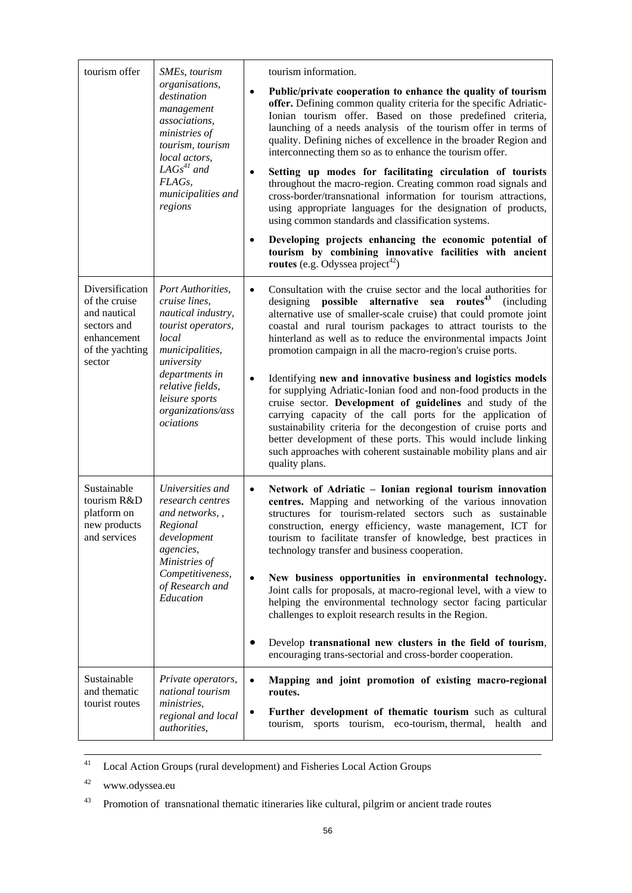| tourism offer                                                                                               | SMEs, tourism<br>organisations,<br>destination<br>management<br>associations,                                                                                                                                      | tourism information.<br>Public/private cooperation to enhance the quality of tourism<br>$\bullet$<br>offer. Defining common quality criteria for the specific Adriatic-<br>Ionian tourism offer. Based on those predefined criteria,                                                                                                                                                                                                                                                               |
|-------------------------------------------------------------------------------------------------------------|--------------------------------------------------------------------------------------------------------------------------------------------------------------------------------------------------------------------|----------------------------------------------------------------------------------------------------------------------------------------------------------------------------------------------------------------------------------------------------------------------------------------------------------------------------------------------------------------------------------------------------------------------------------------------------------------------------------------------------|
|                                                                                                             | ministries of<br>tourism, tourism<br>local actors,                                                                                                                                                                 | launching of a needs analysis of the tourism offer in terms of<br>quality. Defining niches of excellence in the broader Region and<br>interconnecting them so as to enhance the tourism offer.                                                                                                                                                                                                                                                                                                     |
|                                                                                                             | $LAGs^{41}$ and<br>FLAG <sub>s</sub> ,<br>municipalities and<br>regions                                                                                                                                            | Setting up modes for facilitating circulation of tourists<br>$\bullet$<br>throughout the macro-region. Creating common road signals and<br>cross-border/transnational information for tourism attractions,<br>using appropriate languages for the designation of products,<br>using common standards and classification systems.                                                                                                                                                                   |
|                                                                                                             |                                                                                                                                                                                                                    | Developing projects enhancing the economic potential of<br>$\bullet$<br>tourism by combining innovative facilities with ancient<br>routes (e.g. Odyssea project <sup>42</sup> )                                                                                                                                                                                                                                                                                                                    |
| Diversification<br>of the cruise<br>and nautical<br>sectors and<br>enhancement<br>of the yachting<br>sector | Port Authorities,<br>cruise lines,<br>nautical industry,<br>tourist operators,<br>local<br>municipalities,<br>university<br>departments in<br>relative fields,<br>leisure sports<br>organizations/ass<br>ociations | Consultation with the cruise sector and the local authorities for<br>$\bullet$<br>routes <sup>43</sup><br>possible<br>alternative sea<br>(including)<br>designing<br>alternative use of smaller-scale cruise) that could promote joint<br>coastal and rural tourism packages to attract tourists to the<br>hinterland as well as to reduce the environmental impacts Joint<br>promotion campaign in all the macro-region's cruise ports.                                                           |
|                                                                                                             |                                                                                                                                                                                                                    | Identifying new and innovative business and logistics models<br>$\bullet$<br>for supplying Adriatic-Ionian food and non-food products in the<br>cruise sector. Development of guidelines and study of the<br>carrying capacity of the call ports for the application of<br>sustainability criteria for the decongestion of cruise ports and<br>better development of these ports. This would include linking<br>such approaches with coherent sustainable mobility plans and air<br>quality plans. |
| Sustainable<br>tourism R&D<br>platform on<br>new products<br>and services                                   | Universities and<br>research centres<br>and networks, ,<br>Regional<br>development<br><i>agencies,</i><br>Ministries of<br>Competitiveness,<br>of Research and<br>Education                                        | Network of Adriatic - Ionian regional tourism innovation<br>$\bullet$<br>centres. Mapping and networking of the various innovation<br>structures for tourism-related sectors such as sustainable<br>construction, energy efficiency, waste management, ICT for<br>tourism to facilitate transfer of knowledge, best practices in<br>technology transfer and business cooperation.                                                                                                                  |
|                                                                                                             |                                                                                                                                                                                                                    | New business opportunities in environmental technology.<br>$\bullet$<br>Joint calls for proposals, at macro-regional level, with a view to<br>helping the environmental technology sector facing particular<br>challenges to exploit research results in the Region.                                                                                                                                                                                                                               |
|                                                                                                             |                                                                                                                                                                                                                    | Develop transnational new clusters in the field of tourism,<br>٠<br>encouraging trans-sectorial and cross-border cooperation.                                                                                                                                                                                                                                                                                                                                                                      |
| Sustainable<br>and thematic<br>tourist routes                                                               | Private operators,<br>national tourism<br><i>ministries.</i><br>regional and local<br>authorities,                                                                                                                 | Mapping and joint promotion of existing macro-regional<br>$\bullet$<br>routes.                                                                                                                                                                                                                                                                                                                                                                                                                     |
|                                                                                                             |                                                                                                                                                                                                                    | Further development of thematic tourism such as cultural<br>$\bullet$<br>tourism, sports tourism, eco-tourism, thermal, health<br>and                                                                                                                                                                                                                                                                                                                                                              |

41 Local Action Groups (rural development) and Fisheries Local Action Groups

42 www.odyssea.eu

<sup>43</sup> Promotion of transnational thematic itineraries like cultural, pilgrim or ancient trade routes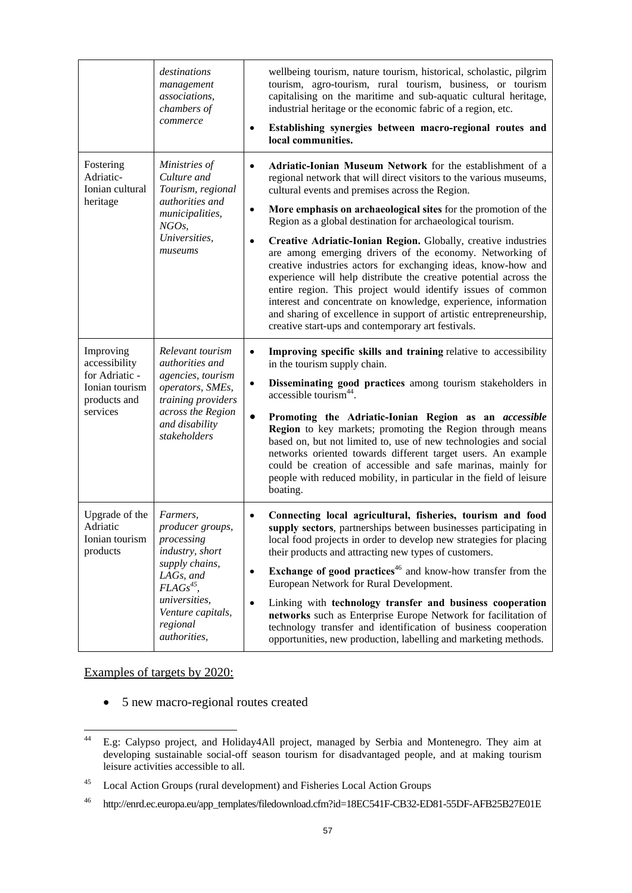|                                                                                            | destinations<br>management<br>associations,<br>chambers of<br>commerce                                                                                                           | wellbeing tourism, nature tourism, historical, scholastic, pilgrim<br>tourism, agro-tourism, rural tourism, business, or tourism<br>capitalising on the maritime and sub-aquatic cultural heritage,<br>industrial heritage or the economic fabric of a region, etc.<br>Establishing synergies between macro-regional routes and<br>$\bullet$<br>local communities.                                                                                                                                                                                                                                                                                                                                                                                                                                                                                                                         |
|--------------------------------------------------------------------------------------------|----------------------------------------------------------------------------------------------------------------------------------------------------------------------------------|--------------------------------------------------------------------------------------------------------------------------------------------------------------------------------------------------------------------------------------------------------------------------------------------------------------------------------------------------------------------------------------------------------------------------------------------------------------------------------------------------------------------------------------------------------------------------------------------------------------------------------------------------------------------------------------------------------------------------------------------------------------------------------------------------------------------------------------------------------------------------------------------|
| Fostering<br>Adriatic-<br>Ionian cultural<br>heritage                                      | Ministries of<br>Culture and<br>Tourism, regional<br>authorities and<br>municipalities,<br>NGO <sub>s</sub> ,<br>Universities,<br>museums                                        | Adriatic-Ionian Museum Network for the establishment of a<br>$\bullet$<br>regional network that will direct visitors to the various museums,<br>cultural events and premises across the Region.<br>More emphasis on archaeological sites for the promotion of the<br>$\bullet$<br>Region as a global destination for archaeological tourism.<br>Creative Adriatic-Ionian Region. Globally, creative industries<br>$\bullet$<br>are among emerging drivers of the economy. Networking of<br>creative industries actors for exchanging ideas, know-how and<br>experience will help distribute the creative potential across the<br>entire region. This project would identify issues of common<br>interest and concentrate on knowledge, experience, information<br>and sharing of excellence in support of artistic entrepreneurship,<br>creative start-ups and contemporary art festivals. |
| Improving<br>accessibility<br>for Adriatic -<br>Ionian tourism<br>products and<br>services | Relevant tourism<br>authorities and<br>agencies, tourism<br>operators, SMEs,<br>training providers<br>across the Region<br>and disability<br>stakeholders                        | Improving specific skills and training relative to accessibility<br>$\bullet$<br>in the tourism supply chain.<br>Disseminating good practices among tourism stakeholders in<br>$\bullet$<br>accessible tourism <sup>44</sup> .<br>Promoting the Adriatic-Ionian Region as an accessible<br>$\bullet$<br>Region to key markets; promoting the Region through means<br>based on, but not limited to, use of new technologies and social<br>networks oriented towards different target users. An example<br>could be creation of accessible and safe marinas, mainly for<br>people with reduced mobility, in particular in the field of leisure<br>boating.                                                                                                                                                                                                                                   |
| Upgrade of the<br>Adriatic<br>Ionian tourism<br>products                                   | Farmers,<br>producer groups,<br>processing<br>industry, short<br>supply chains,<br>LAGs, and<br>$FLAGs^{45}$ ,<br>universities,<br>Venture capitals,<br>regional<br>authorities, | Connecting local agricultural, fisheries, tourism and food<br>$\bullet$<br>supply sectors, partnerships between businesses participating in<br>local food projects in order to develop new strategies for placing<br>their products and attracting new types of customers.<br><b>Exchange of good practices</b> $46$ and know-how transfer from the<br>$\bullet$<br>European Network for Rural Development.<br>Linking with technology transfer and business cooperation<br>$\bullet$<br>networks such as Enterprise Europe Network for facilitation of<br>technology transfer and identification of business cooperation<br>opportunities, new production, labelling and marketing methods.                                                                                                                                                                                               |

Examples of targets by 2020:

• 5 new macro-regional routes created

 $44$ 44 E.g: Calypso project, and Holiday4All project, managed by Serbia and Montenegro. They aim at developing sustainable social-off season tourism for disadvantaged people, and at making tourism leisure activities accessible to all.

<sup>45</sup> Local Action Groups (rural development) and Fisheries Local Action Groups

<sup>46</sup> http://enrd.ec.europa.eu/app\_templates/filedownload.cfm?id=18EC541F-CB32-ED81-55DF-AFB25B27E01E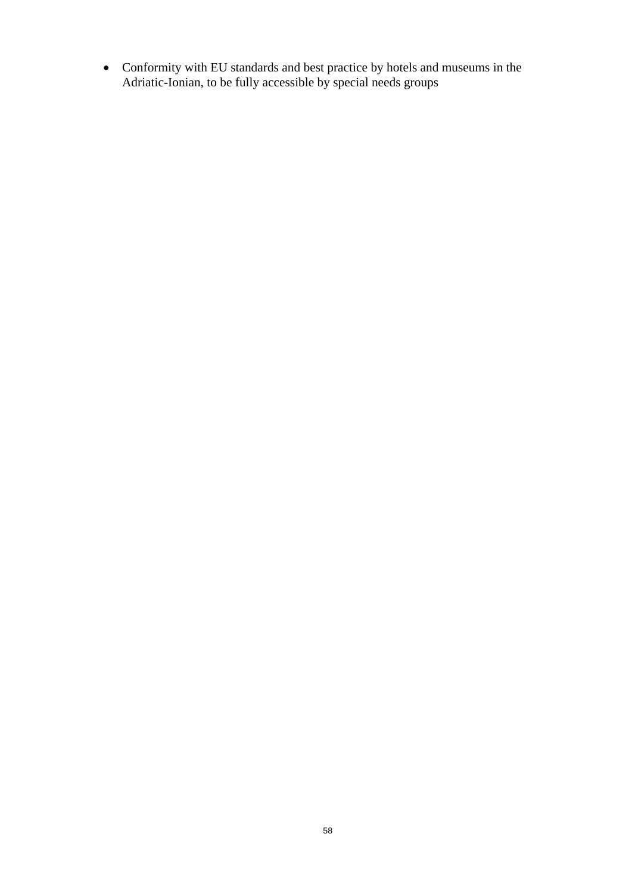• Conformity with EU standards and best practice by hotels and museums in the Adriatic-Ionian, to be fully accessible by special needs groups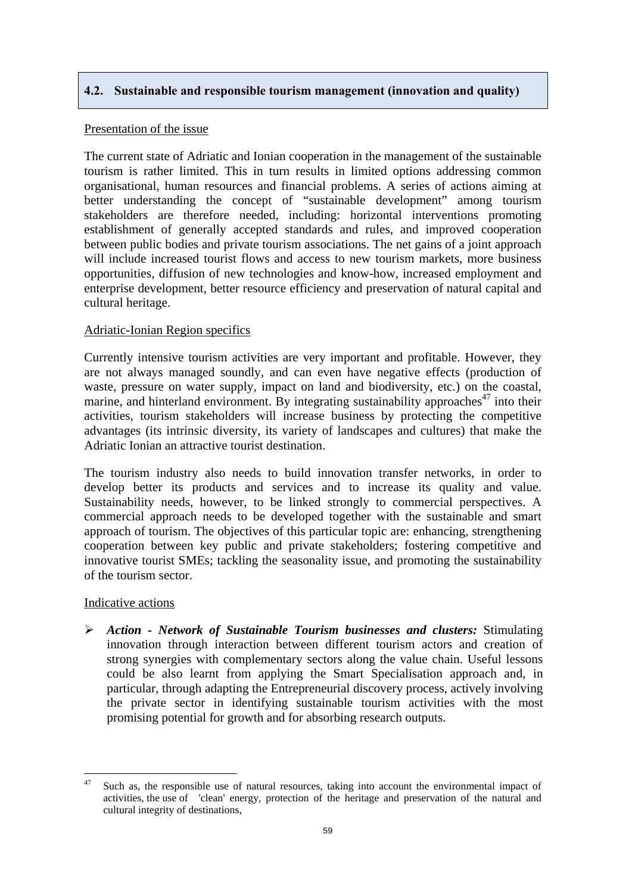## <span id="page-58-0"></span>**4.2. Sustainable and responsible tourism management (innovation and quality)**

## Presentation of the issue

The current state of Adriatic and Ionian cooperation in the management of the sustainable tourism is rather limited. This in turn results in limited options addressing common organisational, human resources and financial problems. A series of actions aiming at better understanding the concept of "sustainable development" among tourism stakeholders are therefore needed, including: horizontal interventions promoting establishment of generally accepted standards and rules, and improved cooperation between public bodies and private tourism associations. The net gains of a joint approach will include increased tourist flows and access to new tourism markets, more business opportunities, diffusion of new technologies and know-how, increased employment and enterprise development, better resource efficiency and preservation of natural capital and cultural heritage.

## Adriatic-Ionian Region specifics

Currently intensive tourism activities are very important and profitable. However, they are not always managed soundly, and can even have negative effects (production of waste, pressure on water supply, impact on land and biodiversity, etc.) on the coastal, marine, and hinterland environment. By integrating sustainability approaches<sup>47</sup> into their activities, tourism stakeholders will increase business by protecting the competitive advantages (its intrinsic diversity, its variety of landscapes and cultures) that make the Adriatic Ionian an attractive tourist destination.

The tourism industry also needs to build innovation transfer networks, in order to develop better its products and services and to increase its quality and value. Sustainability needs, however, to be linked strongly to commercial perspectives. A commercial approach needs to be developed together with the sustainable and smart approach of tourism. The objectives of this particular topic are: enhancing, strengthening cooperation between key public and private stakeholders; fostering competitive and innovative tourist SMEs; tackling the seasonality issue, and promoting the sustainability of the tourism sector.

## Indicative actions

¾ *Action - Network of Sustainable Tourism businesses and clusters:* Stimulating innovation through interaction between different tourism actors and creation of strong synergies with complementary sectors along the value chain. Useful lessons could be also learnt from applying the Smart Specialisation approach and, in particular, through adapting the Entrepreneurial discovery process, actively involving the private sector in identifying sustainable tourism activities with the most promising potential for growth and for absorbing research outputs.

 $47$ Such as, the responsible use of natural resources, taking into account the environmental impact of activities, the use of 'clean' energy, protection of the heritage and preservation of the natural and cultural integrity of destinations,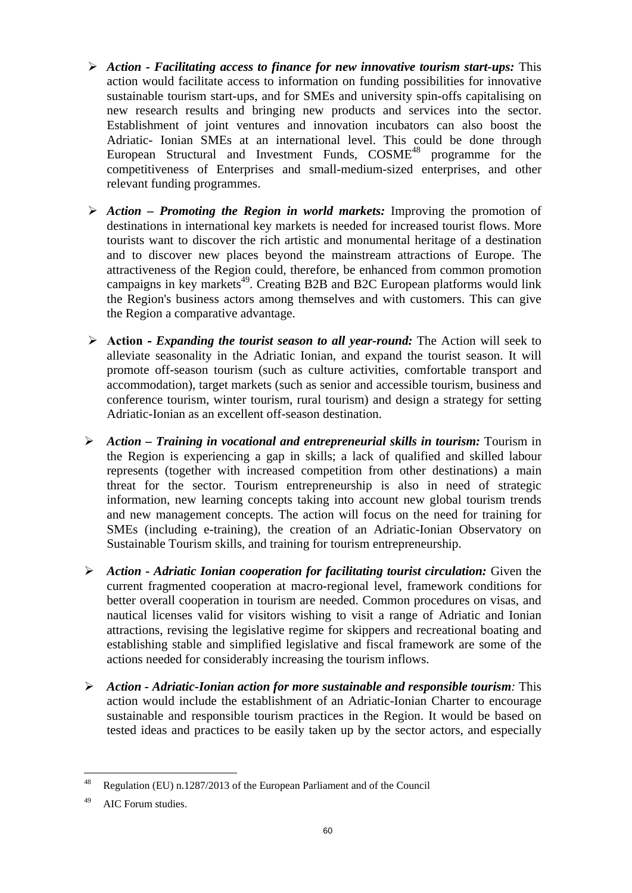- ¾ *Action Facilitating access to finance for new innovative tourism start-ups:* This action would facilitate access to information on funding possibilities for innovative sustainable tourism start-ups, and for SMEs and university spin-offs capitalising on new research results and bringing new products and services into the sector. Establishment of joint ventures and innovation incubators can also boost the Adriatic- Ionian SMEs at an international level. This could be done through European Structural and Investment Funds, COSME<sup>48</sup> programme for the competitiveness of Enterprises and small-medium-sized enterprises, and other relevant funding programmes.
- ¾ *Action Promoting the Region in world markets:* Improving the promotion of destinations in international key markets is needed for increased tourist flows. More tourists want to discover the rich artistic and monumental heritage of a destination and to discover new places beyond the mainstream attractions of Europe. The attractiveness of the Region could, therefore, be enhanced from common promotion campaigns in key markets<sup>49</sup>. Creating B2B and B2C European platforms would link the Region's business actors among themselves and with customers. This can give the Region a comparative advantage.
- ¾ **Action** *Expanding the tourist season to all year-round:* The Action will seek to alleviate seasonality in the Adriatic Ionian, and expand the tourist season. It will promote off-season tourism (such as culture activities, comfortable transport and accommodation), target markets (such as senior and accessible tourism, business and conference tourism, winter tourism, rural tourism) and design a strategy for setting Adriatic-Ionian as an excellent off-season destination.
- ¾ *Action Training in vocational and entrepreneurial skills in tourism:* Tourism in the Region is experiencing a gap in skills; a lack of qualified and skilled labour represents (together with increased competition from other destinations) a main threat for the sector. Tourism entrepreneurship is also in need of strategic information, new learning concepts taking into account new global tourism trends and new management concepts. The action will focus on the need for training for SMEs (including e-training), the creation of an Adriatic-Ionian Observatory on Sustainable Tourism skills, and training for tourism entrepreneurship.
- ¾ *Action Adriatic Ionian cooperation for facilitating tourist circulation:* Given the current fragmented cooperation at macro-regional level, framework conditions for better overall cooperation in tourism are needed. Common procedures on visas, and nautical licenses valid for visitors wishing to visit a range of Adriatic and Ionian attractions, revising the legislative regime for skippers and recreational boating and establishing stable and simplified legislative and fiscal framework are some of the actions needed for considerably increasing the tourism inflows.
- ¾ *Action Adriatic-Ionian action for more sustainable and responsible tourism:* This action would include the establishment of an Adriatic-Ionian Charter to encourage sustainable and responsible tourism practices in the Region. It would be based on tested ideas and practices to be easily taken up by the sector actors, and especially

<sup>48</sup> Regulation (EU) n.1287/2013 of the European Parliament and of the Council

<sup>49</sup> AIC Forum studies.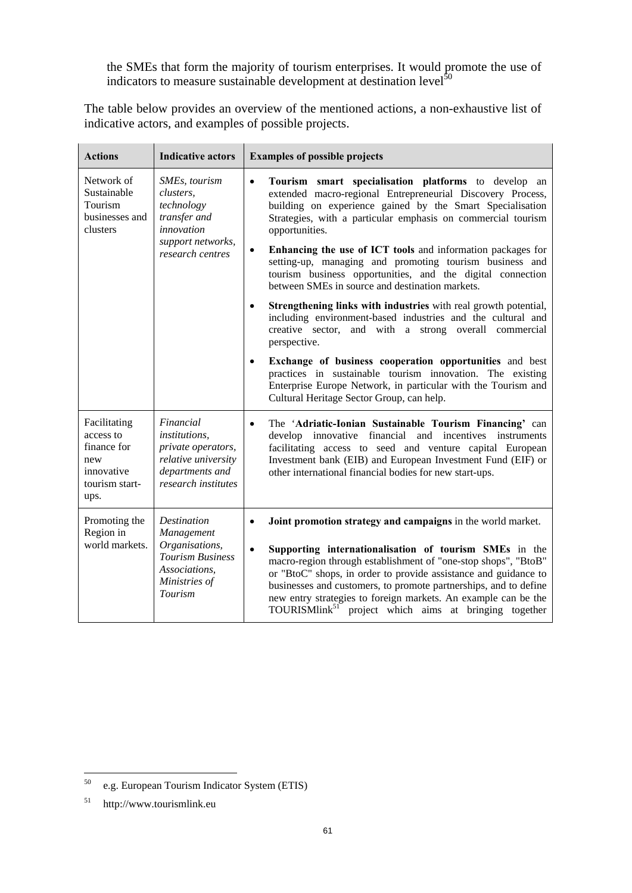the SMEs that form the majority of tourism enterprises. It would promote the use of indicators to measure sustainable development at destination level<sup>50</sup>

The table below provides an overview of the mentioned actions, a non-exhaustive list of indicative actors, and examples of possible projects.

| <b>Actions</b>                                                                          | <b>Indicative actors</b>                                                                                                 | <b>Examples of possible projects</b>                                                                                                                                                                                                                                                                                                                                                                                                                                                                                                                                                                                                                                                                                                                                                                                                                                                                                                                                                                              |
|-----------------------------------------------------------------------------------------|--------------------------------------------------------------------------------------------------------------------------|-------------------------------------------------------------------------------------------------------------------------------------------------------------------------------------------------------------------------------------------------------------------------------------------------------------------------------------------------------------------------------------------------------------------------------------------------------------------------------------------------------------------------------------------------------------------------------------------------------------------------------------------------------------------------------------------------------------------------------------------------------------------------------------------------------------------------------------------------------------------------------------------------------------------------------------------------------------------------------------------------------------------|
| Network of<br>Sustainable<br>Tourism<br>businesses and<br>clusters                      | SMEs, tourism<br>clusters,<br>technology<br>transfer and<br>innovation<br>support networks,<br>research centres          | $\bullet$<br>Tourism smart specialisation platforms to develop an<br>extended macro-regional Entrepreneurial Discovery Process,<br>building on experience gained by the Smart Specialisation<br>Strategies, with a particular emphasis on commercial tourism<br>opportunities.<br>Enhancing the use of ICT tools and information packages for<br>$\bullet$<br>setting-up, managing and promoting tourism business and<br>tourism business opportunities, and the digital connection<br>between SMEs in source and destination markets.<br>Strengthening links with industries with real growth potential,<br>$\bullet$<br>including environment-based industries and the cultural and<br>creative sector, and with a strong overall commercial<br>perspective.<br>Exchange of business cooperation opportunities and best<br>$\bullet$<br>practices in sustainable tourism innovation. The existing<br>Enterprise Europe Network, in particular with the Tourism and<br>Cultural Heritage Sector Group, can help. |
| Facilitating<br>access to<br>finance for<br>new<br>innovative<br>tourism start-<br>ups. | Financial<br><i>institutions,</i><br>private operators,<br>relative university<br>departments and<br>research institutes | The 'Adriatic-Ionian Sustainable Tourism Financing' can<br>$\bullet$<br>develop innovative financial and incentives instruments<br>facilitating access to seed and venture capital European<br>Investment bank (EIB) and European Investment Fund (EIF) or<br>other international financial bodies for new start-ups.                                                                                                                                                                                                                                                                                                                                                                                                                                                                                                                                                                                                                                                                                             |
| Promoting the<br>Region in<br>world markets.                                            | Destination<br>Management<br>Organisations,<br><b>Tourism Business</b><br>Associations,<br>Ministries of<br>Tourism      | Joint promotion strategy and campaigns in the world market.<br>$\bullet$<br>Supporting internationalisation of tourism SMEs in the<br>$\bullet$<br>macro-region through establishment of "one-stop shops", "BtoB"<br>or "BtoC" shops, in order to provide assistance and guidance to<br>businesses and customers, to promote partnerships, and to define<br>new entry strategies to foreign markets. An example can be the<br>TOURISMlink <sup>51</sup> project which aims at bringing together                                                                                                                                                                                                                                                                                                                                                                                                                                                                                                                   |

<sup>50</sup> e.g. European Tourism Indicator System (ETIS)

<sup>51</sup> http://www.tourismlink.eu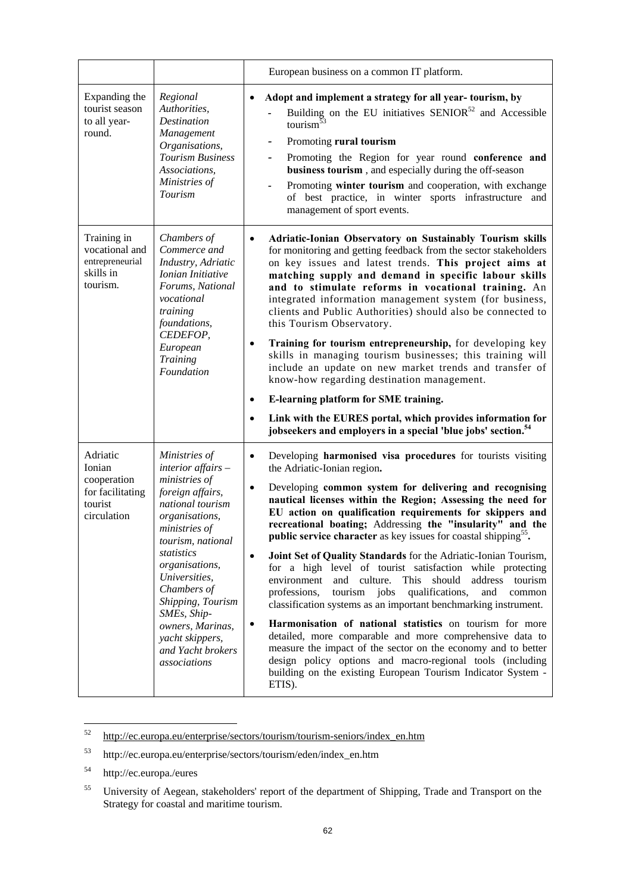|                                                                                 |                                                                                                                                                                                                                                                                                                                                          | European business on a common IT platform.                                                                                                                                                                                                                                                                                                                                                                                                                                                                                                                                                                                                                                                                                                                                                                                                                                                                                                                                                                                                                                                                                                                            |
|---------------------------------------------------------------------------------|------------------------------------------------------------------------------------------------------------------------------------------------------------------------------------------------------------------------------------------------------------------------------------------------------------------------------------------|-----------------------------------------------------------------------------------------------------------------------------------------------------------------------------------------------------------------------------------------------------------------------------------------------------------------------------------------------------------------------------------------------------------------------------------------------------------------------------------------------------------------------------------------------------------------------------------------------------------------------------------------------------------------------------------------------------------------------------------------------------------------------------------------------------------------------------------------------------------------------------------------------------------------------------------------------------------------------------------------------------------------------------------------------------------------------------------------------------------------------------------------------------------------------|
| Expanding the<br>tourist season<br>to all year-<br>round.                       | Regional<br>Authorities,<br><b>Destination</b><br>Management<br>Organisations,<br><b>Tourism Business</b><br>Associations,<br>Ministries of<br><b>Tourism</b>                                                                                                                                                                            | Adopt and implement a strategy for all year-tourism, by<br>$\bullet$<br>Building on the EU initiatives $SENIOR^{52}$ and Accessible<br>tourism $53$<br>Promoting rural tourism<br>-<br>Promoting the Region for year round conference and<br>$\overline{\phantom{0}}$<br>business tourism, and especially during the off-season<br>Promoting winter tourism and cooperation, with exchange<br>$\qquad \qquad \blacksquare$<br>of best practice, in winter sports infrastructure and<br>management of sport events.                                                                                                                                                                                                                                                                                                                                                                                                                                                                                                                                                                                                                                                    |
| Training in<br>vocational and<br>entrepreneurial<br>skills in<br>tourism.       | Chambers of<br>Commerce and<br>Industry, Adriatic<br>Ionian Initiative<br>Forums, National<br>vocational<br>training<br>foundations,<br>CEDEFOP,<br>European<br><b>Training</b><br>Foundation                                                                                                                                            | Adriatic-Ionian Observatory on Sustainably Tourism skills<br>$\bullet$<br>for monitoring and getting feedback from the sector stakeholders<br>on key issues and latest trends. This project aims at<br>matching supply and demand in specific labour skills<br>and to stimulate reforms in vocational training. An<br>integrated information management system (for business,<br>clients and Public Authorities) should also be connected to<br>this Tourism Observatory.<br>Training for tourism entrepreneurship, for developing key<br>skills in managing tourism businesses; this training will<br>include an update on new market trends and transfer of<br>know-how regarding destination management.<br>E-learning platform for SME training.<br>$\bullet$<br>Link with the EURES portal, which provides information for<br>$\bullet$<br>jobseekers and employers in a special 'blue jobs' section. <sup>54</sup>                                                                                                                                                                                                                                              |
| Adriatic<br>Ionian<br>cooperation<br>for facilitating<br>tourist<br>circulation | Ministries of<br>$interior$ affairs $-$<br>ministries of<br>foreign affairs,<br>national tourism<br>organisations,<br>ministries of<br>tourism, national<br>statistics<br>organisations,<br>Universities,<br>Chambers of<br>Shipping, Tourism<br>SMEs, Ship-<br>owners, Marinas,<br>yacht skippers,<br>and Yacht brokers<br>associations | Developing harmonised visa procedures for tourists visiting<br>$\bullet$<br>the Adriatic-Ionian region.<br>Developing common system for delivering and recognising<br>$\bullet$<br>nautical licenses within the Region; Assessing the need for<br>EU action on qualification requirements for skippers and<br>recreational boating; Addressing the "insularity" and the<br><b>public service character</b> as key issues for coastal shipping <sup>55</sup> .<br>Joint Set of Quality Standards for the Adriatic-Ionian Tourism,<br>$\bullet$<br>for a high level of tourist satisfaction while protecting<br>environment<br>and culture.<br>This<br>should<br>address<br>tourism<br>professions,<br>tourism jobs<br>qualifications,<br>and<br>common<br>classification systems as an important benchmarking instrument.<br>Harmonisation of national statistics on tourism for more<br>$\bullet$<br>detailed, more comparable and more comprehensive data to<br>measure the impact of the sector on the economy and to better<br>design policy options and macro-regional tools (including<br>building on the existing European Tourism Indicator System -<br>ETIS). |

<sup>52</sup> 52 [http://ec.europa.eu/enterprise/sectors/tourism/tourism-seniors/index\\_en.htm](http://ec.europa.eu/enterprise/sectors/tourism/tourism-seniors/index_en.htm)

<sup>53</sup> http://ec.europa.eu/enterprise/sectors/tourism/eden/index\_en.htm

<sup>54</sup> http://ec.europa./eures

<sup>&</sup>lt;sup>55</sup> University of Aegean, stakeholders' report of the department of Shipping, Trade and Transport on the Strategy for coastal and maritime tourism.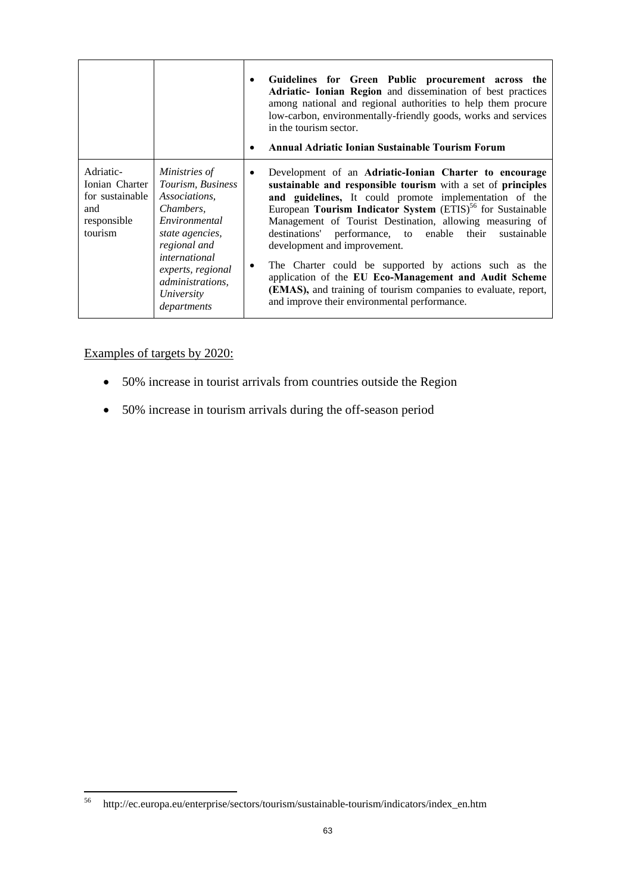|                                                                                 |                                                                                                                                                                                                                    | Guidelines for Green Public procurement across the<br>$\bullet$<br>Adriatic- Ionian Region and dissemination of best practices<br>among national and regional authorities to help them procure<br>low-carbon, environmentally-friendly goods, works and services<br>in the tourism sector.<br>Annual Adriatic Ionian Sustainable Tourism Forum<br>٠                                                                                                                                                                                                                                                                                                                               |
|---------------------------------------------------------------------------------|--------------------------------------------------------------------------------------------------------------------------------------------------------------------------------------------------------------------|-----------------------------------------------------------------------------------------------------------------------------------------------------------------------------------------------------------------------------------------------------------------------------------------------------------------------------------------------------------------------------------------------------------------------------------------------------------------------------------------------------------------------------------------------------------------------------------------------------------------------------------------------------------------------------------|
| Adriatic-<br>Ionian Charter<br>for sustainable<br>and<br>responsible<br>tourism | Ministries of<br>Tourism, Business<br>Associations.<br>Chambers,<br>Environmental<br>state agencies,<br>regional and<br>international<br>experts, regional<br><i>administrations,</i><br>University<br>departments | Development of an Adriatic-Ionian Charter to encourage<br>$\bullet$<br>sustainable and responsible tourism with a set of principles<br>and guidelines, It could promote implementation of the<br>European Tourism Indicator System (ETIS) <sup>56</sup> for Sustainable<br>Management of Tourist Destination, allowing measuring of<br>destinations' performance, to enable their<br>sustainable<br>development and improvement.<br>The Charter could be supported by actions such as the<br>$\bullet$<br>application of the EU Eco-Management and Audit Scheme<br>(EMAS), and training of tourism companies to evaluate, report,<br>and improve their environmental performance. |

# Examples of targets by 2020:

- 50% increase in tourist arrivals from countries outside the Region
- 50% increase in tourism arrivals during the off-season period

<sup>56</sup> 56 http://ec.europa.eu/enterprise/sectors/tourism/sustainable-tourism/indicators/index\_en.htm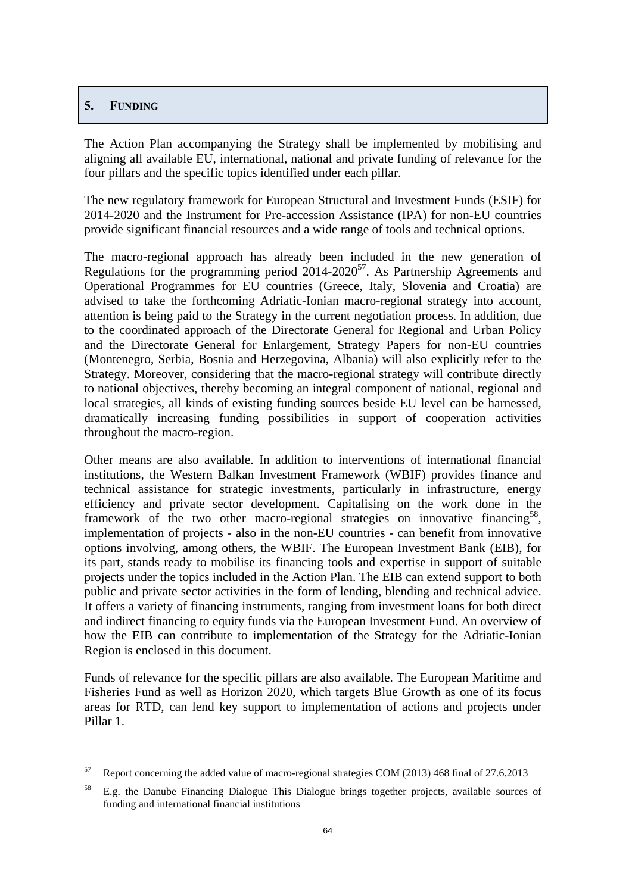## **5. FUNDING**

The Action Plan accompanying the Strategy shall be implemented by mobilising and aligning all available EU, international, national and private funding of relevance for the four pillars and the specific topics identified under each pillar.

The new regulatory framework for European Structural and Investment Funds (ESIF) for 2014-2020 and the Instrument for Pre-accession Assistance (IPA) for non-EU countries provide significant financial resources and a wide range of tools and technical options.

The macro-regional approach has already been included in the new generation of Regulations for the programming period  $2014-2020^{57}$ . As Partnership Agreements and Operational Programmes for EU countries (Greece, Italy, Slovenia and Croatia) are advised to take the forthcoming Adriatic-Ionian macro-regional strategy into account, attention is being paid to the Strategy in the current negotiation process. In addition, due to the coordinated approach of the Directorate General for Regional and Urban Policy and the Directorate General for Enlargement, Strategy Papers for non-EU countries (Montenegro, Serbia, Bosnia and Herzegovina, Albania) will also explicitly refer to the Strategy. Moreover, considering that the macro-regional strategy will contribute directly to national objectives, thereby becoming an integral component of national, regional and local strategies, all kinds of existing funding sources beside EU level can be harnessed, dramatically increasing funding possibilities in support of cooperation activities throughout the macro-region.

<span id="page-63-0"></span>Other means are also available. In addition to interventions of international financial institutions, the Western Balkan Investment Framework (WBIF) provides finance and technical assistance for strategic investments, particularly in infrastructure, energy efficiency and private sector development. Capitalising on the work done in the framework of the two other macro-regional strategies on innovative financing<sup>58</sup>, implementation of projects - also in the non-EU countries - can benefit from innovative options involving, among others, the WBIF. The European Investment Bank (EIB), for its part, stands ready to mobilise its financing tools and expertise in support of suitable projects under the topics included in the Action Plan. The EIB can extend support to both public and private sector activities in the form of lending, blending and technical advice. It offers a variety of financing instruments, ranging from investment loans for both direct and indirect financing to equity funds via the European Investment Fund. An overview of how the EIB can contribute to implementation of the Strategy for the Adriatic-Ionian Region is enclosed in this document.

Funds of relevance for the specific pillars are also available. The European Maritime and Fisheries Fund as well as Horizon 2020, which targets Blue Growth as one of its focus areas for RTD, can lend key support to implementation of actions and projects under Pillar 1.

<sup>57</sup> 57 Report concerning the added value of macro-regional strategies COM (2013) 468 final of 27.6.2013

<sup>58</sup> E.g. the Danube Financing Dialogue This Dialogue brings together projects, available sources of funding and international financial institutions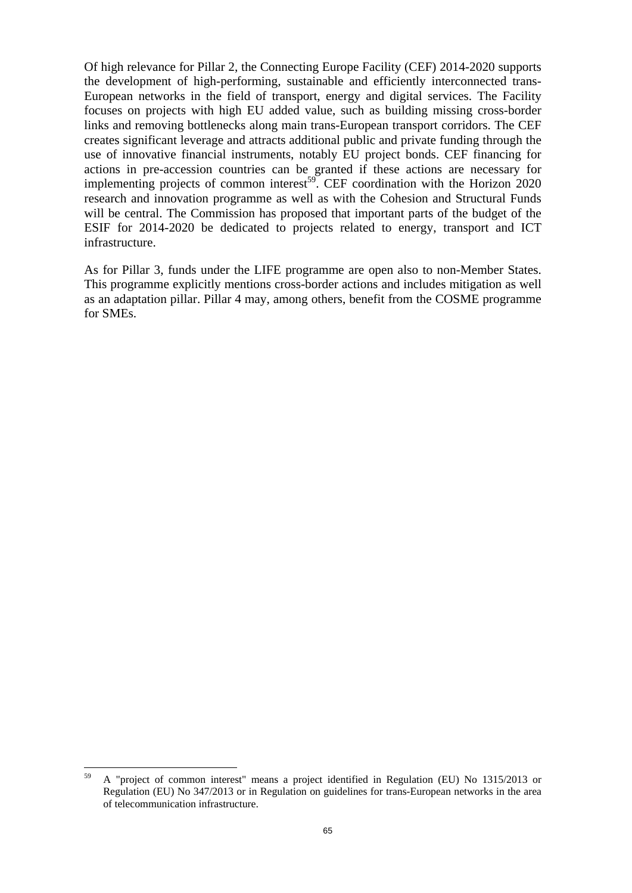Of high relevance for Pillar 2, the Connecting Europe Facility (CEF) 2014-2020 supports the development of high-performing, sustainable and efficiently interconnected trans-European networks in the field of transport, energy and digital services. The Facility focuses on projects with high EU added value, such as building missing cross-border links and removing bottlenecks along main trans-European transport corridors. The CEF creates significant leverage and attracts additional public and private funding through the use of innovative financial instruments, notably EU project bonds. CEF financing for actions in pre-accession countries can be granted if these actions are necessary for implementing projects of common interest<sup>59</sup>. CEF coordination with the Horizon  $2020$ research and innovation programme as well as with the Cohesion and Structural Funds will be central. The Commission has proposed that important parts of the budget of the ESIF for 2014-2020 be dedicated to projects related to energy, transport and ICT infrastructure.

As for Pillar 3, funds under the LIFE programme are open also to non-Member States. This programme explicitly mentions cross-border actions and includes mitigation as well as an adaptation pillar. Pillar 4 may, among others, benefit from the COSME programme for SMEs.

<sup>59</sup> 59 A "project of common interest" means a project identified in Regulation (EU) No 1315/2013 or Regulation (EU) No 347/2013 or in Regulation on guidelines for trans-European networks in the area of telecommunication infrastructure.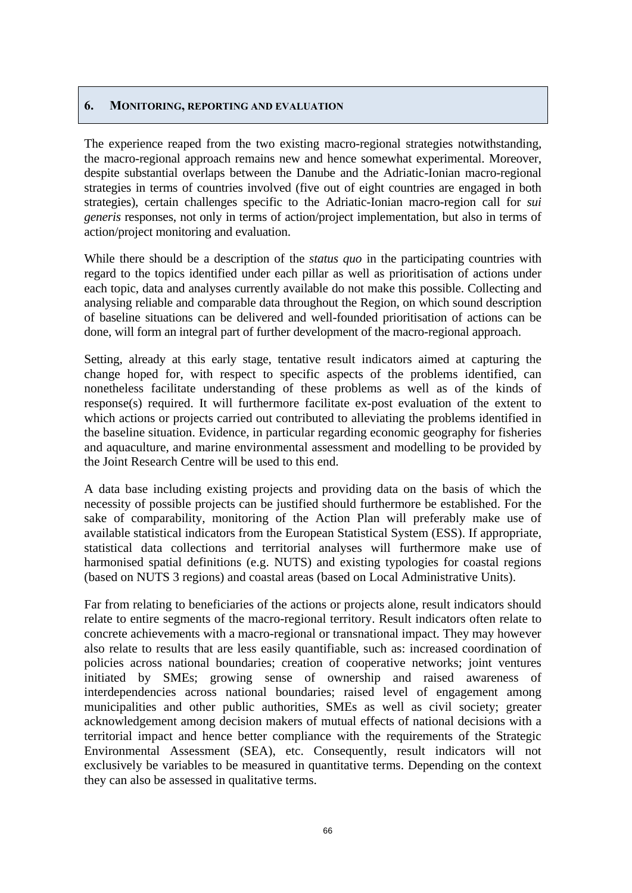## **6. MONITORING, REPORTING AND EVALUATION**

The experience reaped from the two existing macro-regional strategies notwithstanding, the macro-regional approach remains new and hence somewhat experimental. Moreover, despite substantial overlaps between the Danube and the Adriatic-Ionian macro-regional strategies in terms of countries involved (five out of eight countries are engaged in both strategies), certain challenges specific to the Adriatic-Ionian macro-region call for *sui generis* responses, not only in terms of action/project implementation, but also in terms of action/project monitoring and evaluation.

<span id="page-65-1"></span>While there should be a description of the *status quo* in the participating countries with regard to the topics identified under each pillar as well as prioritisation of actions under each topic, data and analyses currently available do not make this possible. Collecting and analysing reliable and comparable data throughout the Region, on which sound description of baseline situations can be delivered and well-founded prioritisation of actions can be done, will form an integral part of further development of the macro-regional approach.

<span id="page-65-0"></span>Setting, already at this early stage, tentative result indicators aimed at capturing the change hoped for, with respect to specific aspects of the problems identified, can nonetheless facilitate understanding of these problems as well as of the kinds of response(s) required. It will furthermore facilitate ex-post evaluation of the extent to which actions or projects carried out contributed to alleviating the problems identified in the baseline situation. Evidence, in particular regarding economic geography for fisheries and aquaculture, and marine environmental assessment and modelling to be provided by the Joint Research Centre will be used to this end.

A data base including existing projects and providing data on the basis of which the necessity of possible projects can be justified should furthermore be established. For the sake of comparability, monitoring of the Action Plan will preferably make use of available statistical indicators from the European Statistical System (ESS). If appropriate, statistical data collections and territorial analyses will furthermore make use of harmonised spatial definitions (e.g. NUTS) and existing typologies for coastal regions (based on NUTS 3 regions) and coastal areas (based on Local Administrative Units).

Far from relating to beneficiaries of the actions or projects alone, result indicators should relate to entire segments of the macro-regional territory. Result indicators often relate to concrete achievements with a macro-regional or transnational impact. They may however also relate to results that are less easily quantifiable, such as: increased coordination of policies across national boundaries; creation of cooperative networks; joint ventures initiated by SMEs; growing sense of ownership and raised awareness of interdependencies across national boundaries; raised level of engagement among municipalities and other public authorities, SMEs as well as civil society; greater acknowledgement among decision makers of mutual effects of national decisions with a territorial impact and hence better compliance with the requirements of the Strategic Environmental Assessment (SEA), etc. Consequently, result indicators will not exclusively be variables to be measured in quantitative terms. Depending on the context they can also be assessed in qualitative terms.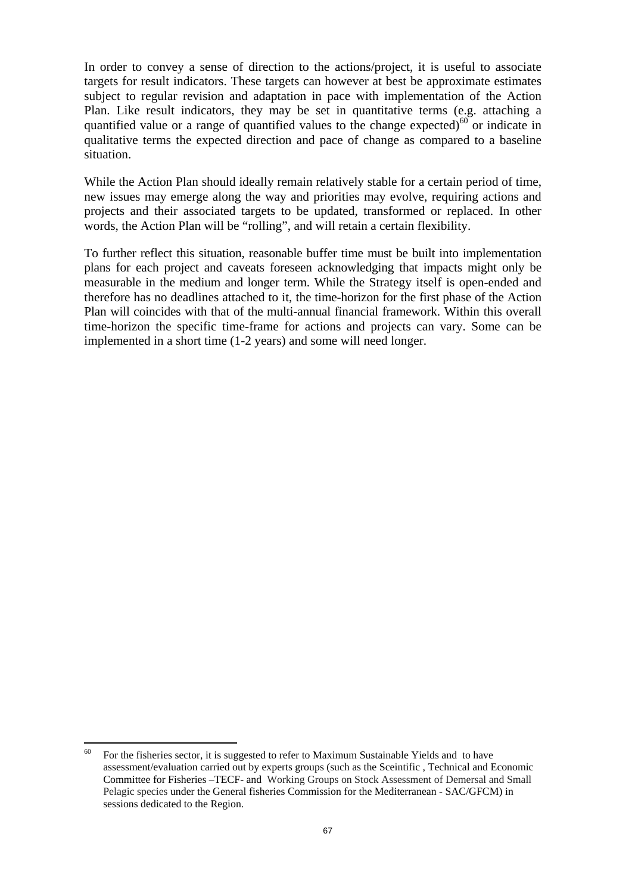In order to convey a sense of direction to the actions/project, it is useful to associate targets for result indicators. These targets can however at best be approximate estimates subject to regular revision and adaptation in pace with implementation of the Action Plan. Like result indicators, they may be set in quantitative terms (e.g. attaching a quantified value or a range of quantified values to the change expected)<sup>60</sup> or indicate in qualitative terms the expected direction and pace of change as compared to a baseline situation.

While the Action Plan should ideally remain relatively stable for a certain period of time, new issues may emerge along the way and priorities may evolve, requiring actions and projects and their associated targets to be updated, transformed or replaced. In other words, the Action Plan will be "rolling", and will retain a certain flexibility.

To further reflect this situation, reasonable buffer time must be built into implementation plans for each project and caveats foreseen acknowledging that impacts might only be measurable in the medium and longer term. While the Strategy itself is open-ended and therefore has no deadlines attached to it, the time-horizon for the first phase of the Action Plan will coincides with that of the multi-annual financial framework. Within this overall time-horizon the specific time-frame for actions and projects can vary. Some can be implemented in a short time (1-2 years) and some will need longer.

 $\overline{a}$ 

 $60$  For the fisheries sector, it is suggested to refer to Maximum Sustainable Yields and to have assessment/evaluation carried out by experts groups (such as the Sceintific , Technical and Economic Committee for Fisheries –TECF- and Working Groups on Stock Assessment of Demersal and Small Pelagic species under the General fisheries Commission for the Mediterranean - SAC/GFCM) in sessions dedicated to the Region.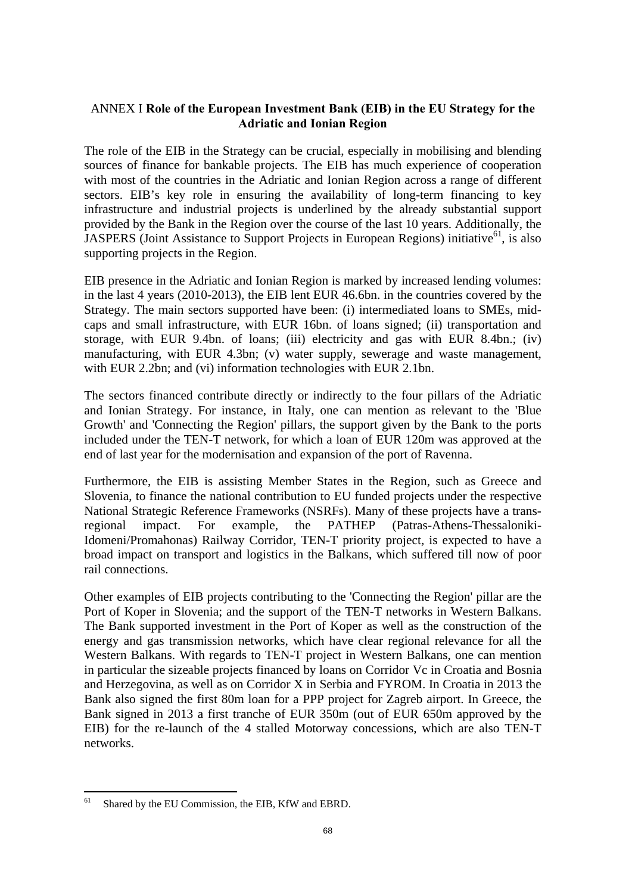## <span id="page-67-0"></span>ANNEX I **Role of the European Investment Bank (EIB) in the EU Strategy for the Adriatic and Ionian Region**

The role of the EIB in the Strategy can be crucial, especially in mobilising and blending sources of finance for bankable projects. The EIB has much experience of cooperation with most of the countries in the Adriatic and Ionian Region across a range of different sectors. EIB's key role in ensuring the availability of long-term financing to key infrastructure and industrial projects is underlined by the already substantial support provided by the Bank in the Region over the course of the last 10 years. Additionally, the JASPERS (Joint Assistance to Support Projects in European Regions) initiative<sup>61</sup>, is also supporting projects in the Region.

EIB presence in the Adriatic and Ionian Region is marked by increased lending volumes: in the last 4 years (2010-2013), the EIB lent EUR 46.6bn. in the countries covered by the Strategy. The main sectors supported have been: (i) intermediated loans to SMEs, midcaps and small infrastructure, with EUR 16bn. of loans signed; (ii) transportation and storage, with EUR 9.4bn. of loans; (iii) electricity and gas with EUR 8.4bn.; (iv) manufacturing, with EUR 4.3bn; (v) water supply, sewerage and waste management, with EUR 2.2bn; and (vi) information technologies with EUR 2.1bn.

The sectors financed contribute directly or indirectly to the four pillars of the Adriatic and Ionian Strategy. For instance, in Italy, one can mention as relevant to the 'Blue Growth' and 'Connecting the Region' pillars, the support given by the Bank to the ports included under the TEN-T network, for which a loan of EUR 120m was approved at the end of last year for the modernisation and expansion of the port of Ravenna.

Furthermore, the EIB is assisting Member States in the Region, such as Greece and Slovenia, to finance the national contribution to EU funded projects under the respective National Strategic Reference Frameworks (NSRFs). Many of these projects have a transregional impact. For example, the PATHEP (Patras-Athens-Thessaloniki-Idomeni/Promahonas) Railway Corridor, TEN-T priority project, is expected to have a broad impact on transport and logistics in the Balkans, which suffered till now of poor rail connections.

Other examples of EIB projects contributing to the 'Connecting the Region' pillar are the Port of Koper in Slovenia; and the support of the TEN-T networks in Western Balkans. The Bank supported investment in the Port of Koper as well as the construction of the energy and gas transmission networks, which have clear regional relevance for all the Western Balkans. With regards to TEN-T project in Western Balkans, one can mention in particular the sizeable projects financed by loans on Corridor Vc in Croatia and Bosnia and Herzegovina, as well as on Corridor X in Serbia and FYROM. In Croatia in 2013 the Bank also signed the first 80m loan for a PPP project for Zagreb airport. In Greece, the Bank signed in 2013 a first tranche of EUR 350m (out of EUR 650m approved by the EIB) for the re-launch of the 4 stalled Motorway concessions, which are also TEN-T networks.

<sup>61</sup> Shared by the EU Commission, the EIB, KfW and EBRD.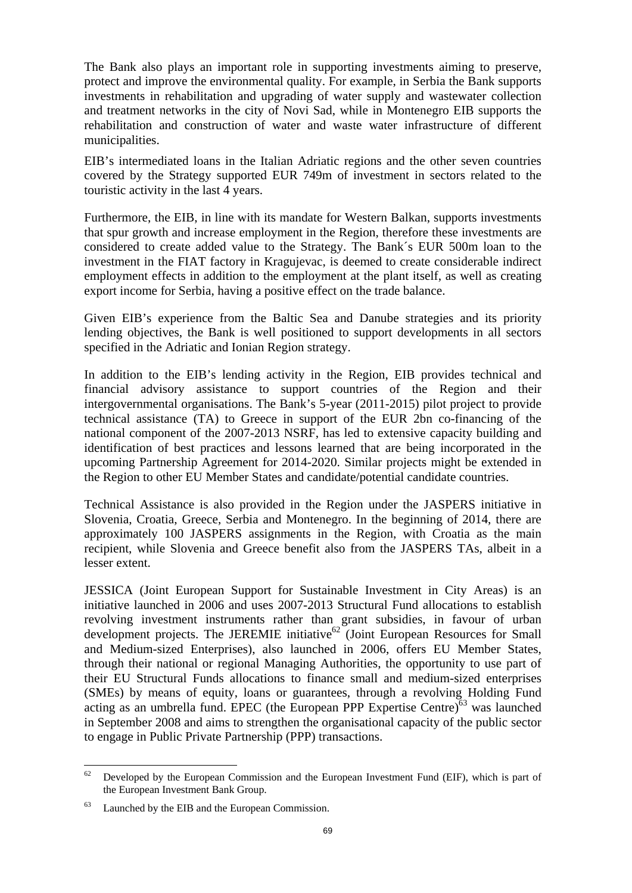The Bank also plays an important role in supporting investments aiming to preserve, protect and improve the environmental quality. For example, in Serbia the Bank supports investments in rehabilitation and upgrading of water supply and wastewater collection and treatment networks in the city of Novi Sad, while in Montenegro EIB supports the rehabilitation and construction of water and waste water infrastructure of different municipalities.

EIB's intermediated loans in the Italian Adriatic regions and the other seven countries covered by the Strategy supported EUR 749m of investment in sectors related to the touristic activity in the last 4 years.

Furthermore, the EIB, in line with its mandate for Western Balkan, supports investments that spur growth and increase employment in the Region, therefore these investments are considered to create added value to the Strategy. The Bank´s EUR 500m loan to the investment in the FIAT factory in Kragujevac, is deemed to create considerable indirect employment effects in addition to the employment at the plant itself, as well as creating export income for Serbia, having a positive effect on the trade balance.

Given EIB's experience from the Baltic Sea and Danube strategies and its priority lending objectives, the Bank is well positioned to support developments in all sectors specified in the Adriatic and Ionian Region strategy.

In addition to the EIB's lending activity in the Region, EIB provides technical and financial advisory assistance to support countries of the Region and their intergovernmental organisations. The Bank's 5-year (2011-2015) pilot project to provide technical assistance (TA) to Greece in support of the EUR 2bn co-financing of the national component of the 2007-2013 NSRF, has led to extensive capacity building and identification of best practices and lessons learned that are being incorporated in the upcoming Partnership Agreement for 2014-2020. Similar projects might be extended in the Region to other EU Member States and candidate/potential candidate countries.

Technical Assistance is also provided in the Region under the JASPERS initiative in Slovenia, Croatia, Greece, Serbia and Montenegro. In the beginning of 2014, there are approximately 100 JASPERS assignments in the Region, with Croatia as the main recipient, while Slovenia and Greece benefit also from the JASPERS TAs, albeit in a lesser extent.

JESSICA (Joint European Support for Sustainable Investment in City Areas) is an initiative launched in 2006 and uses 2007-2013 Structural Fund allocations to establish revolving investment instruments rather than grant subsidies, in favour of urban development projects. The JEREMIE initiative<sup>62</sup> (Joint European Resources for Small and Medium-sized Enterprises), also launched in 2006, offers EU Member States, through their national or regional Managing Authorities, the opportunity to use part of their EU Structural Funds allocations to finance small and medium-sized enterprises (SMEs) by means of equity, loans or guarantees, through a revolving Holding Fund acting as an umbrella fund. EPEC (the European PPP Expertise Centre)<sup>63</sup> was launched in September 2008 and aims to strengthen the organisational capacity of the public sector to engage in Public Private Partnership (PPP) transactions.

<sup>62</sup> Developed by the European Commission and the European Investment Fund (EIF), which is part of the European Investment Bank Group.

<sup>63</sup> Launched by the EIB and the European Commission.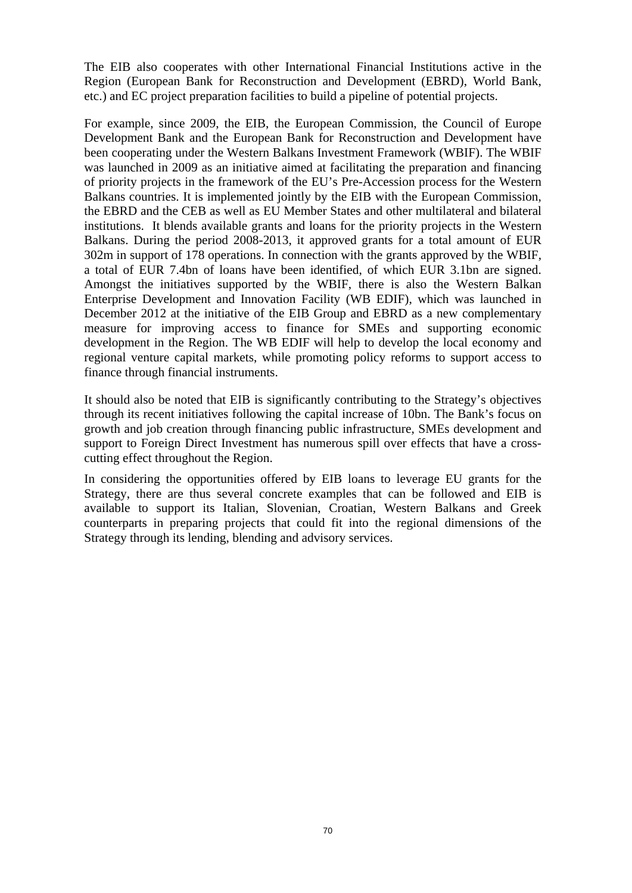The EIB also cooperates with other International Financial Institutions active in the Region (European Bank for Reconstruction and Development (EBRD), World Bank, etc.) and EC project preparation facilities to build a pipeline of potential projects.

For example, since 2009, the EIB, the European Commission, the Council of Europe Development Bank and the European Bank for Reconstruction and Development have been cooperating under the Western Balkans Investment Framework (WBIF). The WBIF was launched in 2009 as an initiative aimed at facilitating the preparation and financing of priority projects in the framework of the EU's Pre-Accession process for the Western Balkans countries. It is implemented jointly by the EIB with the European Commission, the EBRD and the CEB as well as EU Member States and other multilateral and bilateral institutions. It blends available grants and loans for the priority projects in the Western Balkans. During the period 2008-2013, it approved grants for a total amount of EUR 302m in support of 178 operations. In connection with the grants approved by the WBIF, a total of EUR 7.4bn of loans have been identified, of which EUR 3.1bn are signed. Amongst the initiatives supported by the WBIF, there is also the Western Balkan Enterprise Development and Innovation Facility (WB EDIF), which was launched in December 2012 at the initiative of the EIB Group and EBRD as a new complementary measure for improving access to finance for SMEs and supporting economic development in the Region. The WB EDIF will help to develop the local economy and regional venture capital markets, while promoting policy reforms to support access to finance through financial instruments.

It should also be noted that EIB is significantly contributing to the Strategy's objectives through its recent initiatives following the capital increase of 10bn. The Bank's focus on growth and job creation through financing public infrastructure, SMEs development and support to Foreign Direct Investment has numerous spill over effects that have a crosscutting effect throughout the Region.

In considering the opportunities offered by EIB loans to leverage EU grants for the Strategy, there are thus several concrete examples that can be followed and EIB is available to support its Italian, Slovenian, Croatian, Western Balkans and Greek counterparts in preparing projects that could fit into the regional dimensions of the Strategy through its lending, blending and advisory services.